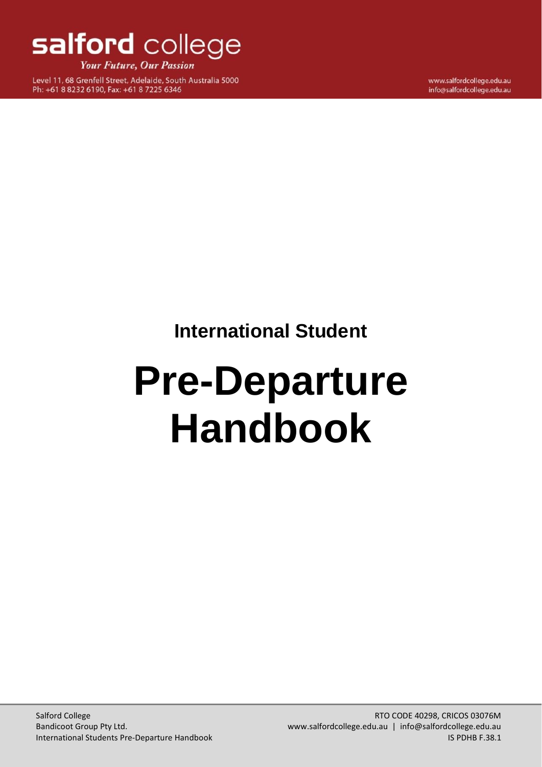

**Your Future, Our Passion** 

Level 11, 68 Grenfell Street, Adelaide, South Australia 5000 Ph: +61 8 8232 6190, Fax: +61 8 7225 6346

www.salfordcollege.edu.au info@salfordcollege.edu.au

**International Student**

# <span id="page-0-2"></span><span id="page-0-1"></span><span id="page-0-0"></span>**Pre-Departure Handbook**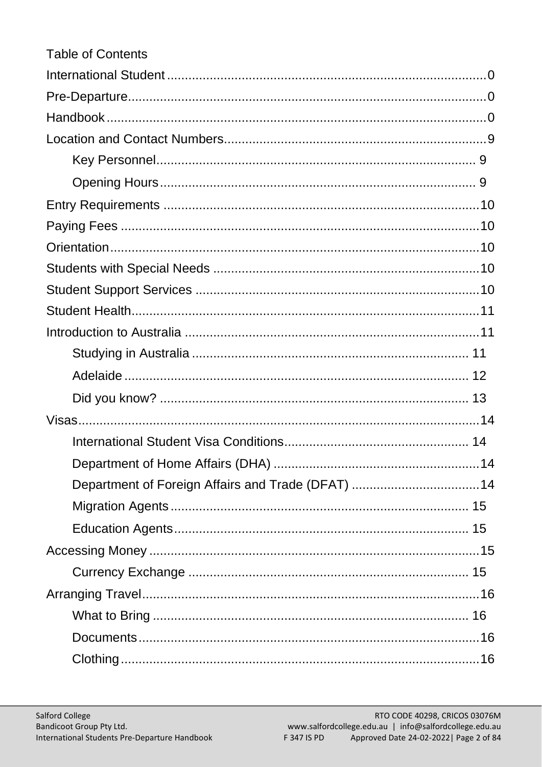| <b>Table of Contents</b>                           |
|----------------------------------------------------|
|                                                    |
|                                                    |
|                                                    |
|                                                    |
|                                                    |
|                                                    |
|                                                    |
|                                                    |
|                                                    |
|                                                    |
|                                                    |
|                                                    |
|                                                    |
|                                                    |
|                                                    |
|                                                    |
|                                                    |
|                                                    |
|                                                    |
| Department of Foreign Affairs and Trade (DFAT)  14 |
|                                                    |
|                                                    |
|                                                    |
|                                                    |
|                                                    |
|                                                    |
|                                                    |
|                                                    |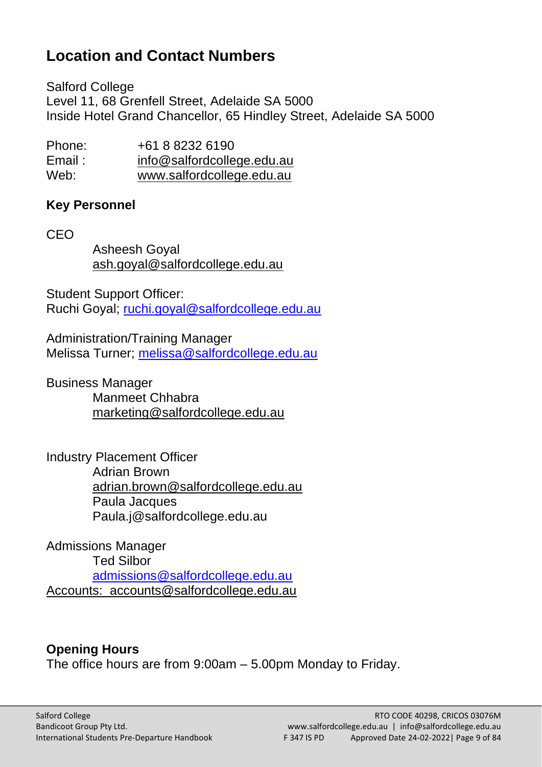# <span id="page-8-0"></span>**Location and Contact Numbers**

Salford College Level 11, 68 Grenfell Street, Adelaide SA 5000 Inside Hotel Grand Chancellor, 65 Hindley Street, Adelaide SA 5000

Phone: +61 8 8232 6190 Email: [info@salfordcollege.edu.au](mailto:info@salfordcollege.edu.au) Web: [www.salfordcollege.edu.au](http://www.salfordcollege.edu.au/)

## <span id="page-8-1"></span>**Key Personnel**

CEO

Asheesh Goyal ash.goyal@salfordcollege.edu.au

Student Support Officer: Ruchi Goyal; [ruchi.goyal@salfordcollege.edu.au](mailto:ruchi.goyal@salfordcollege.edu.au)

Administration/Training Manager Melissa Turner; [melissa@salfordcollege.edu.au](mailto:melissa@salfordcollege.edu.au) 

Business Manager Manmeet Chhabra marketing@salfordcollege.edu.au

Industry Placement Officer Adrian Brown adrian.brown@salfordcollege.edu.au Paula Jacques Paula.j@salfordcollege.edu.au

Admissions Manager Ted Silbor [admissions@salfordcollege.edu.au](mailto:admissions@salfordcollege.edu.au) Accounts: accounts@salfordcollege.edu.au

# <span id="page-8-2"></span>**Opening Hours**

The office hours are from 9:00am – 5.00pm Monday to Friday.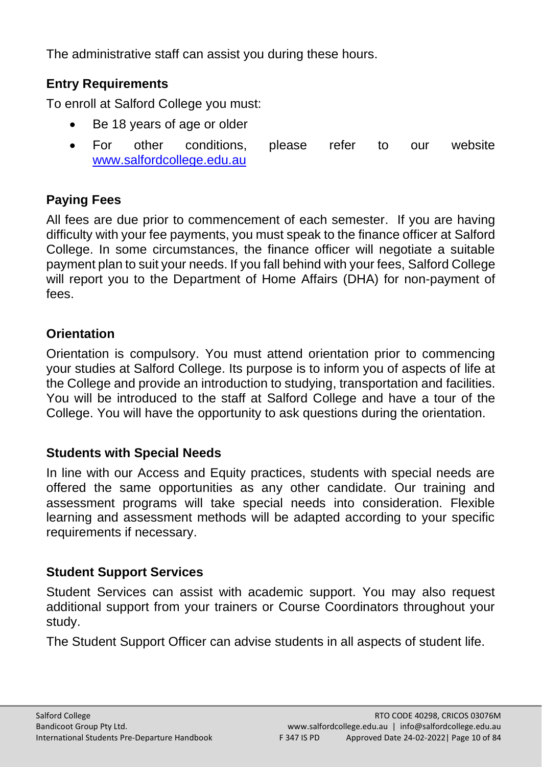The administrative staff can assist you during these hours.

# <span id="page-9-0"></span>**Entry Requirements**

To enroll at Salford College you must:

- Be 18 years of age or older
- For other conditions, please refer to our website [www.salfordcollege.edu.au](http://www.salfordcollege.edu.au/)

# <span id="page-9-1"></span>**Paying Fees**

All fees are due prior to commencement of each semester. If you are having difficulty with your fee payments, you must speak to the finance officer at Salford College. In some circumstances, the finance officer will negotiate a suitable payment plan to suit your needs. If you fall behind with your fees, Salford College will report you to the Department of Home Affairs (DHA) for non-payment of fees.

# <span id="page-9-2"></span>**Orientation**

Orientation is compulsory. You must attend orientation prior to commencing your studies at Salford College. Its purpose is to inform you of aspects of life at the College and provide an introduction to studying, transportation and facilities. You will be introduced to the staff at Salford College and have a tour of the College. You will have the opportunity to ask questions during the orientation.

# <span id="page-9-3"></span>**Students with Special Needs**

In line with our Access and Equity practices, students with special needs are offered the same opportunities as any other candidate. Our training and assessment programs will take special needs into consideration. Flexible learning and assessment methods will be adapted according to your specific requirements if necessary.

## <span id="page-9-4"></span>**Student Support Services**

Student Services can assist with academic support. You may also request additional support from your trainers or Course Coordinators throughout your study.

The Student Support Officer can advise students in all aspects of student life.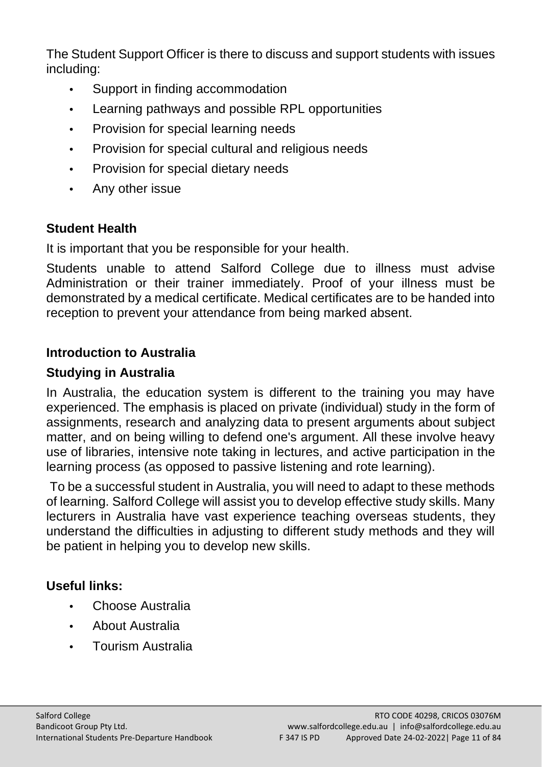The Student Support Officer is there to discuss and support students with issues including:

- **•** Support in finding accommodation
- **•** Learning pathways and possible RPL opportunities
- **•** Provision for special learning needs
- **•** Provision for special cultural and religious needs
- **•** Provision for special dietary needs
- **•** Any other issue

# <span id="page-10-0"></span>**Student Health**

It is important that you be responsible for your health.

Students unable to attend Salford College due to illness must advise Administration or their trainer immediately. Proof of your illness must be demonstrated by a medical certificate. Medical certificates are to be handed into reception to prevent your attendance from being marked absent.

## <span id="page-10-1"></span>**Introduction to Australia**

## <span id="page-10-2"></span>**Studying in Australia**

In Australia, the education system is different to the training you may have experienced. The emphasis is placed on private (individual) study in the form of assignments, research and analyzing data to present arguments about subject matter, and on being willing to defend one's argument. All these involve heavy use of libraries, intensive note taking in lectures, and active participation in the learning process (as opposed to passive listening and rote learning).

To be a successful student in Australia, you will need to adapt to these methods of learning. Salford College will assist you to develop effective study skills. Many lecturers in Australia have vast experience teaching overseas students, they understand the difficulties in adjusting to different study methods and they will be patient in helping you to develop new skills.

# **Useful links:**

- **•** [Choose Australia](http://www.immi.gov.au/living-in-australia/choose-australia/about-australia/index.htm)
- **•** [About Australia](http://www.australia.gov.au/About_Australia)
- **•** [Tourism Australia](http://www.tourism.australia.com/)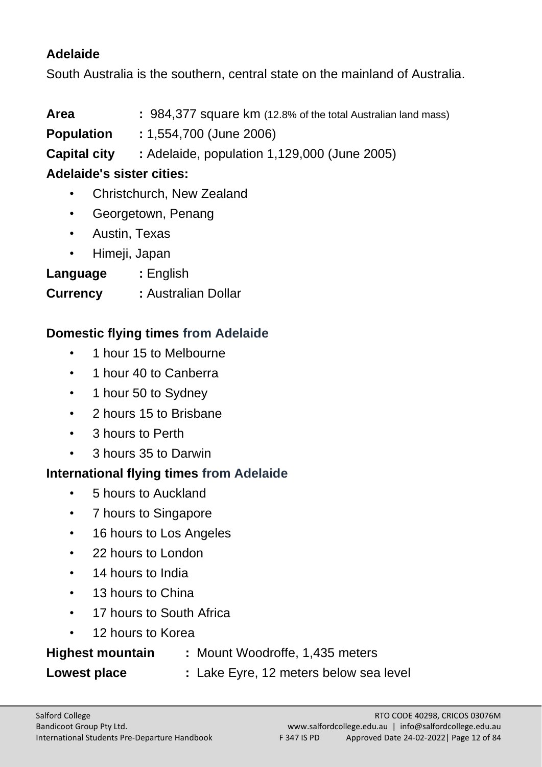## <span id="page-11-0"></span>**Adelaide**

South Australia is the southern, central state on the mainland of Australia.

**Area :** 984,377 square km (12.8% of the total Australian land mass)

**Population :** 1,554,700 (June 2006)

**Capital city :** Adelaide, population 1,129,000 (June 2005)

# **Adelaide's sister cities:**

- Christchurch, New Zealand
- Georgetown, Penang
- Austin, Texas
- Himeji, Japan
- **Language :** English
- **Currency :** Australian Dollar

# **Domestic flying times from Adelaide**

- 1 hour 15 to Melbourne
- 1 hour 40 to Canberra
- 1 hour 50 to Sydney
- 2 hours 15 to Brisbane
- 3 hours to Perth
- 3 hours 35 to Darwin

# **International flying times from Adelaide**

- 5 hours to Auckland
- 7 hours to Singapore
- 16 hours to Los Angeles
- 22 hours to London
- 14 hours to India
- 13 hours to China
- 17 hours to South Africa
- 12 hours to Korea

# **Highest mountain :** Mount Woodroffe, 1,435 meters

**Lowest place :** Lake Eyre, 12 meters below sea level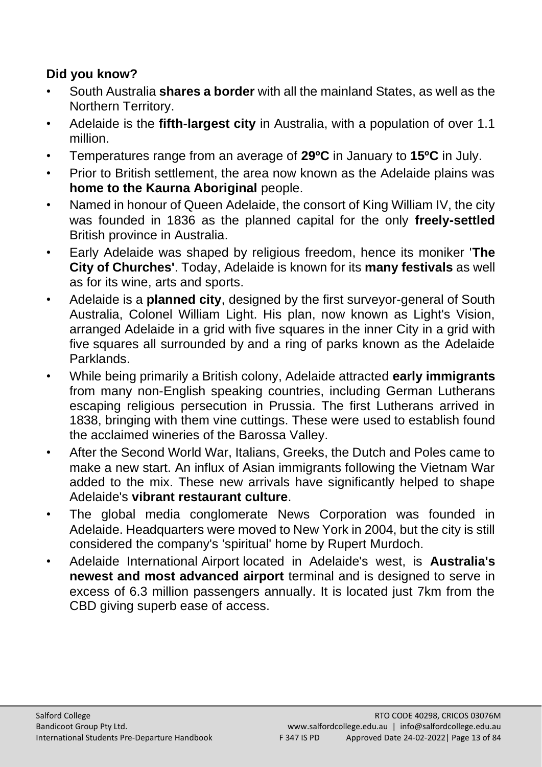# <span id="page-12-0"></span>**Did you know?**

- South Australia **shares a border** with all the mainland States, as well as the Northern Territory.
- Adelaide is the **fifth-largest city** in Australia, with a population of over 1.1 million.
- Temperatures range from an average of **29ºC** in January to **15ºC** in July.
- Prior to British settlement, the area now known as the Adelaide plains was **home to the Kaurna Aboriginal** people.
- Named in honour of Queen Adelaide, the consort of King William IV, the city was founded in 1836 as the planned capital for the only **freely-settled** British province in Australia.
- Early Adelaide was shaped by religious freedom, hence its moniker '**The City of Churches'**. Today, Adelaide is known for its **many festivals** as well as for its wine, arts and sports.
- Adelaide is a **planned city**, designed by the first surveyor-general of South Australia, Colonel William Light. His plan, now known as Light's Vision, arranged Adelaide in a grid with five squares in the inner City in a grid with five squares all surrounded by and a ring of parks known as the Adelaide Parklands.
- While being primarily a British colony, Adelaide attracted **early immigrants** from many non-English speaking countries, including German Lutherans escaping religious persecution in Prussia. The first Lutherans arrived in 1838, bringing with them vine cuttings. These were used to establish found the acclaimed wineries of the Barossa Valley.
- After the Second World War, Italians, Greeks, the Dutch and Poles came to make a new start. An influx of Asian immigrants following the Vietnam War added to the mix. These new arrivals have significantly helped to shape Adelaide's **vibrant restaurant culture**.
- The global media conglomerate News Corporation was founded in Adelaide. Headquarters were moved to New York in 2004, but the city is still considered the company's 'spiritual' home by Rupert Murdoch.
- Adelaide International Airport located in Adelaide's west, is **Australia's newest and most advanced airport** terminal and is designed to serve in excess of 6.3 million passengers annually. It is located just 7km from the CBD giving superb ease of access.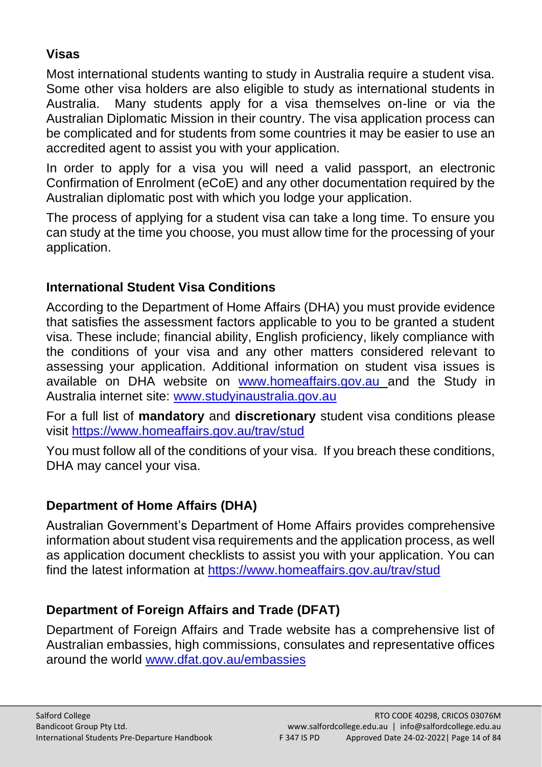# <span id="page-13-0"></span>**Visas**

Most international students wanting to study in Australia require a student visa. Some other visa holders are also eligible to study as international students in Australia. Many students apply for a visa themselves on-line or via the Australian Diplomatic Mission in their country. The visa application process can be complicated and for students from some countries it may be easier to use an accredited agent to assist you with your application.

In order to apply for a visa you will need a valid passport, an electronic Confirmation of Enrolment (eCoE) and any other documentation required by the Australian diplomatic post with which you lodge your application.

The process of applying for a student visa can take a long time. To ensure you can study at the time you choose, you must allow time for the processing of your application.

# <span id="page-13-1"></span>**International Student Visa Conditions**

According to the Department of Home Affairs (DHA) you must provide evidence that satisfies the assessment factors applicable to you to be granted a student visa. These include; financial ability, English proficiency, likely compliance with the conditions of your visa and any other matters considered relevant to assessing your application. Additional information on student visa issues is available on DHA website on [www.homeaffairs.gov.au](http://www.homeaffairs.gov.au/) and the Study in Australia internet site: [www.studyinaustralia.gov.au](http://www.studyinaustralia.gov.au/)

For a full list of **mandatory** and **discretionary** student visa conditions please visit <https://www.homeaffairs.gov.au/trav/stud>

You must follow all of the conditions of your visa. If you breach these conditions, DHA may cancel your visa.

# <span id="page-13-2"></span>**Department of Home Affairs (DHA)**

Australian Government's Department of Home Affairs provides comprehensive information about student visa requirements and the application process, as well as application document checklists to assist you with your application. You can find the latest information at<https://www.homeaffairs.gov.au/trav/stud>

# <span id="page-13-3"></span>**Department of Foreign Affairs and Trade (DFAT)**

Department of Foreign Affairs and Trade website has a comprehensive list of Australian embassies, high commissions, consulates and representative offices around the world [www.dfat.gov.au/embassies](http://www.dfat.gov.au/embassies)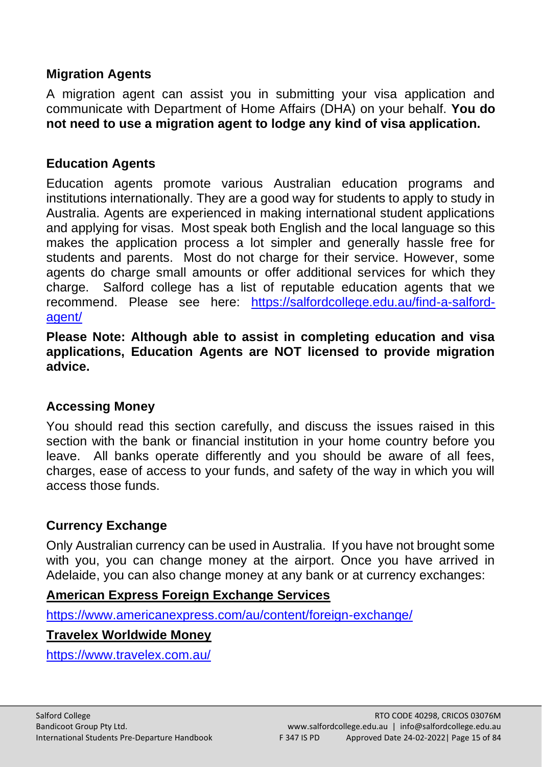## <span id="page-14-0"></span>**Migration Agents**

A migration agent can assist you in submitting your visa application and communicate with Department of Home Affairs (DHA) on your behalf. **You do not need to use a migration agent to lodge any kind of visa application.** 

#### <span id="page-14-1"></span>**Education Agents**

Education agents promote various Australian education programs and institutions internationally. They are a good way for students to apply to study in Australia. Agents are experienced in making international student applications and applying for visas. Most speak both English and the local language so this makes the application process a lot simpler and generally hassle free for students and parents. Most do not charge for their service. However, some agents do charge small amounts or offer additional services for which they charge. Salford college has a list of reputable education agents that we recommend. Please see here: [https://salfordcollege.edu.au/find-a-salford](https://salfordcollege.edu.au/find-a-salford-agent/)[agent/](https://salfordcollege.edu.au/find-a-salford-agent/)

**Please Note: Although able to assist in completing education and visa applications, Education Agents are NOT licensed to provide migration advice.**

#### <span id="page-14-2"></span>**Accessing Money**

You should read this section carefully, and discuss the issues raised in this section with the bank or financial institution in your home country before you leave. All banks operate differently and you should be aware of all fees, charges, ease of access to your funds, and safety of the way in which you will access those funds.

#### <span id="page-14-3"></span>**Currency Exchange**

Only Australian currency can be used in Australia. If you have not brought some with you, you can change money at the airport. Once you have arrived in Adelaide, you can also change money at any bank or at currency exchanges:

## **[American Express Foreign Exchange Services](http://www.yellowpages.com.au/sa/adelaide/american-express-foreign-exchange-services-12028396-listing.html;jsessionid=EDC7E1258A3F3EA41C37A31B40943EA3.11)**

<https://www.americanexpress.com/au/content/foreign-exchange/>

#### **Travelex Worldwide Money**

<https://www.travelex.com.au/>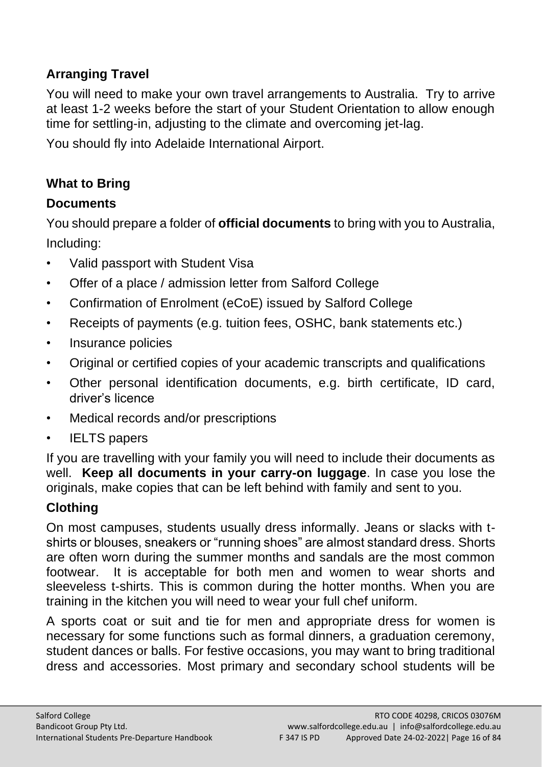# <span id="page-15-0"></span>**Arranging Travel**

You will need to make your own travel arrangements to Australia. Try to arrive at least 1-2 weeks before the start of your Student Orientation to allow enough time for settling-in, adjusting to the climate and overcoming jet-lag.

You should fly into Adelaide International Airport.

## <span id="page-15-1"></span>**What to Bring**

## <span id="page-15-2"></span>**Documents**

You should prepare a folder of **official documents** to bring with you to Australia, Including:

- Valid passport with Student Visa
- Offer of a place / admission letter from Salford College
- Confirmation of Enrolment (eCoE) issued by Salford College
- Receipts of payments (e.g. tuition fees, OSHC, bank statements etc.)
- Insurance policies
- Original or certified copies of your academic transcripts and qualifications
- Other personal identification documents, e.g. birth certificate, ID card, driver's licence
- Medical records and/or prescriptions
- **IELTS** papers

If you are travelling with your family you will need to include their documents as well. **Keep all documents in your carry-on luggage**. In case you lose the originals, make copies that can be left behind with family and sent to you.

# <span id="page-15-3"></span>**Clothing**

On most campuses, students usually dress informally. Jeans or slacks with tshirts or blouses, sneakers or "running shoes" are almost standard dress. Shorts are often worn during the summer months and sandals are the most common footwear. It is acceptable for both men and women to wear shorts and sleeveless t-shirts. This is common during the hotter months. When you are training in the kitchen you will need to wear your full chef uniform.

A sports coat or suit and tie for men and appropriate dress for women is necessary for some functions such as formal dinners, a graduation ceremony, student dances or balls. For festive occasions, you may want to bring traditional dress and accessories. Most primary and secondary school students will be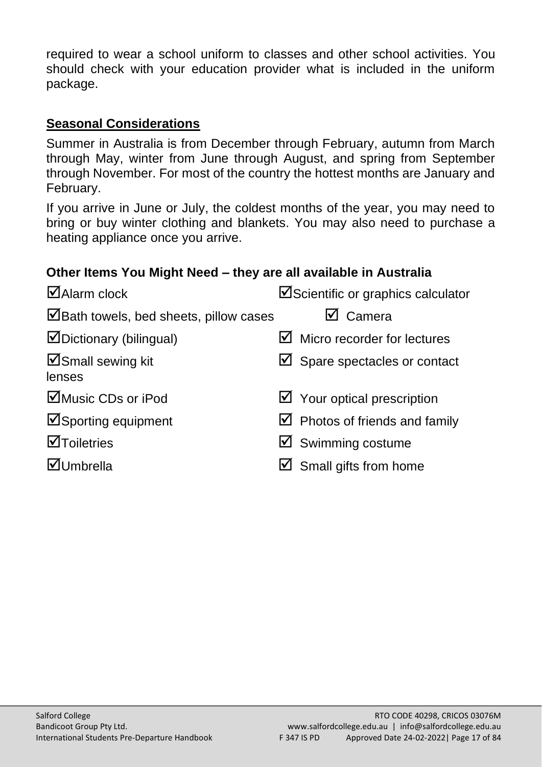required to wear a school uniform to classes and other school activities. You should check with your education provider what is included in the uniform package.

#### **Seasonal Considerations**

Summer in Australia is from December through February, autumn from March through May, winter from June through August, and spring from September through November. For most of the country the hottest months are January and February.

If you arrive in June or July, the coldest months of the year, you may need to bring or buy winter clothing and blankets. You may also need to purchase a heating appliance once you arrive.

## **Other Items You Might Need – they are all available in Australia**

| $\Box$ Alarm clock                                          | ☑Scientific or graphics calculator       |
|-------------------------------------------------------------|------------------------------------------|
| $\blacktriangleright$ Bath towels, bed sheets, pillow cases | $\boxtimes$ Camera                       |
| ☑Dictionary (bilingual)                                     | $\boxtimes$ Micro recorder for lectures  |
| <b>ØSmall sewing kit</b><br>lenses                          | $\boxtimes$ Spare spectacles or contact  |
| ⊠Music CDs or iPod                                          | $\boxtimes$ Your optical prescription    |
| <b>ØSporting equipment</b>                                  | $\boxtimes$ Photos of friends and family |
| <b>M</b> Toiletries                                         | $\boxtimes$ Swimming costume             |
| <b>ØUmbrella</b>                                            | $\boxtimes$ Small gifts from home        |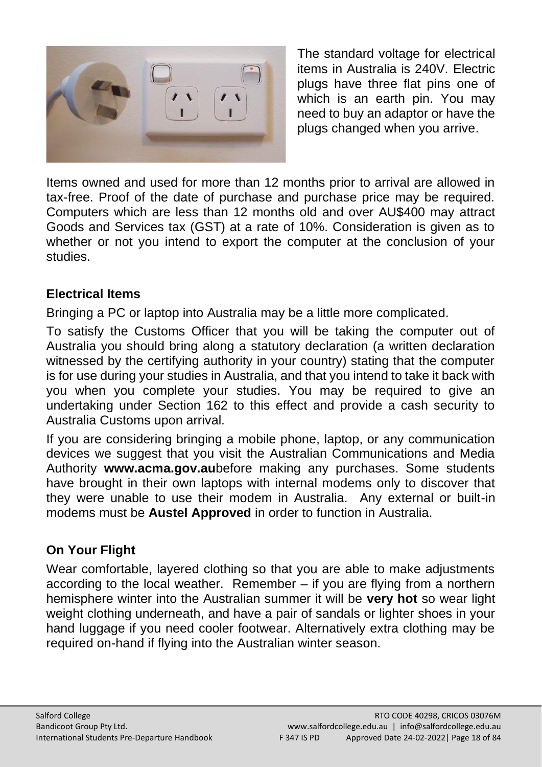

The standard voltage for electrical items in Australia is 240V. Electric plugs have three flat pins one of which is an earth pin. You may need to buy an adaptor or have the plugs changed when you arrive.

Items owned and used for more than 12 months prior to arrival are allowed in tax-free. Proof of the date of purchase and purchase price may be required. Computers which are less than 12 months old and over AU\$400 may attract Goods and Services tax (GST) at a rate of 10%. Consideration is given as to whether or not you intend to export the computer at the conclusion of your studies.

## <span id="page-17-0"></span>**Electrical Items**

Bringing a PC or laptop into Australia may be a little more complicated.

To satisfy the Customs Officer that you will be taking the computer out of Australia you should bring along a statutory declaration (a written declaration witnessed by the certifying authority in your country) stating that the computer is for use during your studies in Australia, and that you intend to take it back with you when you complete your studies. You may be required to give an undertaking under Section 162 to this effect and provide a cash security to Australia Customs upon arrival.

If you are considering bringing a mobile phone, laptop, or any communication devices we suggest that you visit the Australian Communications and Media Authority **www.acma.gov.au**before making any purchases. Some students have brought in their own laptops with internal modems only to discover that they were unable to use their modem in Australia. Any external or built-in modems must be **Austel Approved** in order to function in Australia.

# <span id="page-17-1"></span>**On Your Flight**

Wear comfortable, layered clothing so that you are able to make adjustments according to the local weather. Remember – if you are flying from a northern hemisphere winter into the Australian summer it will be **very hot** so wear light weight clothing underneath, and have a pair of sandals or lighter shoes in your hand luggage if you need cooler footwear. Alternatively extra clothing may be required on-hand if flying into the Australian winter season.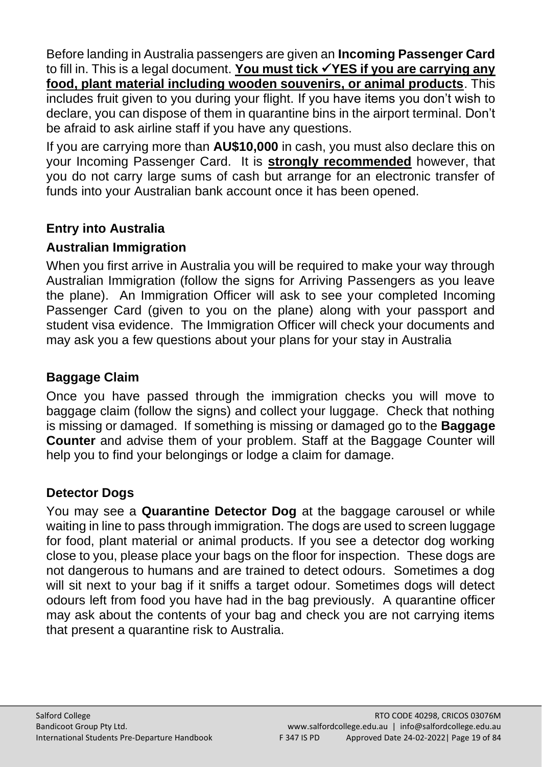Before landing in Australia passengers are given an **Incoming Passenger Card** to fill in. This is a legal document. **You must tick** ✓**YES if you are carrying any food, plant material including wooden souvenirs, or animal products**. This includes fruit given to you during your flight. If you have items you don't wish to declare, you can dispose of them in quarantine bins in the airport terminal. Don't be afraid to ask airline staff if you have any questions.

If you are carrying more than **AU\$10,000** in cash, you must also declare this on your Incoming Passenger Card. It is **strongly recommended** however, that you do not carry large sums of cash but arrange for an electronic transfer of funds into your Australian bank account once it has been opened.

# <span id="page-18-0"></span>**Entry into Australia**

## <span id="page-18-1"></span>**Australian Immigration**

When you first arrive in Australia you will be required to make your way through Australian Immigration (follow the signs for Arriving Passengers as you leave the plane). An Immigration Officer will ask to see your completed Incoming Passenger Card (given to you on the plane) along with your passport and student visa evidence. The Immigration Officer will check your documents and may ask you a few questions about your plans for your stay in Australia

## <span id="page-18-2"></span>**Baggage Claim**

Once you have passed through the immigration checks you will move to baggage claim (follow the signs) and collect your luggage. Check that nothing is missing or damaged. If something is missing or damaged go to the **Baggage Counter** and advise them of your problem. Staff at the Baggage Counter will help you to find your belongings or lodge a claim for damage.

## <span id="page-18-3"></span>**Detector Dogs**

You may see a **Quarantine Detector Dog** at the baggage carousel or while waiting in line to pass through immigration. The dogs are used to screen luggage for food, plant material or animal products. If you see a detector dog working close to you, please place your bags on the floor for inspection. These dogs are not dangerous to humans and are trained to detect odours. Sometimes a dog will sit next to your bag if it sniffs a target odour. Sometimes dogs will detect odours left from food you have had in the bag previously. A quarantine officer may ask about the contents of your bag and check you are not carrying items that present a quarantine risk to Australia.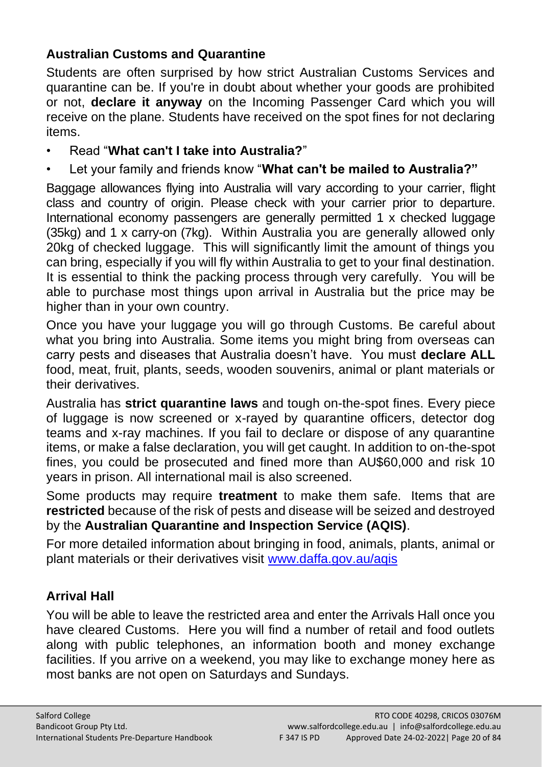# <span id="page-19-0"></span>**Australian Customs and Quarantine**

Students are often surprised by how strict Australian Customs Services and quarantine can be. If you're in doubt about whether your goods are prohibited or not, **declare it anyway** on the Incoming Passenger Card which you will receive on the plane. Students have received on the spot fines for not declaring items.

#### • Read "**What can't I take into Australia?**"

• Let your family and friends know "**What can't be mailed to Australia?"**

Baggage allowances flying into Australia will vary according to your carrier, flight class and country of origin. Please check with your carrier prior to departure. International economy passengers are generally permitted 1 x checked luggage (35kg) and 1 x carry-on (7kg). Within Australia you are generally allowed only 20kg of checked luggage. This will significantly limit the amount of things you can bring, especially if you will fly within Australia to get to your final destination. It is essential to think the packing process through very carefully. You will be able to purchase most things upon arrival in Australia but the price may be higher than in your own country.

Once you have your luggage you will go through Customs. Be careful about what you bring into Australia. Some items you might bring from overseas can carry pests and diseases that Australia doesn't have. You must **declare ALL** food, meat, fruit, plants, seeds, wooden souvenirs, animal or plant materials or their derivatives.

Australia has **strict quarantine laws** and tough on-the-spot fines. Every piece of luggage is now screened or x-rayed by quarantine officers, detector dog teams and x-ray machines. If you fail to declare or dispose of any quarantine items, or make a false declaration, you will get caught. In addition to on-the-spot fines, you could be prosecuted and fined more than AU\$60,000 and risk 10 years in prison. All international mail is also screened.

Some products may require **treatment** to make them safe. Items that are **restricted** because of the risk of pests and disease will be seized and destroyed by the **Australian Quarantine and Inspection Service (AQIS)**.

For more detailed information about bringing in food, animals, plants, animal or plant materials or their derivatives visit [www.daffa.gov.au/aqis](http://www.daffa.gov.au/aqis)

## <span id="page-19-1"></span>**Arrival Hall**

You will be able to leave the restricted area and enter the Arrivals Hall once you have cleared Customs. Here you will find a number of retail and food outlets along with public telephones, an information booth and money exchange facilities. If you arrive on a weekend, you may like to exchange money here as most banks are not open on Saturdays and Sundays.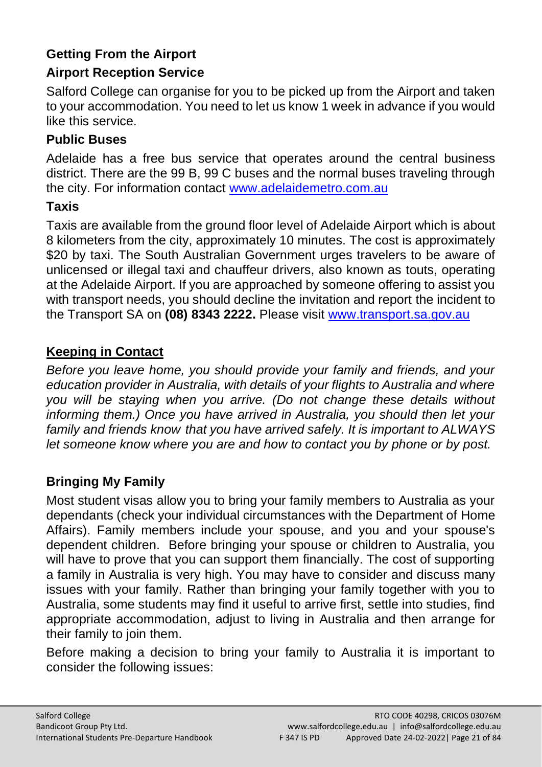# <span id="page-20-0"></span>**Getting From the Airport**

# <span id="page-20-1"></span>**Airport Reception Service**

Salford College can organise for you to be picked up from the Airport and taken to your accommodation. You need to let us know 1 week in advance if you would like this service.

## <span id="page-20-2"></span>**Public Buses**

Adelaide has a free bus service that operates around the central business district. There are the 99 B, 99 C buses and the normal buses traveling through the city. For information contact [www.adelaidemetro.com.au](http://www.adelaidemetro.com.au/)

# <span id="page-20-3"></span>**Taxis**

Taxis are available from the ground floor level of Adelaide Airport which is about 8 kilometers from the city, approximately 10 minutes. The cost is approximately \$20 by taxi. The South Australian Government urges travelers to be aware of unlicensed or illegal taxi and chauffeur drivers, also known as touts, operating at the Adelaide Airport. If you are approached by someone offering to assist you with transport needs, you should decline the invitation and report the incident to the Transport SA on **(08) 8343 2222.** Please visit [www.transport.sa.gov.au](http://www.transport.sa.gov.au/)

# **Keeping in Contact**

*Before you leave home, you should provide your family and friends, and your education provider in Australia, with details of your flights to Australia and where you will be staying when you arrive. (Do not change these details without informing them.) Once you have arrived in Australia, you should then let your family and friends know that you have arrived safely. It is important to ALWAYS let someone know where you are and how to contact you by phone or by post.*

# <span id="page-20-4"></span>**Bringing My Family**

Most student visas allow you to bring your family members to Australia as your dependants (check your individual circumstances with the Department of Home Affairs). Family members include your spouse, and you and your spouse's dependent children. Before bringing your spouse or children to Australia, you will have to prove that you can support them financially. The cost of supporting a family in Australia is very high. You may have to consider and discuss many issues with your family. Rather than bringing your family together with you to Australia, some students may find it useful to arrive first, settle into studies, find appropriate accommodation, adjust to living in Australia and then arrange for their family to join them.

Before making a decision to bring your family to Australia it is important to consider the following issues: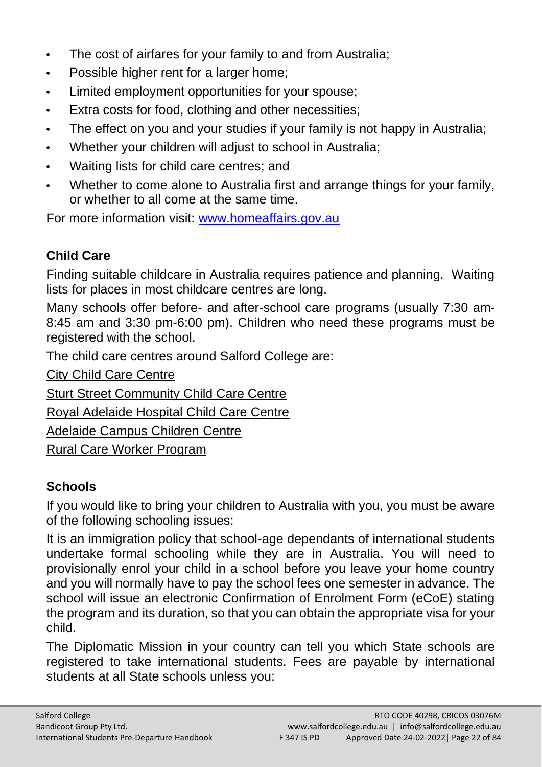- **•** The cost of airfares for your family to and from Australia;
- **•** Possible higher rent for a larger home;
- **•** Limited employment opportunities for your spouse;
- **•** Extra costs for food, clothing and other necessities;
- **•** The effect on you and your studies if your family is not happy in Australia;
- **•** Whether your children will adjust to school in Australia;
- **•** Waiting lists for child care centres; and
- **•** Whether to come alone to Australia first and arrange things for your family, or whether to all come at the same time.

For more information visit: [www.homeaffairs.gov.au](http://www.homeaffairs.gov.au/)

# <span id="page-21-0"></span>**Child Care**

Finding suitable childcare in Australia requires patience and planning. Waiting lists for places in most childcare centres are long.

Many schools offer before- and after-school care programs (usually 7:30 am-8:45 am and 3:30 pm-6:00 pm). Children who need these programs must be registered with the school.

The child care centres around Salford College are:

[City Child Care Centre](javascript:showPopWin() 

[Sturt Street Community Child Care Centre](javascript:showPopWin() 

[Royal Adelaide Hospital Child Care Centre](javascript:showPopWin() 

[Adelaide Campus Children Centre](javascript:showPopWin() 

[Rural Care Worker Program](javascript:showPopWin() 

# <span id="page-21-1"></span>**Schools**

If you would like to bring your children to Australia with you, you must be aware of the following schooling issues:

It is an immigration policy that school-age dependants of international students undertake formal schooling while they are in Australia. You will need to provisionally enrol your child in a school before you leave your home country and you will normally have to pay the school fees one semester in advance. The school will issue an electronic Confirmation of Enrolment Form (eCoE) stating the program and its duration, so that you can obtain the appropriate visa for your child.

The Diplomatic Mission in your country can tell you which State schools are registered to take international students. Fees are payable by international students at all State schools unless you: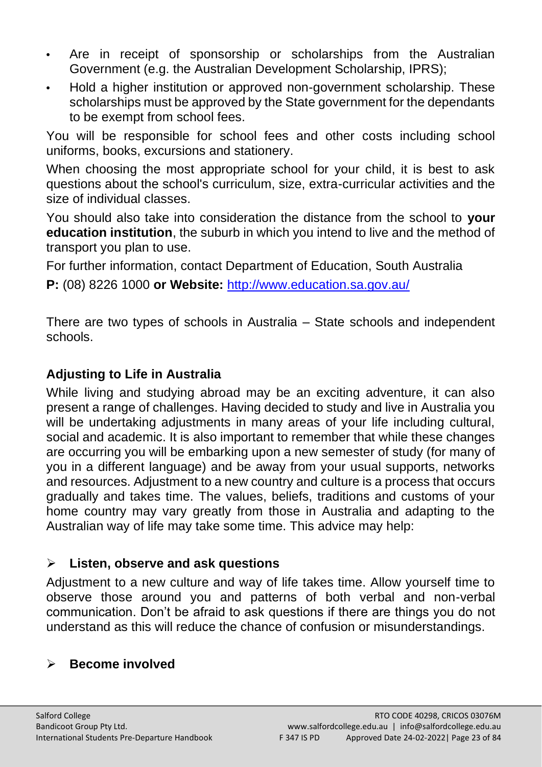- **•** Are in receipt of sponsorship or scholarships from the Australian Government (e.g. the Australian Development Scholarship, IPRS);
- **•** Hold a higher institution or approved non-government scholarship. These scholarships must be approved by the State government for the dependants to be exempt from school fees.

You will be responsible for school fees and other costs including school uniforms, books, excursions and stationery.

When choosing the most appropriate school for your child, it is best to ask questions about the school's curriculum, size, extra-curricular activities and the size of individual classes.

You should also take into consideration the distance from the school to **your education institution**, the suburb in which you intend to live and the method of transport you plan to use.

For further information, contact Department of Education, South Australia

**P:** (08) 8226 1000 **or Website:** <http://www.education.sa.gov.au/>

There are two types of schools in Australia – State schools and independent schools.

# <span id="page-22-0"></span>**Adjusting to Life in Australia**

While living and studying abroad may be an exciting adventure, it can also present a range of challenges. Having decided to study and live in Australia you will be undertaking adjustments in many areas of your life including cultural, social and academic. It is also important to remember that while these changes are occurring you will be embarking upon a new semester of study (for many of you in a different language) and be away from your usual supports, networks and resources. Adjustment to a new country and culture is a process that occurs gradually and takes time. The values, beliefs, traditions and customs of your home country may vary greatly from those in Australia and adapting to the Australian way of life may take some time. This advice may help:

# ➢ **Listen, observe and ask questions**

Adjustment to a new culture and way of life takes time. Allow yourself time to observe those around you and patterns of both verbal and non-verbal communication. Don't be afraid to ask questions if there are things you do not understand as this will reduce the chance of confusion or misunderstandings.

# ➢ **Become involved**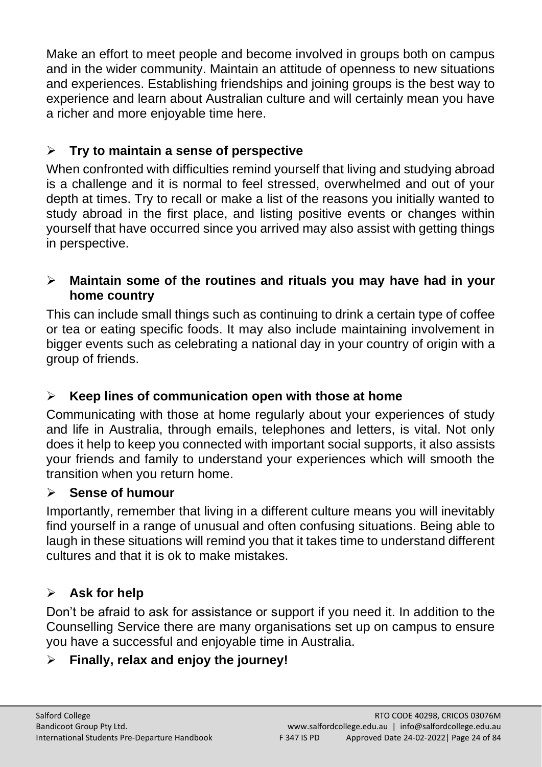Make an effort to meet people and become involved in groups both on campus and in the wider community. Maintain an attitude of openness to new situations and experiences. Establishing friendships and joining groups is the best way to experience and learn about Australian culture and will certainly mean you have a richer and more enjoyable time here.

# ➢ **Try to maintain a sense of perspective**

When confronted with difficulties remind yourself that living and studying abroad is a challenge and it is normal to feel stressed, overwhelmed and out of your depth at times. Try to recall or make a list of the reasons you initially wanted to study abroad in the first place, and listing positive events or changes within yourself that have occurred since you arrived may also assist with getting things in perspective.

## ➢ **Maintain some of the routines and rituals you may have had in your home country**

This can include small things such as continuing to drink a certain type of coffee or tea or eating specific foods. It may also include maintaining involvement in bigger events such as celebrating a national day in your country of origin with a group of friends.

# ➢ **Keep lines of communication open with those at home**

Communicating with those at home regularly about your experiences of study and life in Australia, through emails, telephones and letters, is vital. Not only does it help to keep you connected with important social supports, it also assists your friends and family to understand your experiences which will smooth the transition when you return home.

## ➢ **Sense of humour**

Importantly, remember that living in a different culture means you will inevitably find yourself in a range of unusual and often confusing situations. Being able to laugh in these situations will remind you that it takes time to understand different cultures and that it is ok to make mistakes.

# ➢ **Ask for help**

Don't be afraid to ask for assistance or support if you need it. In addition to the Counselling Service there are many organisations set up on campus to ensure you have a successful and enjoyable time in Australia.

# ➢ **Finally, relax and enjoy the journey!**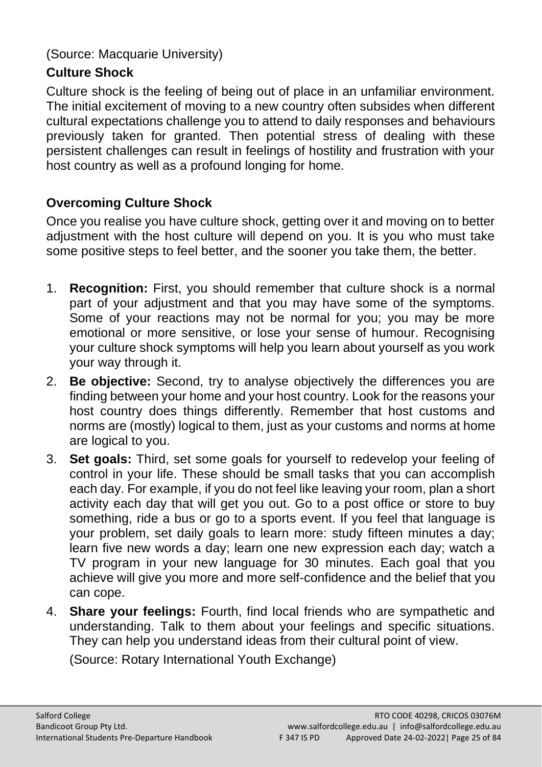(Source: Macquarie University)

# <span id="page-24-0"></span>**Culture Shock**

Culture shock is the feeling of being out of place in an unfamiliar environment. The initial excitement of moving to a new country often subsides when different cultural expectations challenge you to attend to daily responses and behaviours previously taken for granted. Then potential stress of dealing with these persistent challenges can result in feelings of hostility and frustration with your host country as well as a profound longing for home.

# **Overcoming Culture Shock**

Once you realise you have culture shock, getting over it and moving on to better adjustment with the host culture will depend on you. It is you who must take some positive steps to feel better, and the sooner you take them, the better.

- 1. **Recognition:** First, you should remember that culture shock is a normal part of your adjustment and that you may have some of the symptoms. Some of your reactions may not be normal for you; you may be more emotional or more sensitive, or lose your sense of humour. Recognising your culture shock symptoms will help you learn about yourself as you work your way through it.
- 2. **Be objective:** Second, try to analyse objectively the differences you are finding between your home and your host country. Look for the reasons your host country does things differently. Remember that host customs and norms are (mostly) logical to them, just as your customs and norms at home are logical to you.
- 3. **Set goals:** Third, set some goals for yourself to redevelop your feeling of control in your life. These should be small tasks that you can accomplish each day. For example, if you do not feel like leaving your room, plan a short activity each day that will get you out. Go to a post office or store to buy something, ride a bus or go to a sports event. If you feel that language is your problem, set daily goals to learn more: study fifteen minutes a day; learn five new words a day; learn one new expression each day; watch a TV program in your new language for 30 minutes. Each goal that you achieve will give you more and more self-confidence and the belief that you can cope.
- 4. **Share your feelings:** Fourth, find local friends who are sympathetic and understanding. Talk to them about your feelings and specific situations. They can help you understand ideas from their cultural point of view.

(Source: Rotary International Youth Exchange)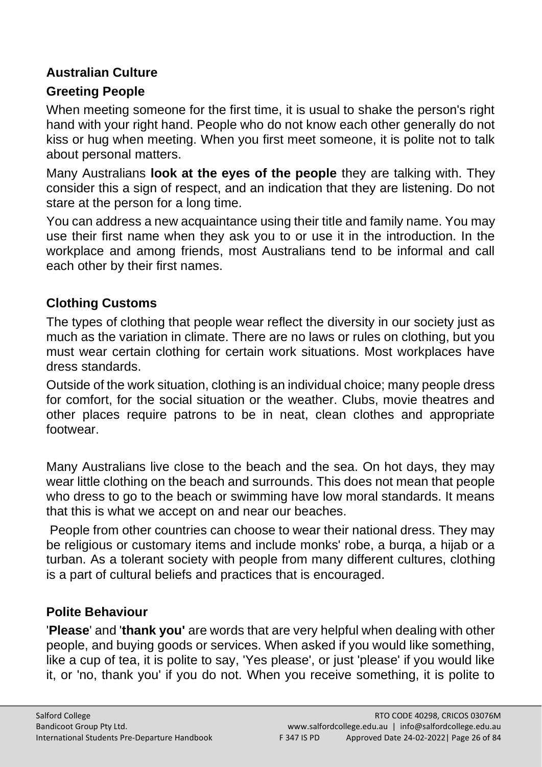# <span id="page-25-0"></span>**Australian Culture**

# **Greeting People**

When meeting someone for the first time, it is usual to shake the person's right hand with your right hand. People who do not know each other generally do not kiss or hug when meeting. When you first meet someone, it is polite not to talk about personal matters.

Many Australians **look at the eyes of the people** they are talking with. They consider this a sign of respect, and an indication that they are listening. Do not stare at the person for a long time.

You can address a new acquaintance using their title and family name. You may use their first name when they ask you to or use it in the introduction. In the workplace and among friends, most Australians tend to be informal and call each other by their first names.

# **Clothing Customs**

The types of clothing that people wear reflect the diversity in our society just as much as the variation in climate. There are no laws or rules on clothing, but you must wear certain clothing for certain work situations. Most workplaces have dress standards.

Outside of the work situation, clothing is an individual choice; many people dress for comfort, for the social situation or the weather. Clubs, movie theatres and other places require patrons to be in neat, clean clothes and appropriate footwear.

Many Australians live close to the beach and the sea. On hot days, they may wear little clothing on the beach and surrounds. This does not mean that people who dress to go to the beach or swimming have low moral standards. It means that this is what we accept on and near our beaches.

People from other countries can choose to wear their national dress. They may be religious or customary items and include monks' robe, a burqa, a hijab or a turban. As a tolerant society with people from many different cultures, clothing is a part of cultural beliefs and practices that is encouraged.

# **Polite Behaviour**

'**Please**' and '**thank you'** are words that are very helpful when dealing with other people, and buying goods or services. When asked if you would like something, like a cup of tea, it is polite to say, 'Yes please', or just 'please' if you would like it, or 'no, thank you' if you do not. When you receive something, it is polite to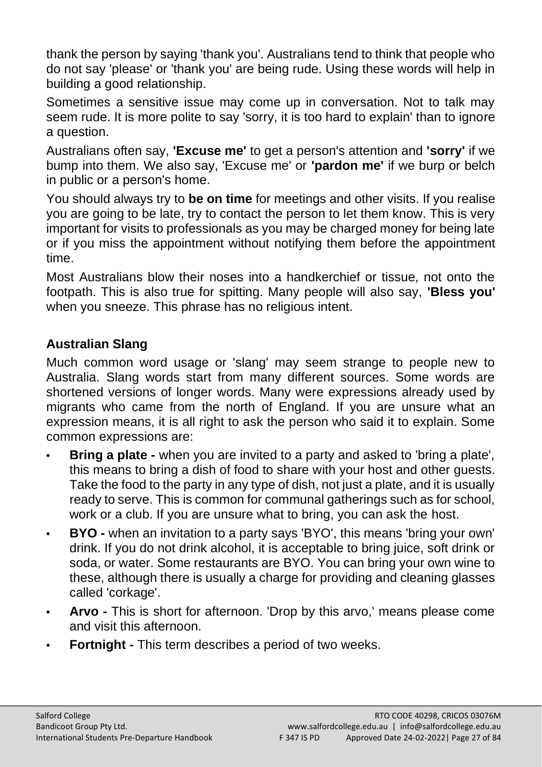thank the person by saying 'thank you'. Australians tend to think that people who do not say 'please' or 'thank you' are being rude. Using these words will help in building a good relationship.

Sometimes a sensitive issue may come up in conversation. Not to talk may seem rude. It is more polite to say 'sorry, it is too hard to explain' than to ignore a question.

Australians often say, **'Excuse me'** to get a person's attention and **'sorry'** if we bump into them. We also say, 'Excuse me' or **'pardon me'** if we burp or belch in public or a person's home.

You should always try to **be on time** for meetings and other visits. If you realise you are going to be late, try to contact the person to let them know. This is very important for visits to professionals as you may be charged money for being late or if you miss the appointment without notifying them before the appointment time.

Most Australians blow their noses into a handkerchief or tissue, not onto the footpath. This is also true for spitting. Many people will also say, **'Bless you'** when you sneeze. This phrase has no religious intent.

# **Australian Slang**

Much common word usage or 'slang' may seem strange to people new to Australia. Slang words start from many different sources. Some words are shortened versions of longer words. Many were expressions already used by migrants who came from the north of England. If you are unsure what an expression means, it is all right to ask the person who said it to explain. Some common expressions are:

- **• Bring a plate -** when you are invited to a party and asked to 'bring a plate', this means to bring a dish of food to share with your host and other guests. Take the food to the party in any type of dish, not just a plate, and it is usually ready to serve. This is common for communal gatherings such as for school, work or a club. If you are unsure what to bring, you can ask the host.
- **• BYO -** when an invitation to a party says 'BYO', this means 'bring your own' drink. If you do not drink alcohol, it is acceptable to bring juice, soft drink or soda, or water. Some restaurants are BYO. You can bring your own wine to these, although there is usually a charge for providing and cleaning glasses called 'corkage'.
- **• Arvo -** This is short for afternoon. 'Drop by this arvo,' means please come and visit this afternoon.
- **• Fortnight -** This term describes a period of two weeks.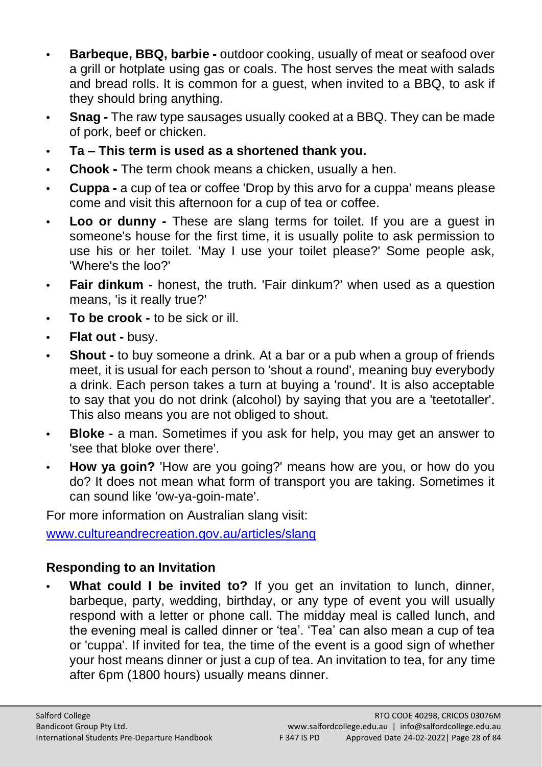- **• Barbeque, BBQ, barbie -** outdoor cooking, usually of meat or seafood over a grill or hotplate using gas or coals. The host serves the meat with salads and bread rolls. It is common for a guest, when invited to a BBQ, to ask if they should bring anything.
- **• Snag -** The raw type sausages usually cooked at a BBQ. They can be made of pork, beef or chicken.
- **• Ta – This term is used as a shortened thank you.**
- **• Chook -** The term chook means a chicken, usually a hen.
- **• Cuppa -** a cup of tea or coffee 'Drop by this arvo for a cuppa' means please come and visit this afternoon for a cup of tea or coffee.
- **• Loo or dunny -** These are slang terms for toilet. If you are a guest in someone's house for the first time, it is usually polite to ask permission to use his or her toilet. 'May I use your toilet please?' Some people ask, 'Where's the loo?'
- **• Fair dinkum -** honest, the truth. 'Fair dinkum?' when used as a question means. 'is it really true?'
- **• To be crook -** to be sick or ill.
- **• Flat out -** busy.
- **• Shout -** to buy someone a drink. At a bar or a pub when a group of friends meet, it is usual for each person to 'shout a round', meaning buy everybody a drink. Each person takes a turn at buying a 'round'. It is also acceptable to say that you do not drink (alcohol) by saying that you are a 'teetotaller'. This also means you are not obliged to shout.
- **• Bloke -** a man. Sometimes if you ask for help, you may get an answer to 'see that bloke over there'.
- **• How ya goin?** 'How are you going?' means how are you, or how do you do? It does not mean what form of transport you are taking. Sometimes it can sound like 'ow-ya-goin-mate'.

For more information on Australian slang visit:

[www.cultureandrecreation.gov.au/articles/slang](http://www.cultureandrecreation.gov.au/articles/slang)

# **Responding to an Invitation**

**• What could I be invited to?** If you get an invitation to lunch, dinner, barbeque, party, wedding, birthday, or any type of event you will usually respond with a letter or phone call. The midday meal is called lunch, and the evening meal is called dinner or 'tea'. 'Tea' can also mean a cup of tea or 'cuppa'. If invited for tea, the time of the event is a good sign of whether your host means dinner or just a cup of tea. An invitation to tea, for any time after 6pm (1800 hours) usually means dinner.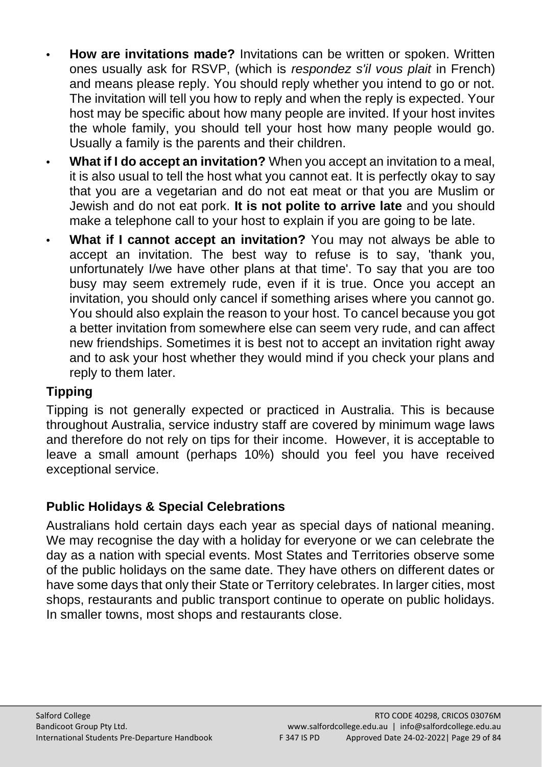- **• How are invitations made?** Invitations can be written or spoken. Written ones usually ask for RSVP, (which is *respondez s'il vous plait* in French) and means please reply. You should reply whether you intend to go or not. The invitation will tell you how to reply and when the reply is expected. Your host may be specific about how many people are invited. If your host invites the whole family, you should tell your host how many people would go. Usually a family is the parents and their children.
- **• What if I do accept an invitation?** When you accept an invitation to a meal, it is also usual to tell the host what you cannot eat. It is perfectly okay to say that you are a vegetarian and do not eat meat or that you are Muslim or Jewish and do not eat pork. **It is not polite to arrive late** and you should make a telephone call to your host to explain if you are going to be late.
- **What if I cannot accept an invitation?** You may not always be able to accept an invitation. The best way to refuse is to say, 'thank you, unfortunately I/we have other plans at that time'. To say that you are too busy may seem extremely rude, even if it is true. Once you accept an invitation, you should only cancel if something arises where you cannot go. You should also explain the reason to your host. To cancel because you got a better invitation from somewhere else can seem very rude, and can affect new friendships. Sometimes it is best not to accept an invitation right away and to ask your host whether they would mind if you check your plans and reply to them later.

# **Tipping**

Tipping is not generally expected or practiced in Australia. This is because throughout Australia, service industry staff are covered by minimum wage laws and therefore do not rely on tips for their income. However, it is acceptable to leave a small amount (perhaps 10%) should you feel you have received exceptional service.

# <span id="page-28-0"></span>**Public Holidays & Special Celebrations**

Australians hold certain days each year as special days of national meaning. We may recognise the day with a holiday for everyone or we can celebrate the day as a nation with special events. Most States and Territories observe some of the public holidays on the same date. They have others on different dates or have some days that only their State or Territory celebrates. In larger cities, most shops, restaurants and public transport continue to operate on public holidays. In smaller towns, most shops and restaurants close.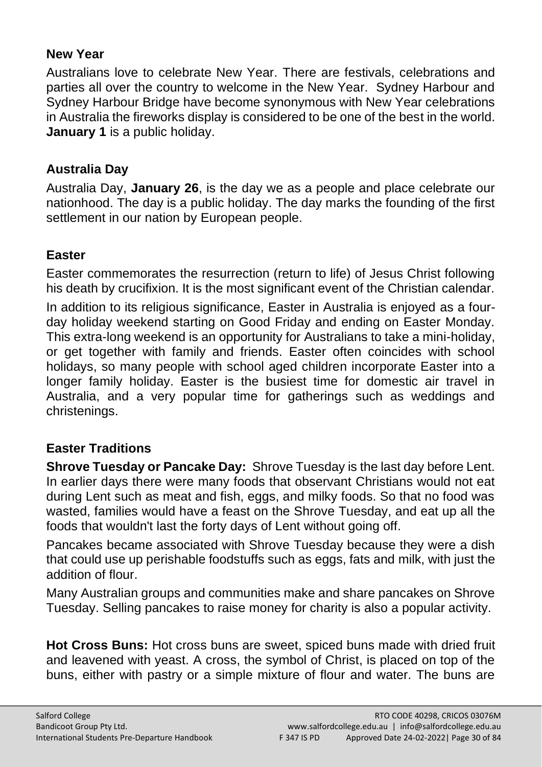## <span id="page-29-0"></span>**New Year**

Australians love to celebrate New Year. There are festivals, celebrations and parties all over the country to welcome in the New Year. Sydney Harbour and Sydney Harbour Bridge have become synonymous with New Year celebrations in Australia the fireworks display is considered to be one of the best in the world. **January 1** is a public holiday.

## <span id="page-29-1"></span>**Australia Day**

Australia Day, **January 26**, is the day we as a people and place celebrate our nationhood. The day is a public holiday. The day marks the founding of the first settlement in our nation by European people.

## <span id="page-29-2"></span>**Easter**

Easter commemorates the resurrection (return to life) of Jesus Christ following his death by crucifixion. It is the most significant event of the Christian calendar. In addition to its religious significance, Easter in Australia is enjoyed as a fourday holiday weekend starting on Good Friday and ending on Easter Monday. This extra-long weekend is an opportunity for Australians to take a mini-holiday, or get together with family and friends. Easter often coincides with school holidays, so many people with school aged children incorporate Easter into a longer family holiday. Easter is the busiest time for domestic air travel in Australia, and a very popular time for gatherings such as weddings and christenings.

# <span id="page-29-3"></span>**Easter Traditions**

**Shrove Tuesday or Pancake Day:** Shrove Tuesday is the last day before Lent. In earlier days there were many foods that observant Christians would not eat during Lent such as meat and fish, eggs, and milky foods. So that no food was wasted, families would have a feast on the Shrove Tuesday, and eat up all the foods that wouldn't last the forty days of Lent without going off.

Pancakes became associated with Shrove Tuesday because they were a dish that could use up perishable foodstuffs such as eggs, fats and milk, with just the addition of flour.

Many Australian groups and communities make and share pancakes on Shrove Tuesday. Selling pancakes to raise money for charity is also a popular activity.

**Hot Cross Buns:** Hot cross buns are sweet, spiced buns made with dried fruit and leavened with yeast. A cross, the symbol of Christ, is placed on top of the buns, either with pastry or a simple mixture of flour and water. The buns are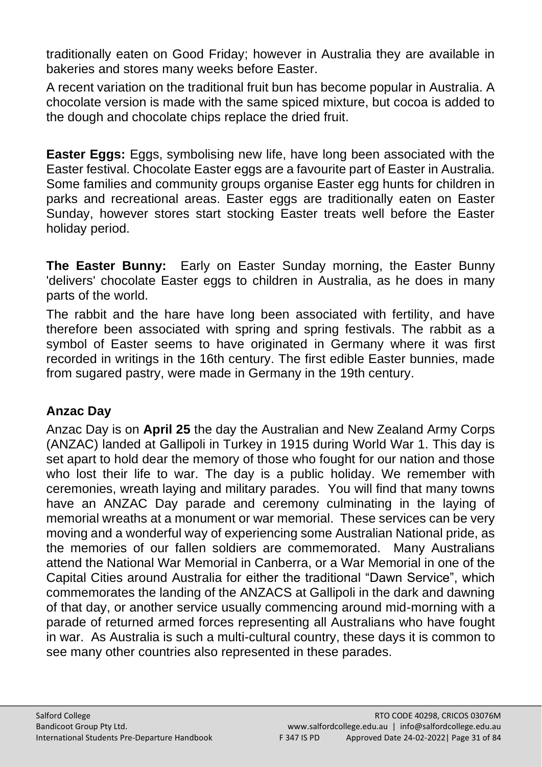traditionally eaten on Good Friday; however in Australia they are available in bakeries and stores many weeks before Easter.

A recent variation on the traditional fruit bun has become popular in Australia. A chocolate version is made with the same spiced mixture, but cocoa is added to the dough and chocolate chips replace the dried fruit.

**Easter Eggs:** Eggs, symbolising new life, have long been associated with the Easter festival. Chocolate Easter eggs are a favourite part of Easter in Australia. Some families and community groups organise Easter egg hunts for children in parks and recreational areas. Easter eggs are traditionally eaten on Easter Sunday, however stores start stocking Easter treats well before the Easter holiday period.

**The Easter Bunny:** Early on Easter Sunday morning, the Easter Bunny 'delivers' chocolate Easter eggs to children in Australia, as he does in many parts of the world.

The rabbit and the hare have long been associated with fertility, and have therefore been associated with spring and spring festivals. The rabbit as a symbol of Easter seems to have originated in Germany where it was first recorded in writings in the 16th century. The first edible Easter bunnies, made from sugared pastry, were made in Germany in the 19th century.

# <span id="page-30-0"></span>**Anzac Day**

Anzac Day is on **April 25** the day the Australian and New Zealand Army Corps (ANZAC) landed at Gallipoli in Turkey in 1915 during World War 1. This day is set apart to hold dear the memory of those who fought for our nation and those who lost their life to war. The day is a public holiday. We remember with ceremonies, wreath laying and military parades. You will find that many towns have an ANZAC Day parade and ceremony culminating in the laying of memorial wreaths at a monument or war memorial. These services can be very moving and a wonderful way of experiencing some Australian National pride, as the memories of our fallen soldiers are commemorated. Many Australians attend the National War Memorial in Canberra, or a War Memorial in one of the Capital Cities around Australia for either the traditional "Dawn Service", which commemorates the landing of the ANZACS at Gallipoli in the dark and dawning of that day, or another service usually commencing around mid-morning with a parade of returned armed forces representing all Australians who have fought in war. As Australia is such a multi-cultural country, these days it is common to see many other countries also represented in these parades.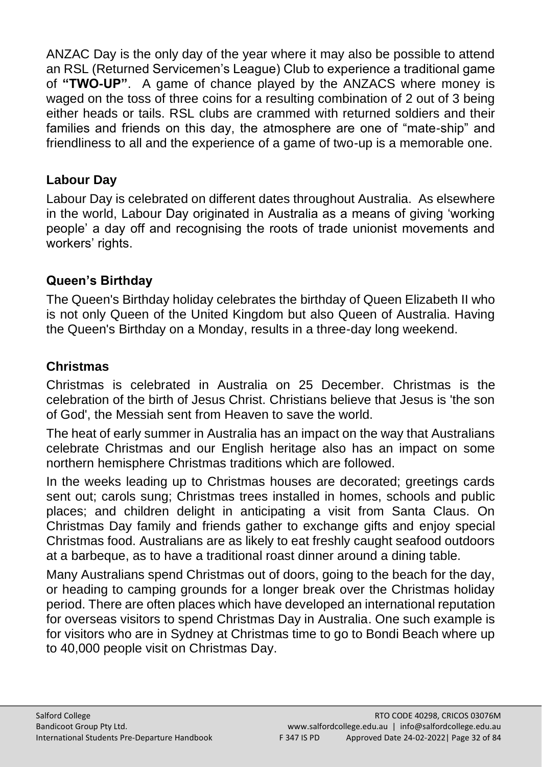ANZAC Day is the only day of the year where it may also be possible to attend an RSL (Returned Servicemen's League) Club to experience a traditional game of **"TWO-UP"**. A game of chance played by the ANZACS where money is waged on the toss of three coins for a resulting combination of 2 out of 3 being either heads or tails. RSL clubs are crammed with returned soldiers and their families and friends on this day, the atmosphere are one of "mate-ship" and friendliness to all and the experience of a game of two-up is a memorable one.

# <span id="page-31-0"></span>**Labour Day**

Labour Day is celebrated on different dates throughout Australia. As elsewhere in the world, Labour Day originated in Australia as a means of giving 'working people' a day off and recognising the roots of trade unionist movements and workers' rights.

# <span id="page-31-1"></span>**Queen's Birthday**

The Queen's Birthday holiday celebrates the birthday of Queen Elizabeth II who is not only Queen of the United Kingdom but also Queen of Australia. Having the Queen's Birthday on a Monday, results in a three-day long weekend.

# <span id="page-31-2"></span>**Christmas**

Christmas is celebrated in Australia on 25 December. Christmas is the celebration of the birth of Jesus Christ. Christians believe that Jesus is 'the son of God', the Messiah sent from Heaven to save the world.

The heat of early summer in Australia has an impact on the way that Australians celebrate Christmas and our English heritage also has an impact on some northern hemisphere Christmas traditions which are followed.

In the weeks leading up to Christmas houses are decorated; greetings cards sent out; carols sung; Christmas trees installed in homes, schools and public places; and children delight in anticipating a visit from Santa Claus. On Christmas Day family and friends gather to exchange gifts and enjoy special Christmas food. Australians are as likely to eat freshly caught seafood outdoors at a barbeque, as to have a traditional roast dinner around a dining table.

Many Australians spend Christmas out of doors, going to the beach for the day, or heading to camping grounds for a longer break over the Christmas holiday period. There are often places which have developed an international reputation for overseas visitors to spend Christmas Day in Australia. One such example is for visitors who are in Sydney at Christmas time to go to Bondi Beach where up to 40,000 people visit on Christmas Day.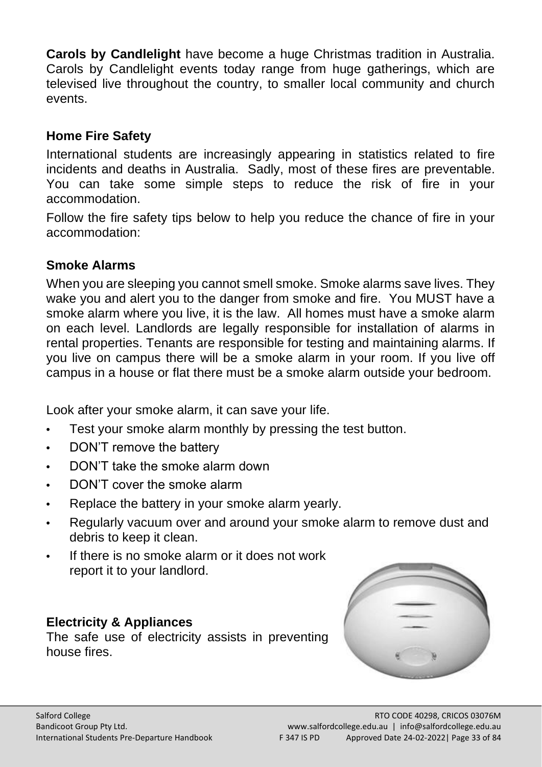**Carols by Candlelight** have become a huge Christmas tradition in Australia. Carols by Candlelight events today range from huge gatherings, which are televised live throughout the country, to smaller local community and church events.

## <span id="page-32-0"></span>**Home Fire Safety**

International students are increasingly appearing in statistics related to fire incidents and deaths in Australia. Sadly, most of these fires are preventable. You can take some simple steps to reduce the risk of fire in your accommodation.

Follow the fire safety tips below to help you reduce the chance of fire in your accommodation:

## <span id="page-32-1"></span>**Smoke Alarms**

When you are sleeping you cannot smell smoke. Smoke alarms save lives. They wake you and alert you to the danger from smoke and fire. You MUST have a smoke alarm where you live, it is the law. All homes must have a smoke alarm on each level. Landlords are legally responsible for installation of alarms in rental properties. Tenants are responsible for testing and maintaining alarms. If you live on campus there will be a smoke alarm in your room. If you live off campus in a house or flat there must be a smoke alarm outside your bedroom.

Look after your smoke alarm, it can save your life.

- **•** Test your smoke alarm monthly by pressing the test button.
- **•** DON'T remove the battery
- **•** DON'T take the smoke alarm down
- **•** DON'T cover the smoke alarm
- **•** Replace the battery in your smoke alarm yearly.
- **•** Regularly vacuum over and around your smoke alarm to remove dust and debris to keep it clean.
- **•** If there is no smoke alarm or it does not work report it to your landlord.

## <span id="page-32-2"></span>**Electricity & Appliances**

The safe use of electricity assists in preventing house fires.

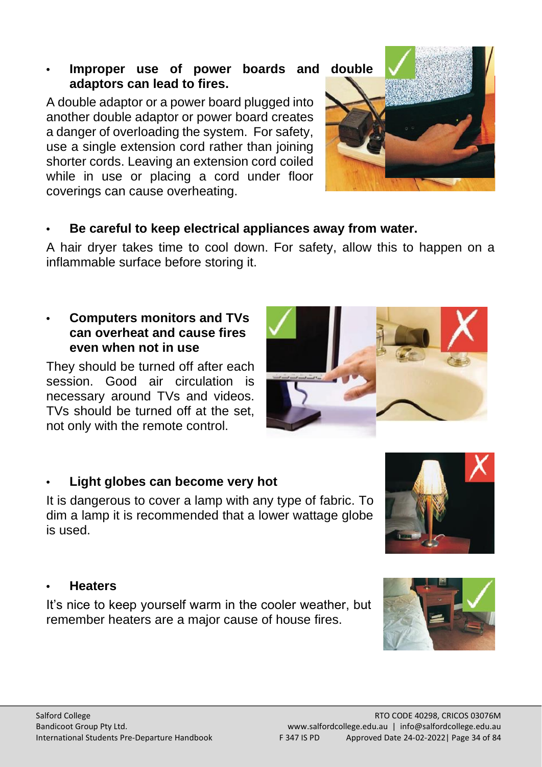#### **• Improper use of power boards and double adaptors can lead to fires.**

A double adaptor or a power board plugged into another double adaptor or power board creates a danger of overloading the system. For safety, use a single extension cord rather than joining shorter cords. Leaving an extension cord coiled while in use or placing a cord under floor coverings can cause overheating.

#### **• Be careful to keep electrical appliances away from water.**

A hair dryer takes time to cool down. For safety, allow this to happen on a inflammable surface before storing it.

#### **• Computers monitors and TVs can overheat and cause fires even when not in use**

They should be turned off after each session. Good air circulation is necessary around TVs and videos. TVs should be turned off at the set, not only with the remote control.

#### **• Light globes can become very hot**

It is dangerous to cover a lamp with any type of fabric. To dim a lamp it is recommended that a lower wattage globe is used.

#### <span id="page-33-0"></span>**• Heaters**

It's nice to keep yourself warm in the cooler weather, but remember heaters are a major cause of house fires.









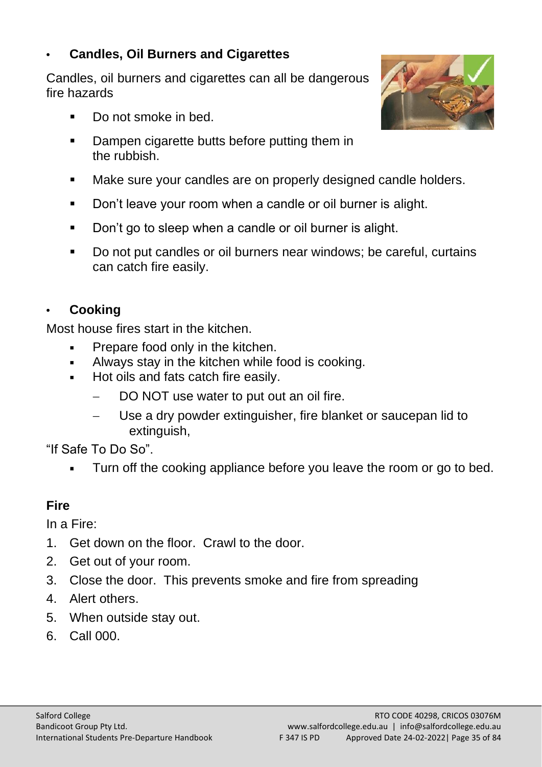# <span id="page-34-0"></span>**• Candles, Oil Burners and Cigarettes**

Candles, oil burners and cigarettes can all be dangerous fire hazards

- Do not smoke in bed.
- Dampen cigarette butts before putting them in the rubbish.
- Make sure your candles are on properly designed candle holders.
- Don't leave your room when a candle or oil burner is alight.
- Don't go to sleep when a candle or oil burner is alight.
- Do not put candles or oil burners near windows; be careful, curtains can catch fire easily.

## <span id="page-34-1"></span>**• Cooking**

Most house fires start in the kitchen.

- **•** Prepare food only in the kitchen.
- Always stay in the kitchen while food is cooking.
- Hot oils and fats catch fire easily.
	- DO NOT use water to put out an oil fire.
	- Use a dry powder extinguisher, fire blanket or saucepan lid to extinguish,

"If Safe To Do So".

Turn off the cooking appliance before you leave the room or go to bed.

# **Fire**

In a Fire:

- 1. Get down on the floor. Crawl to the door.
- 2. Get out of your room.
- 3. Close the door. This prevents smoke and fire from spreading
- 4. Alert others.
- 5. When outside stay out.
- 6. Call 000.

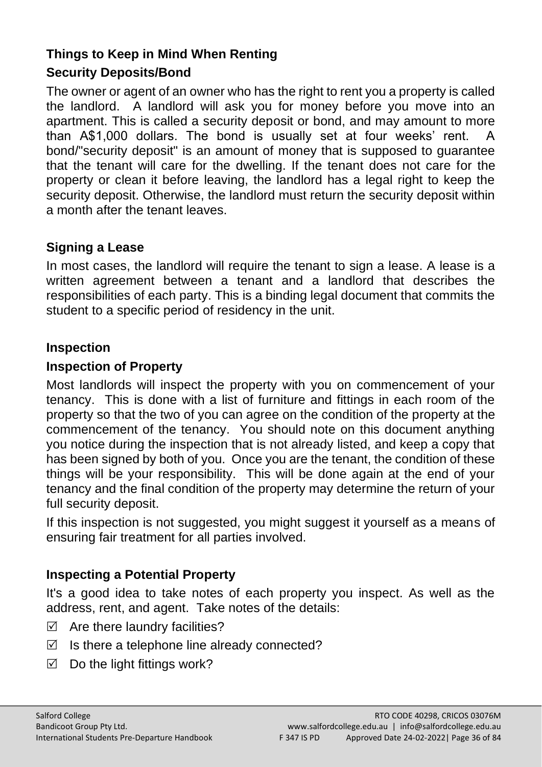## **Things to Keep in Mind When Renting**

## **Security Deposits/Bond**

The owner or agent of an owner who has the right to rent you a property is called the landlord. A landlord will ask you for money before you move into an apartment. This is called a security deposit or bond, and may amount to more than A\$1,000 dollars. The bond is usually set at four weeks' rent. A bond/"security deposit" is an amount of money that is supposed to guarantee that the tenant will care for the dwelling. If the tenant does not care for the property or clean it before leaving, the landlord has a legal right to keep the security deposit. Otherwise, the landlord must return the security deposit within a month after the tenant leaves.

## **Signing a Lease**

In most cases, the landlord will require the tenant to sign a lease. A lease is a written agreement between a tenant and a landlord that describes the responsibilities of each party. This is a binding legal document that commits the student to a specific period of residency in the unit.

## **Inspection**

#### **Inspection of Property**

Most landlords will inspect the property with you on commencement of your tenancy. This is done with a list of furniture and fittings in each room of the property so that the two of you can agree on the condition of the property at the commencement of the tenancy. You should note on this document anything you notice during the inspection that is not already listed, and keep a copy that has been signed by both of you. Once you are the tenant, the condition of these things will be your responsibility. This will be done again at the end of your tenancy and the final condition of the property may determine the return of your full security deposit.

If this inspection is not suggested, you might suggest it yourself as a means of ensuring fair treatment for all parties involved.

## **Inspecting a Potential Property**

It's a good idea to take notes of each property you inspect. As well as the address, rent, and agent. Take notes of the details:

- $\boxtimes$  Are there laundry facilities?
- $\boxtimes$  Is there a telephone line already connected?
- $\boxtimes$  Do the light fittings work?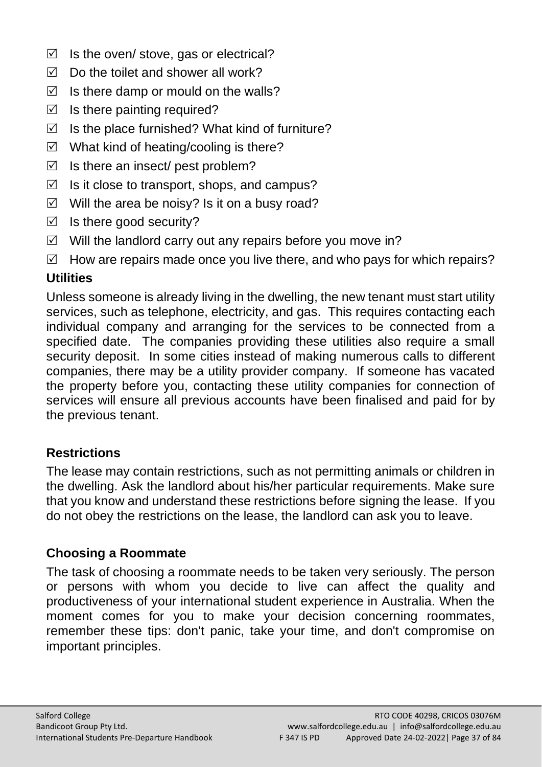- $\boxtimes$  Is the oven/ stove, gas or electrical?
- $\boxtimes$  Do the toilet and shower all work?
- $\triangledown$  Is there damp or mould on the walls?
- $\boxtimes$  Is there painting required?
- $\boxtimes$  Is the place furnished? What kind of furniture?
- $\boxtimes$  What kind of heating/cooling is there?
- $\boxtimes$  Is there an insect/ pest problem?
- $\boxtimes$  Is it close to transport, shops, and campus?
- $\boxtimes$  Will the area be noisy? Is it on a busy road?
- $\boxtimes$  Is there good security?
- $\boxtimes$  Will the landlord carry out any repairs before you move in?
- $\boxtimes$  How are repairs made once you live there, and who pays for which repairs?

# **Utilities**

Unless someone is already living in the dwelling, the new tenant must start utility services, such as telephone, electricity, and gas. This requires contacting each individual company and arranging for the services to be connected from a specified date. The companies providing these utilities also require a small security deposit. In some cities instead of making numerous calls to different companies, there may be a utility provider company. If someone has vacated the property before you, contacting these utility companies for connection of services will ensure all previous accounts have been finalised and paid for by the previous tenant.

# **Restrictions**

The lease may contain restrictions, such as not permitting animals or children in the dwelling. Ask the landlord about his/her particular requirements. Make sure that you know and understand these restrictions before signing the lease. If you do not obey the restrictions on the lease, the landlord can ask you to leave.

#### **Choosing a Roommate**

The task of choosing a roommate needs to be taken very seriously. The person or persons with whom you decide to live can affect the quality and productiveness of your international student experience in Australia. When the moment comes for you to make your decision concerning roommates, remember these tips: don't panic, take your time, and don't compromise on important principles.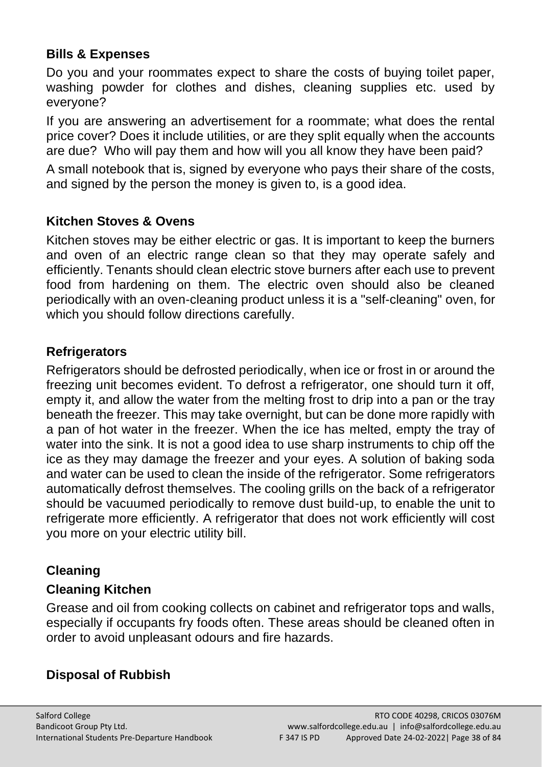#### **Bills & Expenses**

Do you and your roommates expect to share the costs of buying toilet paper, washing powder for clothes and dishes, cleaning supplies etc. used by everyone?

If you are answering an advertisement for a roommate; what does the rental price cover? Does it include utilities, or are they split equally when the accounts are due? Who will pay them and how will you all know they have been paid?

A small notebook that is, signed by everyone who pays their share of the costs, and signed by the person the money is given to, is a good idea.

#### **Kitchen Stoves & Ovens**

Kitchen stoves may be either electric or gas. It is important to keep the burners and oven of an electric range clean so that they may operate safely and efficiently. Tenants should clean electric stove burners after each use to prevent food from hardening on them. The electric oven should also be cleaned periodically with an oven-cleaning product unless it is a "self-cleaning" oven, for which you should follow directions carefully.

#### **Refrigerators**

Refrigerators should be defrosted periodically, when ice or frost in or around the freezing unit becomes evident. To defrost a refrigerator, one should turn it off, empty it, and allow the water from the melting frost to drip into a pan or the tray beneath the freezer. This may take overnight, but can be done more rapidly with a pan of hot water in the freezer. When the ice has melted, empty the tray of water into the sink. It is not a good idea to use sharp instruments to chip off the ice as they may damage the freezer and your eyes. A solution of baking soda and water can be used to clean the inside of the refrigerator. Some refrigerators automatically defrost themselves. The cooling grills on the back of a refrigerator should be vacuumed periodically to remove dust build-up, to enable the unit to refrigerate more efficiently. A refrigerator that does not work efficiently will cost you more on your electric utility bill.

#### **Cleaning**

#### **Cleaning Kitchen**

Grease and oil from cooking collects on cabinet and refrigerator tops and walls, especially if occupants fry foods often. These areas should be cleaned often in order to avoid unpleasant odours and fire hazards.

# **Disposal of Rubbish**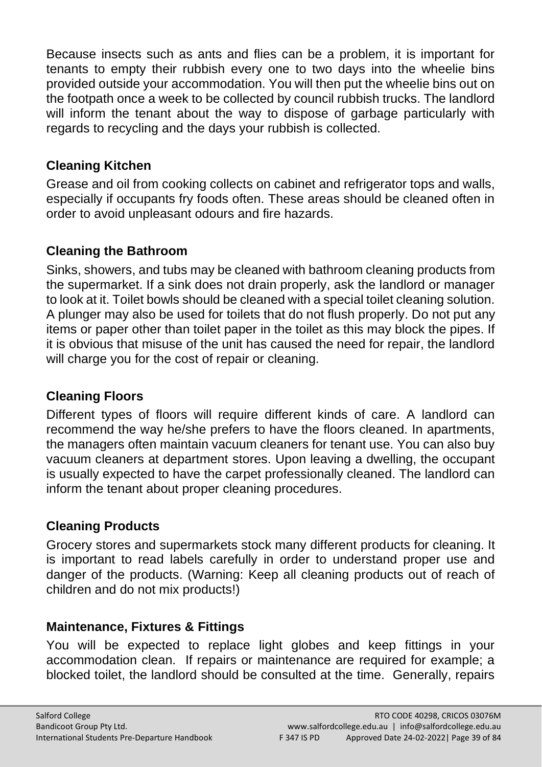Because insects such as ants and flies can be a problem, it is important for tenants to empty their rubbish every one to two days into the wheelie bins provided outside your accommodation. You will then put the wheelie bins out on the footpath once a week to be collected by council rubbish trucks. The landlord will inform the tenant about the way to dispose of garbage particularly with regards to recycling and the days your rubbish is collected.

#### **Cleaning Kitchen**

Grease and oil from cooking collects on cabinet and refrigerator tops and walls, especially if occupants fry foods often. These areas should be cleaned often in order to avoid unpleasant odours and fire hazards.

# **Cleaning the Bathroom**

Sinks, showers, and tubs may be cleaned with bathroom cleaning products from the supermarket. If a sink does not drain properly, ask the landlord or manager to look at it. Toilet bowls should be cleaned with a special toilet cleaning solution. A plunger may also be used for toilets that do not flush properly. Do not put any items or paper other than toilet paper in the toilet as this may block the pipes. If it is obvious that misuse of the unit has caused the need for repair, the landlord will charge you for the cost of repair or cleaning.

# **Cleaning Floors**

Different types of floors will require different kinds of care. A landlord can recommend the way he/she prefers to have the floors cleaned. In apartments, the managers often maintain vacuum cleaners for tenant use. You can also buy vacuum cleaners at department stores. Upon leaving a dwelling, the occupant is usually expected to have the carpet professionally cleaned. The landlord can inform the tenant about proper cleaning procedures.

# **Cleaning Products**

Grocery stores and supermarkets stock many different products for cleaning. It is important to read labels carefully in order to understand proper use and danger of the products. (Warning: Keep all cleaning products out of reach of children and do not mix products!)

# **Maintenance, Fixtures & Fittings**

You will be expected to replace light globes and keep fittings in your accommodation clean. If repairs or maintenance are required for example; a blocked toilet, the landlord should be consulted at the time. Generally, repairs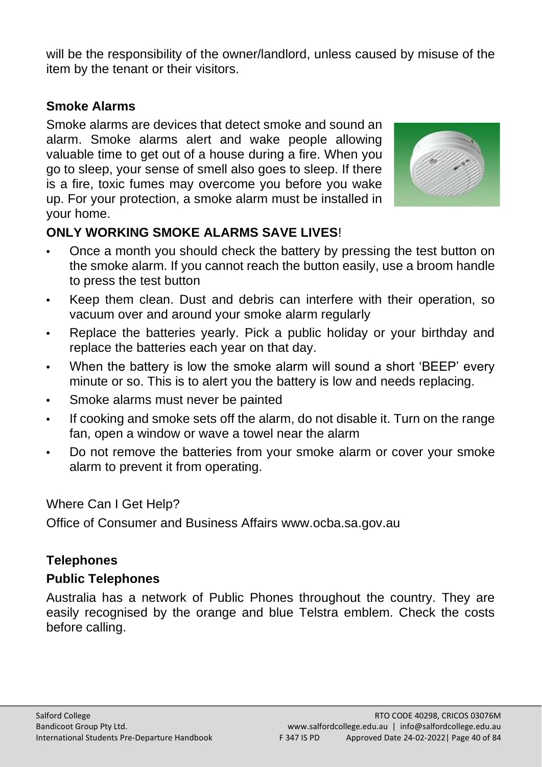will be the responsibility of the owner/landlord, unless caused by misuse of the item by the tenant or their visitors.

#### **Smoke Alarms**

Smoke alarms are devices that detect smoke and sound an alarm. Smoke alarms alert and wake people allowing valuable time to get out of a house during a fire. When you go to sleep, your sense of smell also goes to sleep. If there is a fire, toxic fumes may overcome you before you wake up. For your protection, a smoke alarm must be installed in your home.



# **ONLY WORKING SMOKE ALARMS SAVE LIVES**!

- **•** Once a month you should check the battery by pressing the test button on the smoke alarm. If you cannot reach the button easily, use a broom handle to press the test button
- **•** Keep them clean. Dust and debris can interfere with their operation, so vacuum over and around your smoke alarm regularly
- **•** Replace the batteries yearly. Pick a public holiday or your birthday and replace the batteries each year on that day.
- **•** When the battery is low the smoke alarm will sound a short 'BEEP' every minute or so. This is to alert you the battery is low and needs replacing.
- **•** Smoke alarms must never be painted
- **•** If cooking and smoke sets off the alarm, do not disable it. Turn on the range fan, open a window or wave a towel near the alarm
- **•** Do not remove the batteries from your smoke alarm or cover your smoke alarm to prevent it from operating.

#### Where Can I Get Help?

Office of Consumer and Business Affairs www.ocba.sa.gov.au

#### **Telephones**

#### **Public Telephones**

Australia has a network of Public Phones throughout the country. They are easily recognised by the orange and blue Telstra emblem. Check the costs before calling.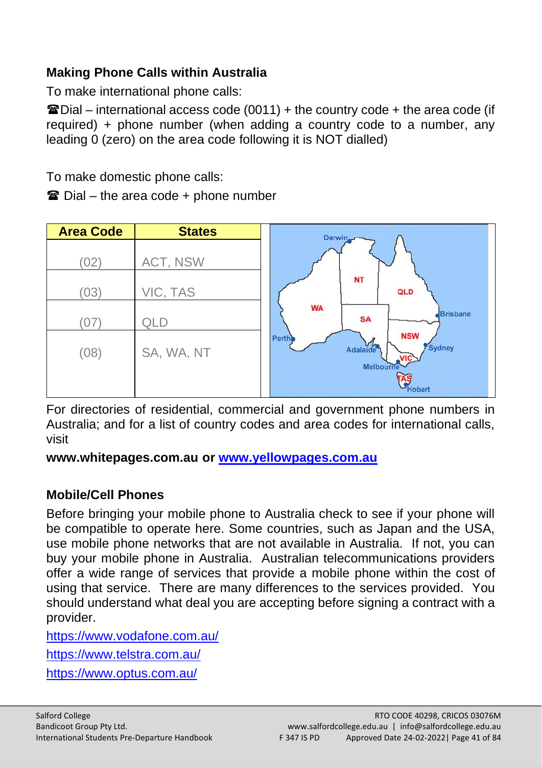# **Making Phone Calls within Australia**

To make international phone calls:

 $\hat{u}$  Dial – international access code (0011) + the country code + the area code (if required) + phone number (when adding a country code to a number, any leading 0 (zero) on the area code following it is NOT dialled)

To make domestic phone calls:

 $\mathbf{\mathcal{F}}$  Dial – the area code + phone number

| <b>Area Code</b> | <b>States</b> | Darwin                                                  |
|------------------|---------------|---------------------------------------------------------|
| (02)             | ACT, NSW      |                                                         |
| (03)             | VIC, TAS      | <b>NT</b><br>QLD                                        |
| (07)             | QLD           | <b>WA</b><br><b>Brisbane</b><br><b>SA</b><br><b>NSW</b> |
| (08)             | SA, WA, NT    | Perthe<br>Adalaide<br>Sydney<br><b>VIC</b><br>Melbourne |
|                  |               | <b>Hobart</b>                                           |

For directories of residential, commercial and government phone numbers in Australia; and for a list of country codes and area codes for international calls, visit

**[www.whitepages.com.au](http://www.whitepages.com.au/) or [www.yellowpages.com.au](http://www.yellowpages.com.au/)**

#### **Mobile/Cell Phones**

Before bringing your mobile phone to Australia check to see if your phone will be compatible to operate here. Some countries, such as Japan and the USA, use mobile phone networks that are not available in Australia. If not, you can buy your mobile phone in Australia. Australian telecommunications providers offer a wide range of services that provide a mobile phone within the cost of using that service. There are many differences to the services provided. You should understand what deal you are accepting before signing a contract with a provider.

<https://www.vodafone.com.au/>

<https://www.telstra.com.au/>

<https://www.optus.com.au/>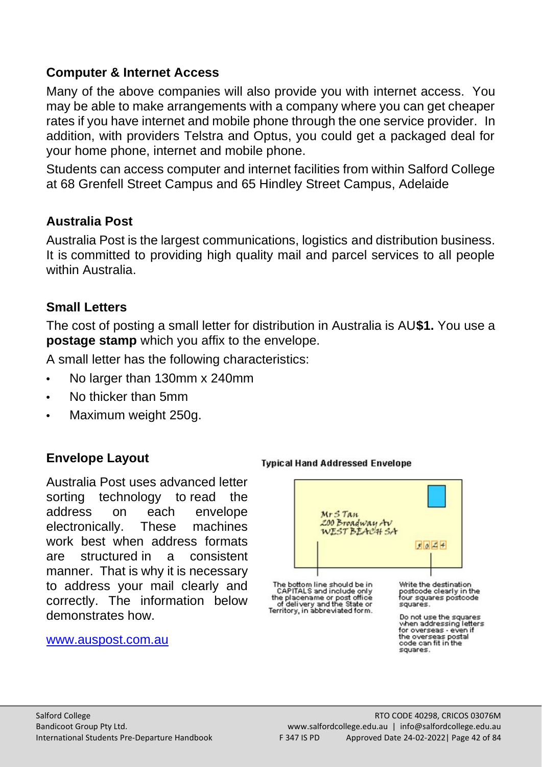#### **Computer & Internet Access**

Many of the above companies will also provide you with internet access. You may be able to make arrangements with a company where you can get cheaper rates if you have internet and mobile phone through the one service provider. In addition, with providers Telstra and Optus, you could get a packaged deal for your home phone, internet and mobile phone.

Students can access computer and internet facilities from within Salford College at 68 Grenfell Street Campus and 65 Hindley Street Campus, Adelaide

#### **Australia Post**

Australia Post is the largest communications, logistics and distribution business. It is committed to providing high quality mail and parcel services to all people within Australia.

#### **Small Letters**

The cost of posting a small letter for distribution in Australia is AU**\$1.** You use a **postage stamp** which you affix to the envelope.

A small letter has the following characteristics:

- **•** No larger than 130mm x 240mm
- **•** No thicker than 5mm
- **•** Maximum weight 250g.

#### **Envelope Layout**

Australia Post uses advanced letter sorting technology to read the address on each envelope electronically. These machines work best when address formats are structured in a consistent manner. That is why it is necessary to address your mail clearly and correctly. The information below demonstrates how.

#### [www.auspost.com.au](http://www.auspost.com.au/)

# $Mr5$  Tan 200 Broadway Av  $7024$ The bottom line should be in<br>CAPITALS and include only<br>the placename or post office<br>of delivery and the State or<br>Territory, in abbreviated form. Write the destination<br>postcode clearly in the<br>four squares postcode  $succ$ Do not use the squares when addressing letters for overseas - even if<br>the overseas postal<br>code can fit in the squares.

**Typical Hand Addressed Envelope**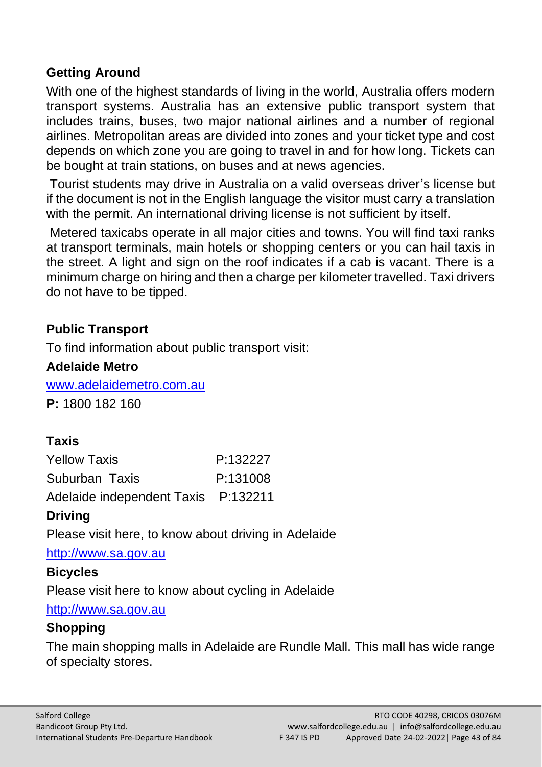#### **Getting Around**

With one of the highest standards of living in the world. Australia offers modern transport systems. Australia has an extensive public transport system that includes trains, buses, two major national airlines and a number of regional airlines. Metropolitan areas are divided into zones and your ticket type and cost depends on which zone you are going to travel in and for how long. Tickets can be bought at train stations, on buses and at news agencies.

Tourist students may drive in Australia on a valid overseas driver's license but if the document is not in the English language the visitor must carry a translation with the permit. An international driving license is not sufficient by itself.

Metered taxicabs operate in all major cities and towns. You will find taxi ranks at transport terminals, main hotels or shopping centers or you can hail taxis in the street. A light and sign on the roof indicates if a cab is vacant. There is a minimum charge on hiring and then a charge per kilometer travelled. Taxi drivers do not have to be tipped.

#### **Public Transport**

To find information about public transport visit:

#### **Adelaide Metro**

[www.adelaidemetro.com.au](http://www.adelaidemetro.com.au/)

**P:** 1800 182 160

# **Taxis**

| <b>Yellow Taxis</b>                 | P:132227 |
|-------------------------------------|----------|
| Suburban Taxis                      | P:131008 |
| Adelaide independent Taxis P:132211 |          |

#### **Driving**

Please visit here, to know about driving in Adelaide

[http://www.sa.gov.au](http://www.sa.gov.au/) 

#### **Bicycles**

Please visit here to know about cycling in Adelaide

[http://www.sa.gov.au](http://www.sa.gov.au/)

#### **Shopping**

The main shopping malls in Adelaide are Rundle Mall. This mall has wide range of specialty stores.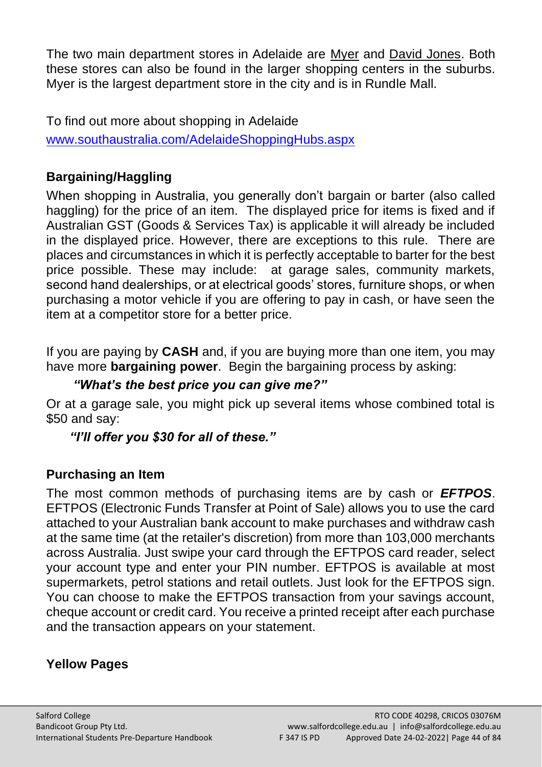The two main department stores in Adelaide are [Myer](http://www.myer.com.au/) and [David Jones.](http://www.davidjones.com.au/) Both these stores can also be found in the larger shopping centers in the suburbs. Myer is the largest department store in the city and is in Rundle Mall.

To find out more about shopping in Adelaide [www.southaustralia.com/AdelaideShoppingHubs.aspx](http://www.southaustralia.com/AdelaideShoppingHubs.aspx) 

#### **Bargaining/Haggling**

When shopping in Australia, you generally don't bargain or barter (also called haggling) for the price of an item. The displayed price for items is fixed and if Australian GST (Goods & Services Tax) is applicable it will already be included in the displayed price. However, there are exceptions to this rule. There are places and circumstances in which it is perfectly acceptable to barter for the best price possible. These may include: at garage sales, community markets, second hand dealerships, or at electrical goods' stores, furniture shops, or when purchasing a motor vehicle if you are offering to pay in cash, or have seen the item at a competitor store for a better price.

If you are paying by **CASH** and, if you are buying more than one item, you may have more **bargaining power**. Begin the bargaining process by asking:

#### *"What's the best price you can give me?"*

Or at a garage sale, you might pick up several items whose combined total is \$50 and say:

#### *"I'll offer you \$30 for all of these."*

#### **Purchasing an Item**

The most common methods of purchasing items are by cash or *EFTPOS*. EFTPOS (Electronic Funds Transfer at Point of Sale) allows you to use the card attached to your Australian bank account to make purchases and withdraw cash at the same time (at the retailer's discretion) from more than 103,000 merchants across Australia. Just swipe your card through the EFTPOS card reader, select your account type and enter your PIN number. EFTPOS is available at most supermarkets, petrol stations and retail outlets. Just look for the EFTPOS sign. You can choose to make the EFTPOS transaction from your savings account, cheque account or credit card. You receive a printed receipt after each purchase and the transaction appears on your statement.

#### **Yellow Pages**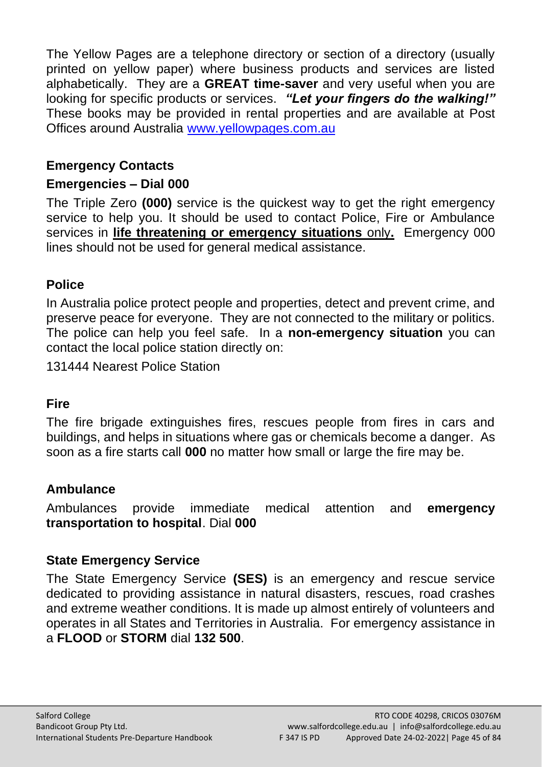The Yellow Pages are a telephone directory or section of a directory (usually printed on yellow paper) where business products and services are listed alphabetically. They are a **GREAT time-saver** and very useful when you are looking for specific products or services. *"Let your fingers do the walking!"* These books may be provided in rental properties and are available at Post Offices around Australia [www.yellowpages.com.au](http://www.yellowpages.com.au/) 

#### **Emergency Contacts**

#### **Emergencies – Dial 000**

The Triple Zero **(000)** service is the quickest way to get the right emergency service to help you. It should be used to contact Police, Fire or Ambulance services in **life threatening or emergency situations** only**.** Emergency 000 lines should not be used for general medical assistance.

#### **Police**

In Australia police protect people and properties, detect and prevent crime, and preserve peace for everyone. They are not connected to the military or politics. The police can help you feel safe. In a **non-emergency situation** you can contact the local police station directly on:

131444 Nearest Police Station

#### **Fire**

The fire brigade extinguishes fires, rescues people from fires in cars and buildings, and helps in situations where gas or chemicals become a danger. As soon as a fire starts call **000** no matter how small or large the fire may be.

#### **Ambulance**

Ambulances provide immediate medical attention and **emergency transportation to hospital**. Dial **000**

#### **State Emergency Service**

The State Emergency Service **(SES)** is an emergency and rescue service dedicated to providing assistance in natural disasters, rescues, road crashes and extreme weather conditions. It is made up almost entirely of volunteers and operates in all States and Territories in Australia. For emergency assistance in a **FLOOD** or **STORM** dial **132 500**.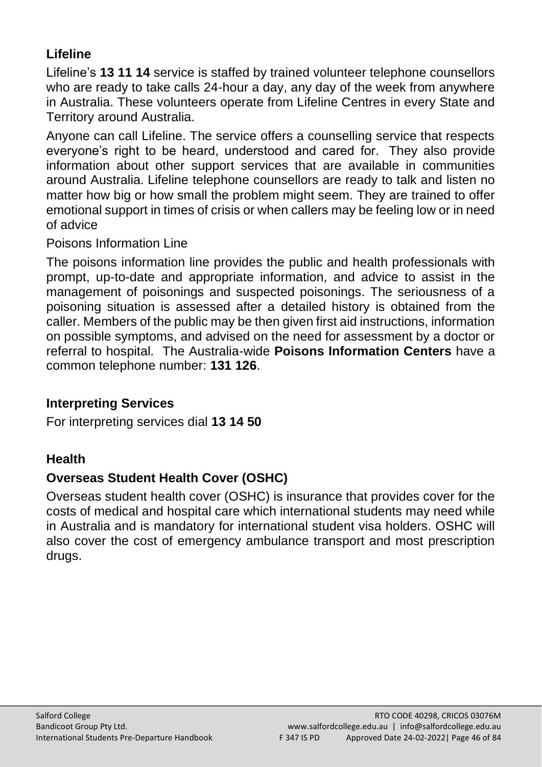# **Lifeline**

Lifeline's **13 11 14** service is staffed by trained volunteer telephone counsellors who are ready to take calls 24-hour a day, any day of the week from anywhere in Australia. These volunteers operate from Lifeline Centres in every State and Territory around Australia.

Anyone can call Lifeline. The service offers a counselling service that respects everyone's right to be heard, understood and cared for. They also provide information about other support services that are available in communities around Australia. Lifeline telephone counsellors are ready to talk and listen no matter how big or how small the problem might seem. They are trained to offer emotional support in times of crisis or when callers may be feeling low or in need of advice

#### Poisons Information Line

The poisons information line provides the public and health professionals with prompt, up-to-date and appropriate information, and advice to assist in the management of poisonings and suspected poisonings. The seriousness of a poisoning situation is assessed after a detailed history is obtained from the caller. Members of the public may be then given first aid instructions, information on possible symptoms, and advised on the need for assessment by a doctor or referral to hospital. The Australia-wide **Poisons Information Centers** have a common telephone number: **131 126**.

#### **Interpreting Services**

For interpreting services dial **13 14 50**

#### **Health**

#### **Overseas Student Health Cover (OSHC)**

Overseas student health cover (OSHC) is insurance that provides cover for the costs of medical and hospital care which international students may need while in Australia and is mandatory for international student visa holders. OSHC will also cover the cost of emergency ambulance transport and most prescription drugs.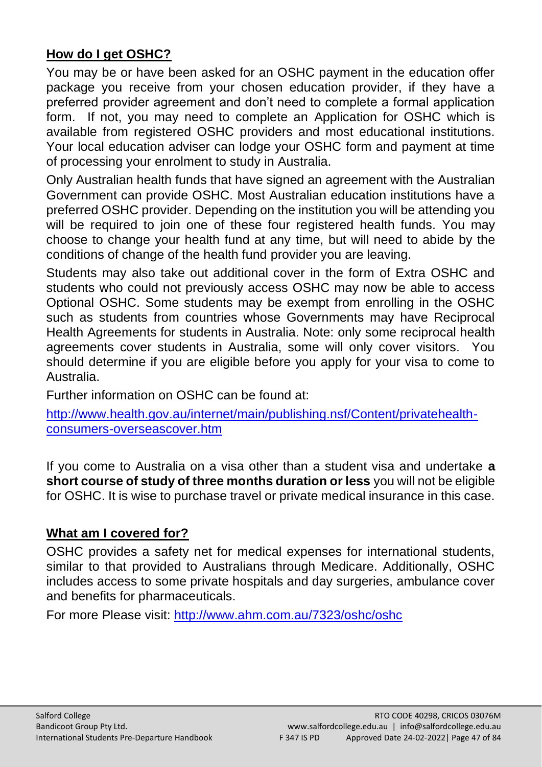# **How do I get OSHC?**

You may be or have been asked for an OSHC payment in the education offer package you receive from your chosen education provider, if they have a preferred provider agreement and don't need to complete a formal application form. If not, you may need to complete an Application for OSHC which is available from registered OSHC providers and most educational institutions. Your local education adviser can lodge your OSHC form and payment at time of processing your enrolment to study in Australia.

Only Australian health funds that have signed an agreement with the Australian Government can provide OSHC. Most Australian education institutions have a preferred OSHC provider. Depending on the institution you will be attending you will be required to join one of these four registered health funds. You may choose to change your health fund at any time, but will need to abide by the conditions of change of the health fund provider you are leaving.

Students may also take out additional cover in the form of Extra OSHC and students who could not previously access OSHC may now be able to access Optional OSHC. Some students may be exempt from enrolling in the OSHC such as students from countries whose Governments may have Reciprocal Health Agreements for students in Australia. Note: only some reciprocal health agreements cover students in Australia, some will only cover visitors. You should determine if you are eligible before you apply for your visa to come to Australia.

Further information on OSHC can be found at:

[http://www.health.gov.au/internet/main/publishing.nsf/Content/privatehealth](http://www.health.gov.au/internet/main/publishing.nsf/Content/privatehealth-consumers-overseascover.htm)[consumers-overseascover.htm](http://www.health.gov.au/internet/main/publishing.nsf/Content/privatehealth-consumers-overseascover.htm) 

If you come to Australia on a visa other than a student visa and undertake **a short course of study of three months duration or less** you will not be eligible for OSHC. It is wise to purchase travel or private medical insurance in this case.

#### **What am I covered for?**

OSHC provides a safety net for medical expenses for international students, similar to that provided to Australians through Medicare. Additionally, OSHC includes access to some private hospitals and day surgeries, ambulance cover and benefits for pharmaceuticals.

For more Please visit:<http://www.ahm.com.au/7323/oshc/oshc>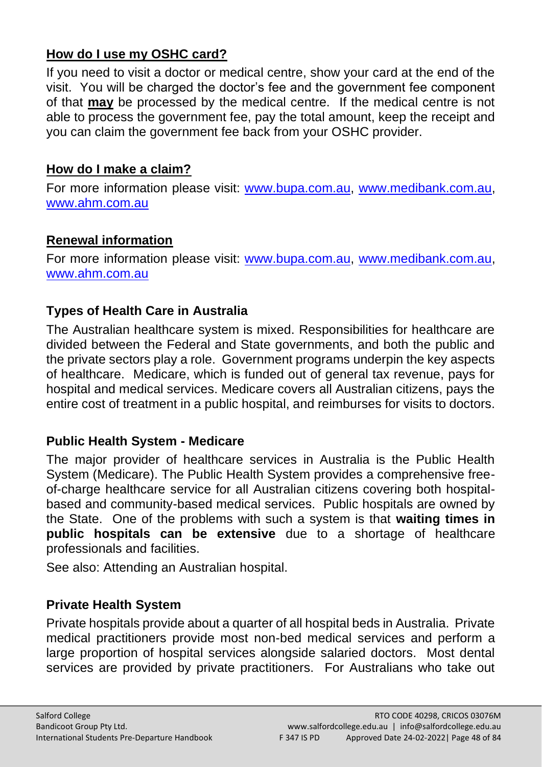#### **How do I use my OSHC card?**

If you need to visit a doctor or medical centre, show your card at the end of the visit. You will be charged the doctor's fee and the government fee component of that **may** be processed by the medical centre. If the medical centre is not able to process the government fee, pay the total amount, keep the receipt and you can claim the government fee back from your OSHC provider.

#### **How do I make a claim?**

For more information please visit: [www.bupa.com.au,](http://www.bupa.com.au/) [www.medibank.com.au,](http://www.medibank.com.au/) [www.ahm.com.au](http://www.ahm.com.au/)

#### **Renewal information**

For more information please visit: [www.bupa.com.au,](http://www.bupa.com.au/) [www.medibank.com.au,](http://www.medibank.com.au/) [www.ahm.com.au](http://www.ahm.com.au/)

# **Types of Health Care in Australia**

The Australian healthcare system is mixed. Responsibilities for healthcare are divided between the Federal and State governments, and both the public and the private sectors play a role. Government programs underpin the key aspects of healthcare. Medicare, which is funded out of general tax revenue, pays for hospital and medical services. Medicare covers all Australian citizens, pays the entire cost of treatment in a public hospital, and reimburses for visits to doctors.

#### **Public Health System - Medicare**

The major provider of healthcare services in Australia is the Public Health System (Medicare). The Public Health System provides a comprehensive freeof-charge healthcare service for all Australian citizens covering both hospitalbased and community-based medical services. Public hospitals are owned by the State. One of the problems with such a system is that **waiting times in public hospitals can be extensive** due to a shortage of healthcare professionals and facilities.

See also: Attending an Australian hospital.

# **Private Health System**

Private hospitals provide about a quarter of all hospital beds in Australia. Private medical practitioners provide most non-bed medical services and perform a large proportion of hospital services alongside salaried doctors. Most dental services are provided by private practitioners. For Australians who take out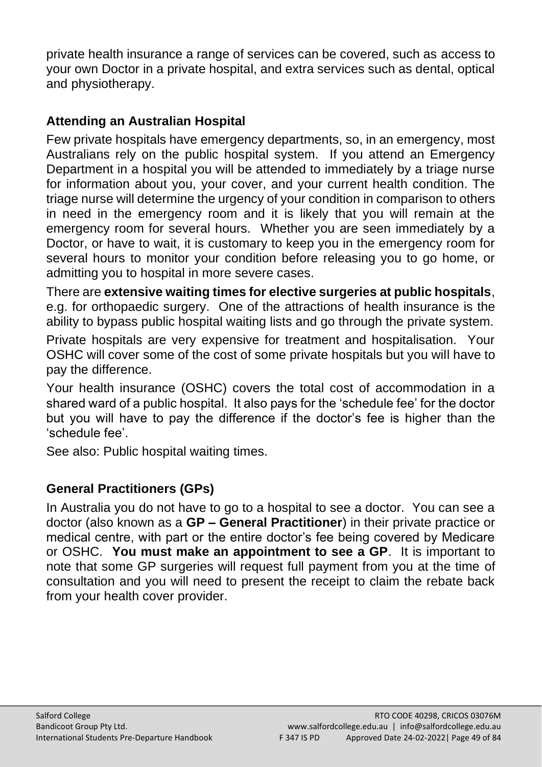private health insurance a range of services can be covered, such as access to your own Doctor in a private hospital, and extra services such as dental, optical and physiotherapy.

# **Attending an Australian Hospital**

Few private hospitals have emergency departments, so, in an emergency, most Australians rely on the public hospital system. If you attend an Emergency Department in a hospital you will be attended to immediately by a triage nurse for information about you, your cover, and your current health condition. The triage nurse will determine the urgency of your condition in comparison to others in need in the emergency room and it is likely that you will remain at the emergency room for several hours. Whether you are seen immediately by a Doctor, or have to wait, it is customary to keep you in the emergency room for several hours to monitor your condition before releasing you to go home, or admitting you to hospital in more severe cases.

There are **extensive waiting times for elective surgeries at public hospitals**, e.g. for orthopaedic surgery. One of the attractions of health insurance is the ability to bypass public hospital waiting lists and go through the private system.

Private hospitals are very expensive for treatment and hospitalisation. Your OSHC will cover some of the cost of some private hospitals but you will have to pay the difference.

Your health insurance (OSHC) covers the total cost of accommodation in a shared ward of a public hospital. It also pays for the 'schedule fee' for the doctor but you will have to pay the difference if the doctor's fee is higher than the 'schedule fee'.

See also: Public hospital waiting times.

# **General Practitioners (GPs)**

In Australia you do not have to go to a hospital to see a doctor. You can see a doctor (also known as a **GP – General Practitioner**) in their private practice or medical centre, with part or the entire doctor's fee being covered by Medicare or OSHC. **You must make an appointment to see a GP**. It is important to note that some GP surgeries will request full payment from you at the time of consultation and you will need to present the receipt to claim the rebate back from your health cover provider.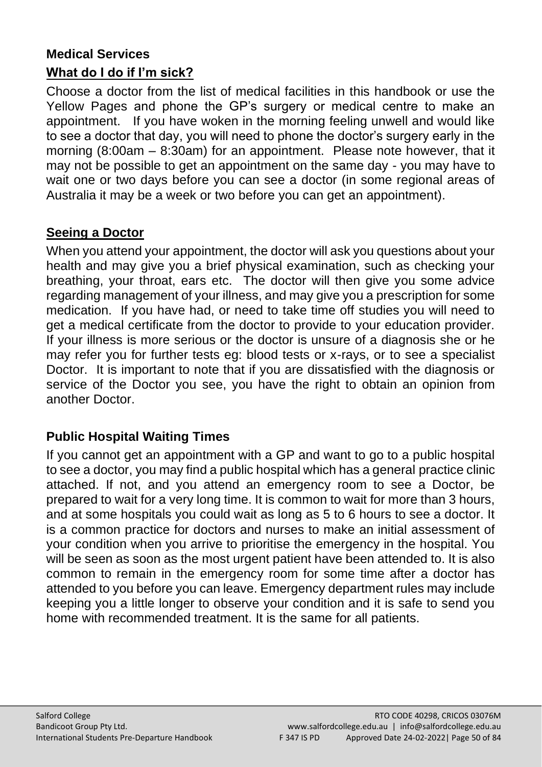# **Medical Services**

#### **What do I do if I'm sick?**

Choose a doctor from the list of medical facilities in this handbook or use the Yellow Pages and phone the GP's surgery or medical centre to make an appointment. If you have woken in the morning feeling unwell and would like to see a doctor that day, you will need to phone the doctor's surgery early in the morning (8:00am – 8:30am) for an appointment. Please note however, that it may not be possible to get an appointment on the same day - you may have to wait one or two days before you can see a doctor (in some regional areas of Australia it may be a week or two before you can get an appointment).

#### **Seeing a Doctor**

When you attend your appointment, the doctor will ask you questions about your health and may give you a brief physical examination, such as checking your breathing, your throat, ears etc. The doctor will then give you some advice regarding management of your illness, and may give you a prescription for some medication. If you have had, or need to take time off studies you will need to get a medical certificate from the doctor to provide to your education provider. If your illness is more serious or the doctor is unsure of a diagnosis she or he may refer you for further tests eg: blood tests or x-rays, or to see a specialist Doctor. It is important to note that if you are dissatisfied with the diagnosis or service of the Doctor you see, you have the right to obtain an opinion from another Doctor.

#### **Public Hospital Waiting Times**

If you cannot get an appointment with a GP and want to go to a public hospital to see a doctor, you may find a public hospital which has a general practice clinic attached. If not, and you attend an emergency room to see a Doctor, be prepared to wait for a very long time. It is common to wait for more than 3 hours, and at some hospitals you could wait as long as 5 to 6 hours to see a doctor. It is a common practice for doctors and nurses to make an initial assessment of your condition when you arrive to prioritise the emergency in the hospital. You will be seen as soon as the most urgent patient have been attended to. It is also common to remain in the emergency room for some time after a doctor has attended to you before you can leave. Emergency department rules may include keeping you a little longer to observe your condition and it is safe to send you home with recommended treatment. It is the same for all patients.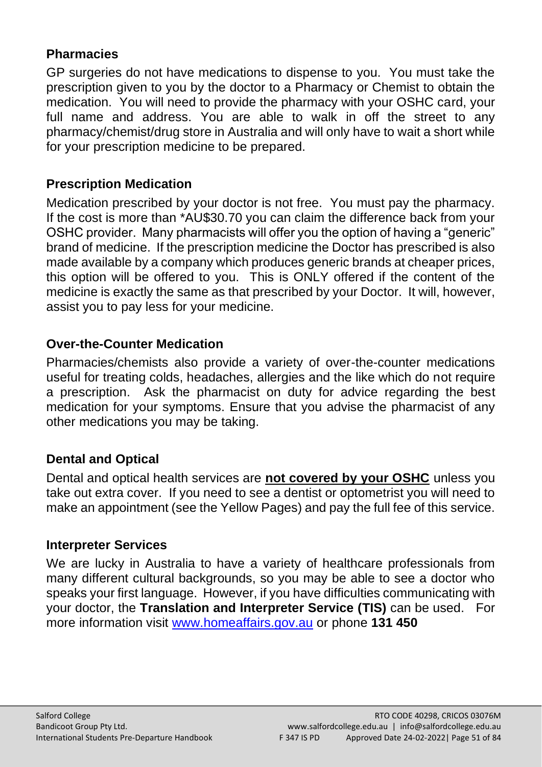#### **Pharmacies**

GP surgeries do not have medications to dispense to you. You must take the prescription given to you by the doctor to a Pharmacy or Chemist to obtain the medication. You will need to provide the pharmacy with your OSHC card, your full name and address. You are able to walk in off the street to any pharmacy/chemist/drug store in Australia and will only have to wait a short while for your prescription medicine to be prepared.

# **Prescription Medication**

Medication prescribed by your doctor is not free. You must pay the pharmacy. If the cost is more than \*AU\$30.70 you can claim the difference back from your OSHC provider. Many pharmacists will offer you the option of having a "generic" brand of medicine. If the prescription medicine the Doctor has prescribed is also made available by a company which produces generic brands at cheaper prices, this option will be offered to you. This is ONLY offered if the content of the medicine is exactly the same as that prescribed by your Doctor. It will, however, assist you to pay less for your medicine.

# **Over-the-Counter Medication**

Pharmacies/chemists also provide a variety of over-the-counter medications useful for treating colds, headaches, allergies and the like which do not require a prescription. Ask the pharmacist on duty for advice regarding the best medication for your symptoms. Ensure that you advise the pharmacist of any other medications you may be taking.

# **Dental and Optical**

Dental and optical health services are **not covered by your OSHC** unless you take out extra cover. If you need to see a dentist or optometrist you will need to make an appointment (see the Yellow Pages) and pay the full fee of this service.

# **Interpreter Services**

We are lucky in Australia to have a variety of healthcare professionals from many different cultural backgrounds, so you may be able to see a doctor who speaks your first language. However, if you have difficulties communicating with your doctor, the **Translation and Interpreter Service (TIS)** can be used. For more information visit [www.homeaffairs.gov.au](http://www.homeaffairs.gov.au/) or phone **131 450**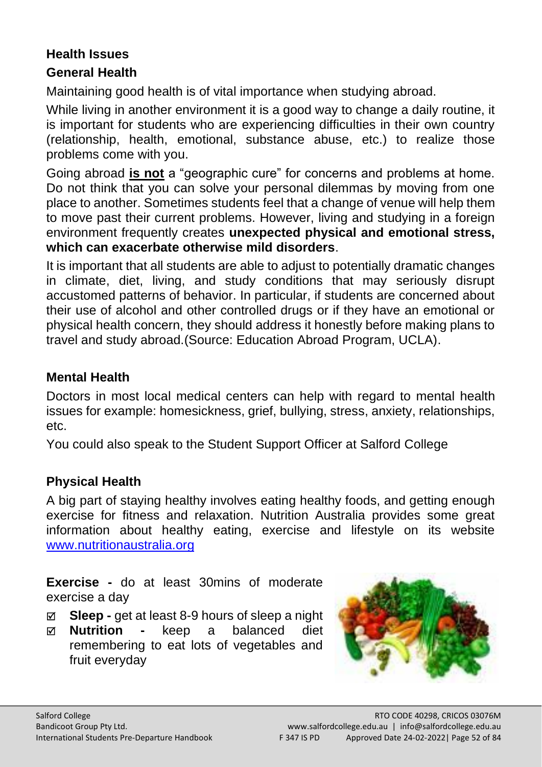#### **Health Issues**

#### **General Health**

Maintaining good health is of vital importance when studying abroad.

While living in another environment it is a good way to change a daily routine, it is important for students who are experiencing difficulties in their own country (relationship, health, emotional, substance abuse, etc.) to realize those problems come with you.

Going abroad **is not** a "geographic cure" for concerns and problems at home. Do not think that you can solve your personal dilemmas by moving from one place to another. Sometimes students feel that a change of venue will help them to move past their current problems. However, living and studying in a foreign environment frequently creates **unexpected physical and emotional stress, which can exacerbate otherwise mild disorders**.

It is important that all students are able to adjust to potentially dramatic changes in climate, diet, living, and study conditions that may seriously disrupt accustomed patterns of behavior. In particular, if students are concerned about their use of alcohol and other controlled drugs or if they have an emotional or physical health concern, they should address it honestly before making plans to travel and study abroad.(Source: Education Abroad Program, UCLA).

#### **Mental Health**

Doctors in most local medical centers can help with regard to mental health issues for example: homesickness, grief, bullying, stress, anxiety, relationships, etc.

You could also speak to the Student Support Officer at Salford College

#### **Physical Health**

A big part of staying healthy involves eating healthy foods, and getting enough exercise for fitness and relaxation. Nutrition Australia provides some great information about healthy eating, exercise and lifestyle on its website [www.nutritionaustralia.org](http://www.nutritionaustralia.org/) 

**Exercise -** do at least 30mins of moderate exercise a day

- **Sleep -** get at least 8-9 hours of sleep a night
- **Nutrition -** keep a balanced diet remembering to eat lots of vegetables and fruit everyday

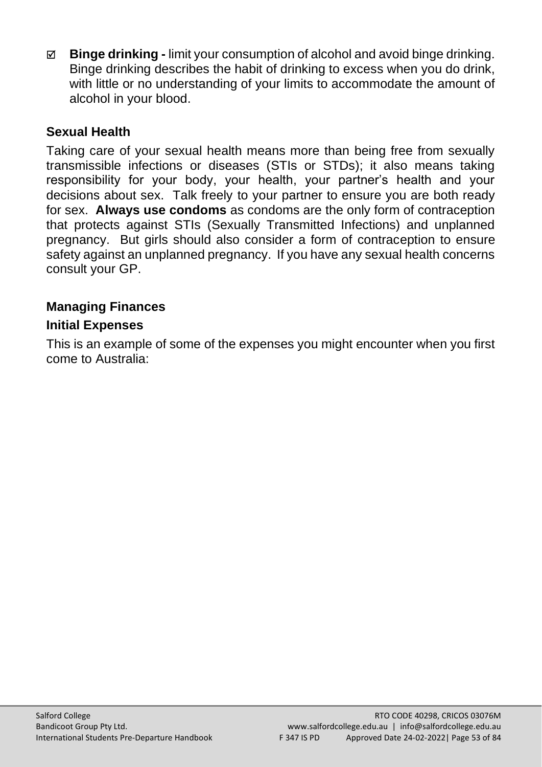**Binge drinking -** limit your consumption of alcohol and avoid binge drinking. Binge drinking describes the habit of drinking to excess when you do drink, with little or no understanding of your limits to accommodate the amount of alcohol in your blood.

#### **Sexual Health**

Taking care of your sexual health means more than being free from sexually transmissible infections or diseases (STIs or STDs); it also means taking responsibility for your body, your health, your partner's health and your decisions about sex. Talk freely to your partner to ensure you are both ready for sex. **Always use condoms** as condoms are the only form of contraception that protects against STIs (Sexually Transmitted Infections) and unplanned pregnancy. But girls should also consider a form of contraception to ensure safety against an unplanned pregnancy. If you have any sexual health concerns consult your GP.

# **Managing Finances**

#### **Initial Expenses**

This is an example of some of the expenses you might encounter when you first come to Australia: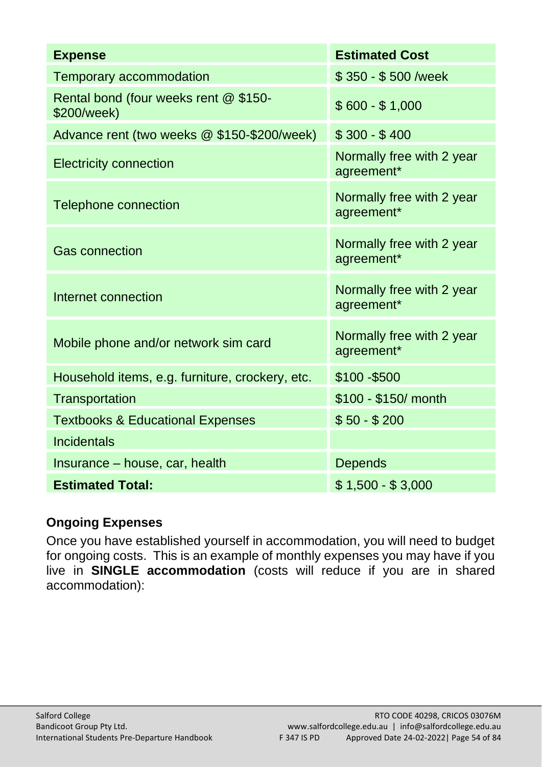| <b>Expense</b>                                       | <b>Estimated Cost</b>                   |
|------------------------------------------------------|-----------------------------------------|
| Temporary accommodation                              | \$350 - \$500 /week                     |
| Rental bond (four weeks rent @ \$150-<br>\$200/week) | $$600 - $1,000$                         |
| Advance rent (two weeks @ \$150-\$200/week)          | $$300 - $400$                           |
| <b>Electricity connection</b>                        | Normally free with 2 year<br>agreement* |
| Telephone connection                                 | Normally free with 2 year<br>agreement* |
| Gas connection                                       | Normally free with 2 year<br>agreement* |
| Internet connection                                  | Normally free with 2 year<br>agreement* |
| Mobile phone and/or network sim card                 | Normally free with 2 year<br>agreement* |
| Household items, e.g. furniture, crockery, etc.      | \$100-\$500                             |
| Transportation                                       | \$100 - \$150/ month                    |
| <b>Textbooks &amp; Educational Expenses</b>          | $$50 - $200$                            |
| Incidentals                                          |                                         |
| Insurance - house, car, health                       | Depends                                 |
| <b>Estimated Total:</b>                              | $$1,500 - $3,000$                       |

# **Ongoing Expenses**

Once you have established yourself in accommodation, you will need to budget for ongoing costs. This is an example of monthly expenses you may have if you live in **SINGLE accommodation** (costs will reduce if you are in shared accommodation):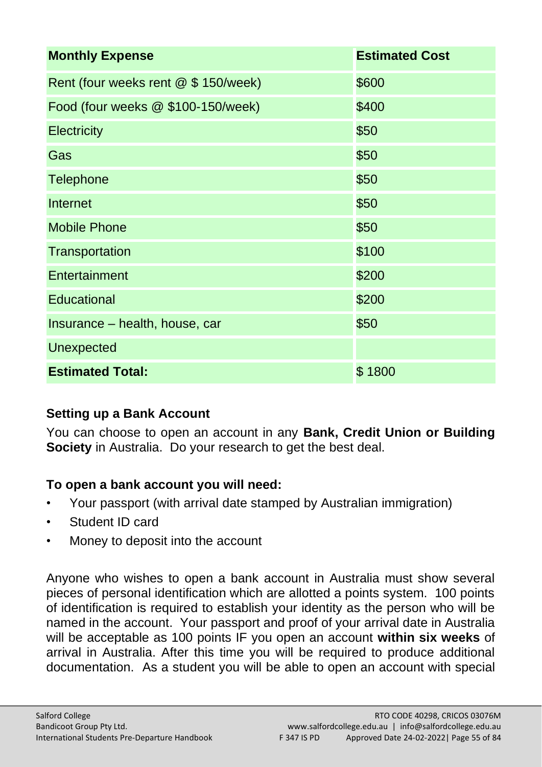| <b>Monthly Expense</b>               | <b>Estimated Cost</b> |
|--------------------------------------|-----------------------|
| Rent (four weeks rent @ \$ 150/week) | \$600                 |
| Food (four weeks @ \$100-150/week)   | \$400                 |
| Electricity                          | \$50                  |
| Gas                                  | \$50                  |
| Telephone                            | \$50                  |
| Internet                             | \$50                  |
| <b>Mobile Phone</b>                  | \$50                  |
| Transportation                       | \$100                 |
| Entertainment                        | \$200                 |
| Educational                          | \$200                 |
| Insurance - health, house, car       | \$50                  |
| Unexpected                           |                       |
| <b>Estimated Total:</b>              | \$1800                |

# **Setting up a Bank Account**

You can choose to open an account in any **Bank, Credit Union or Building Society** in Australia. Do your research to get the best deal.

# **To open a bank account you will need:**

- Your passport (with arrival date stamped by Australian immigration)
- Student ID card
- Money to deposit into the account

Anyone who wishes to open a bank account in Australia must show several pieces of personal identification which are allotted a points system. 100 points of identification is required to establish your identity as the person who will be named in the account. Your passport and proof of your arrival date in Australia will be acceptable as 100 points IF you open an account **within six weeks** of arrival in Australia. After this time you will be required to produce additional documentation. As a student you will be able to open an account with special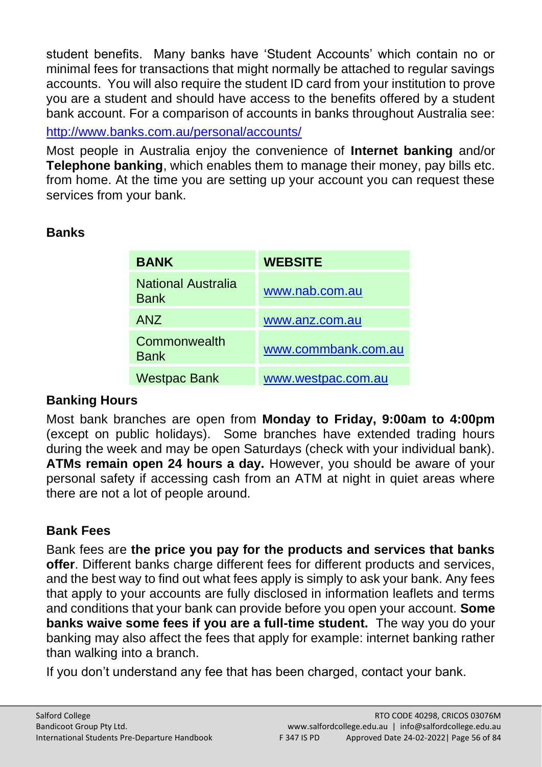student benefits. Many banks have 'Student Accounts' which contain no or minimal fees for transactions that might normally be attached to regular savings accounts. You will also require the student ID card from your institution to prove you are a student and should have access to the benefits offered by a student bank account. For a comparison of accounts in banks throughout Australia see:

<http://www.banks.com.au/personal/accounts/>

Most people in Australia enjoy the convenience of **Internet banking** and/or **Telephone banking**, which enables them to manage their money, pay bills etc. from home. At the time you are setting up your account you can request these services from your bank.

# **Banks**

| <b>BANK</b>                 | <b>WEBSITE</b>      |
|-----------------------------|---------------------|
| National Australia<br>Bank  | www.nab.com.au      |
| <b>ANZ</b>                  | www.anz.com.au      |
| Commonwealth<br><b>Bank</b> | www.commbank.com.au |
| <b>Westpac Bank</b>         | www.westpac.com.au  |

# **Banking Hours**

Most bank branches are open from **Monday to Friday, 9:00am to 4:00pm** (except on public holidays). Some branches have extended trading hours during the week and may be open Saturdays (check with your individual bank). **ATMs remain open 24 hours a day.** However, you should be aware of your personal safety if accessing cash from an ATM at night in quiet areas where there are not a lot of people around.

# **Bank Fees**

Bank fees are **the price you pay for the products and services that banks offer**. Different banks charge different fees for different products and services, and the best way to find out what fees apply is simply to ask your bank. Any fees that apply to your accounts are fully disclosed in information leaflets and terms and conditions that your bank can provide before you open your account. **Some banks waive some fees if you are a full-time student.** The way you do your banking may also affect the fees that apply for example: internet banking rather than walking into a branch.

If you don't understand any fee that has been charged, contact your bank.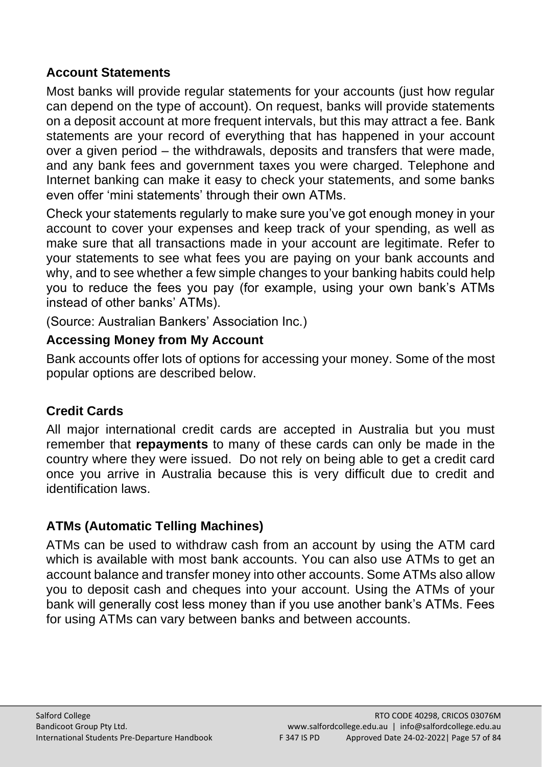#### **Account Statements**

Most banks will provide regular statements for your accounts (just how regular can depend on the type of account). On request, banks will provide statements on a deposit account at more frequent intervals, but this may attract a fee. Bank statements are your record of everything that has happened in your account over a given period – the withdrawals, deposits and transfers that were made, and any bank fees and government taxes you were charged. Telephone and Internet banking can make it easy to check your statements, and some banks even offer 'mini statements' through their own ATMs.

Check your statements regularly to make sure you've got enough money in your account to cover your expenses and keep track of your spending, as well as make sure that all transactions made in your account are legitimate. Refer to your statements to see what fees you are paying on your bank accounts and why, and to see whether a few simple changes to your banking habits could help you to reduce the fees you pay (for example, using your own bank's ATMs instead of other banks' ATMs).

(Source: Australian Bankers' Association Inc.)

# **Accessing Money from My Account**

Bank accounts offer lots of options for accessing your money. Some of the most popular options are described below.

# **Credit Cards**

All major international credit cards are accepted in Australia but you must remember that **repayments** to many of these cards can only be made in the country where they were issued. Do not rely on being able to get a credit card once you arrive in Australia because this is very difficult due to credit and identification laws.

# **ATMs (Automatic Telling Machines)**

ATMs can be used to withdraw cash from an account by using the ATM card which is available with most bank accounts. You can also use ATMs to get an account balance and transfer money into other accounts. Some ATMs also allow you to deposit cash and cheques into your account. Using the ATMs of your bank will generally cost less money than if you use another bank's ATMs. Fees for using ATMs can vary between banks and between accounts.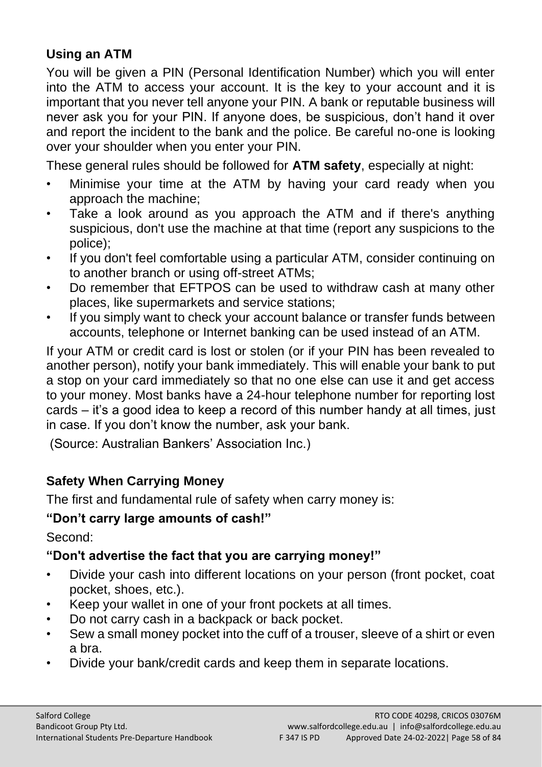# **Using an ATM**

You will be given a PIN (Personal Identification Number) which you will enter into the ATM to access your account. It is the key to your account and it is important that you never tell anyone your PIN. A bank or reputable business will never ask you for your PIN. If anyone does, be suspicious, don't hand it over and report the incident to the bank and the police. Be careful no-one is looking over your shoulder when you enter your PIN.

These general rules should be followed for **ATM safety**, especially at night:

- Minimise your time at the ATM by having your card ready when you approach the machine;
- Take a look around as you approach the ATM and if there's anything suspicious, don't use the machine at that time (report any suspicions to the police);
- If you don't feel comfortable using a particular ATM, consider continuing on to another branch or using off-street ATMs;
- Do remember that EFTPOS can be used to withdraw cash at many other places, like supermarkets and service stations;
- If you simply want to check your account balance or transfer funds between accounts, telephone or Internet banking can be used instead of an ATM.

If your ATM or credit card is lost or stolen (or if your PIN has been revealed to another person), notify your bank immediately. This will enable your bank to put a stop on your card immediately so that no one else can use it and get access to your money. Most banks have a 24-hour telephone number for reporting lost cards – it's a good idea to keep a record of this number handy at all times, just in case. If you don't know the number, ask your bank.

(Source: Australian Bankers' Association Inc.)

# **Safety When Carrying Money**

The first and fundamental rule of safety when carry money is:

# **"Don't carry large amounts of cash!"**

Second:

# **"Don't advertise the fact that you are carrying money!"**

- Divide your cash into different locations on your person (front pocket, coat pocket, shoes, etc.).
- Keep your wallet in one of your front pockets at all times.
- Do not carry cash in a backpack or back pocket.
- Sew a small money pocket into the cuff of a trouser, sleeve of a shirt or even a bra.
- Divide your bank/credit cards and keep them in separate locations.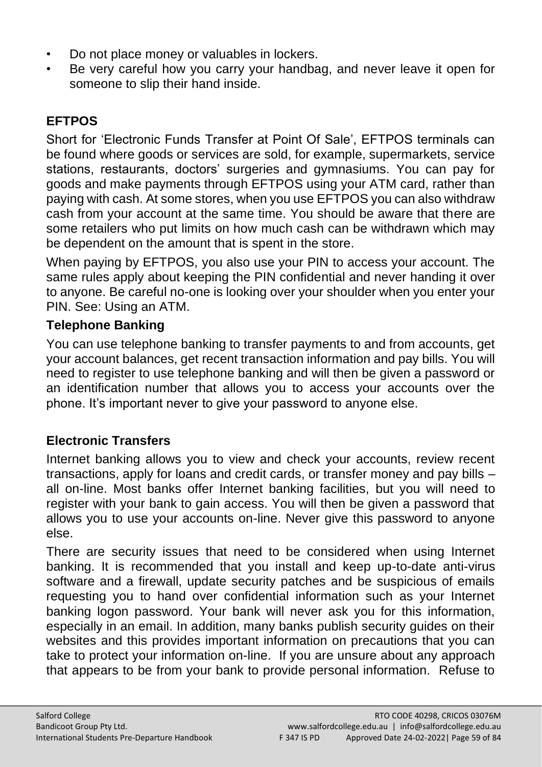- Do not place money or valuables in lockers.
- Be very careful how you carry your handbag, and never leave it open for someone to slip their hand inside.

# **EFTPOS**

Short for 'Electronic Funds Transfer at Point Of Sale', EFTPOS terminals can be found where goods or services are sold, for example, supermarkets, service stations, restaurants, doctors' surgeries and gymnasiums. You can pay for goods and make payments through EFTPOS using your ATM card, rather than paying with cash. At some stores, when you use EFTPOS you can also withdraw cash from your account at the same time. You should be aware that there are some retailers who put limits on how much cash can be withdrawn which may be dependent on the amount that is spent in the store.

When paying by EFTPOS, you also use your PIN to access your account. The same rules apply about keeping the PIN confidential and never handing it over to anyone. Be careful no-one is looking over your shoulder when you enter your PIN. See: Using an ATM.

# **Telephone Banking**

You can use telephone banking to transfer payments to and from accounts, get your account balances, get recent transaction information and pay bills. You will need to register to use telephone banking and will then be given a password or an identification number that allows you to access your accounts over the phone. It's important never to give your password to anyone else.

# **Electronic Transfers**

Internet banking allows you to view and check your accounts, review recent transactions, apply for loans and credit cards, or transfer money and pay bills – all on-line. Most banks offer Internet banking facilities, but you will need to register with your bank to gain access. You will then be given a password that allows you to use your accounts on-line. Never give this password to anyone else.

There are security issues that need to be considered when using Internet banking. It is recommended that you install and keep up-to-date anti-virus software and a firewall, update security patches and be suspicious of emails requesting you to hand over confidential information such as your Internet banking logon password. Your bank will never ask you for this information, especially in an email. In addition, many banks publish security guides on their websites and this provides important information on precautions that you can take to protect your information on-line. If you are unsure about any approach that appears to be from your bank to provide personal information. Refuse to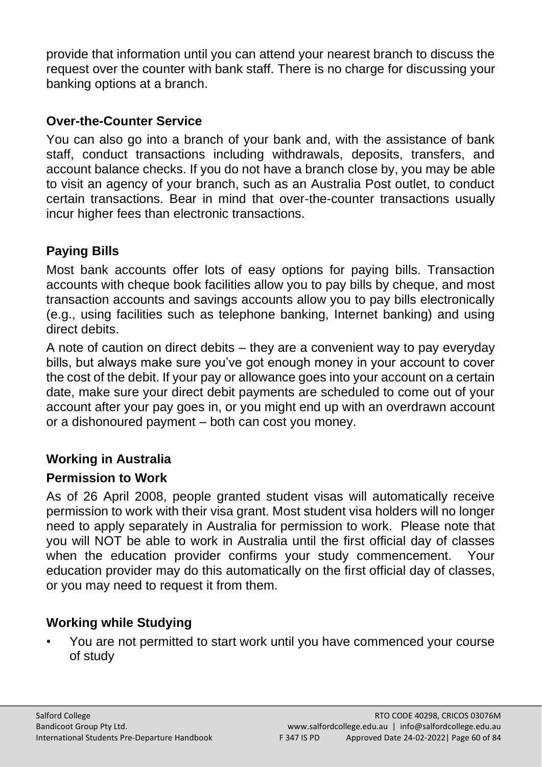provide that information until you can attend your nearest branch to discuss the request over the counter with bank staff. There is no charge for discussing your banking options at a branch.

#### **Over-the-Counter Service**

You can also go into a branch of your bank and, with the assistance of bank staff, conduct transactions including withdrawals, deposits, transfers, and account balance checks. If you do not have a branch close by, you may be able to visit an agency of your branch, such as an Australia Post outlet, to conduct certain transactions. Bear in mind that over-the-counter transactions usually incur higher fees than electronic transactions.

# **Paying Bills**

Most bank accounts offer lots of easy options for paying bills. Transaction accounts with cheque book facilities allow you to pay bills by cheque, and most transaction accounts and savings accounts allow you to pay bills electronically (e.g., using facilities such as telephone banking, Internet banking) and using direct debits.

A note of caution on direct debits – they are a convenient way to pay everyday bills, but always make sure you've got enough money in your account to cover the cost of the debit. If your pay or allowance goes into your account on a certain date, make sure your direct debit payments are scheduled to come out of your account after your pay goes in, or you might end up with an overdrawn account or a dishonoured payment – both can cost you money.

#### **Working in Australia**

#### **Permission to Work**

As of 26 April 2008, people granted student visas will automatically receive permission to work with their visa grant. Most student visa holders will no longer need to apply separately in Australia for permission to work. Please note that you will NOT be able to work in Australia until the first official day of classes when the education provider confirms your study commencement. Your education provider may do this automatically on the first official day of classes, or you may need to request it from them.

# **Working while Studying**

• You are not permitted to start work until you have commenced your course of study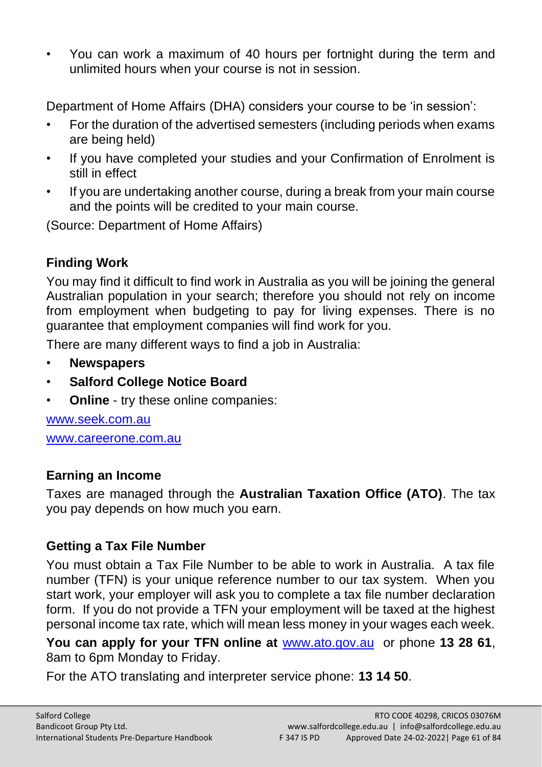• You can work a maximum of 40 hours per fortnight during the term and unlimited hours when your course is not in session.

Department of Home Affairs (DHA) considers your course to be 'in session':

- For the duration of the advertised semesters (including periods when exams are being held)
- If you have completed your studies and your Confirmation of Enrolment is still in effect
- If you are undertaking another course, during a break from your main course and the points will be credited to your main course.

(Source: Department of Home Affairs)

# **Finding Work**

You may find it difficult to find work in Australia as you will be joining the general Australian population in your search; therefore you should not rely on income from employment when budgeting to pay for living expenses. There is no guarantee that employment companies will find work for you.

There are many different ways to find a job in Australia:

- **Newspapers**
- **Salford College Notice Board**
- **Online** try these online companies:

[www.seek.com.au](http://www.seek.com.au/)  [www.careerone.com.au](http://www.careerone.com.au/)

# **Earning an Income**

Taxes are managed through the **Australian Taxation Office (ATO)**. The tax you pay depends on how much you earn.

# **Getting a Tax File Number**

You must obtain a Tax File Number to be able to work in Australia. A tax file number (TFN) is your unique reference number to our tax system. When you start work, your employer will ask you to complete a tax file number declaration form. If you do not provide a TFN your employment will be taxed at the highest personal income tax rate, which will mean less money in your wages each week.

**You can apply for your TFN online at** [www.ato.gov.au](http://www.ato.gov.au/) or phone **13 28 61**, 8am to 6pm Monday to Friday.

For the ATO translating and interpreter service phone: **13 14 50**.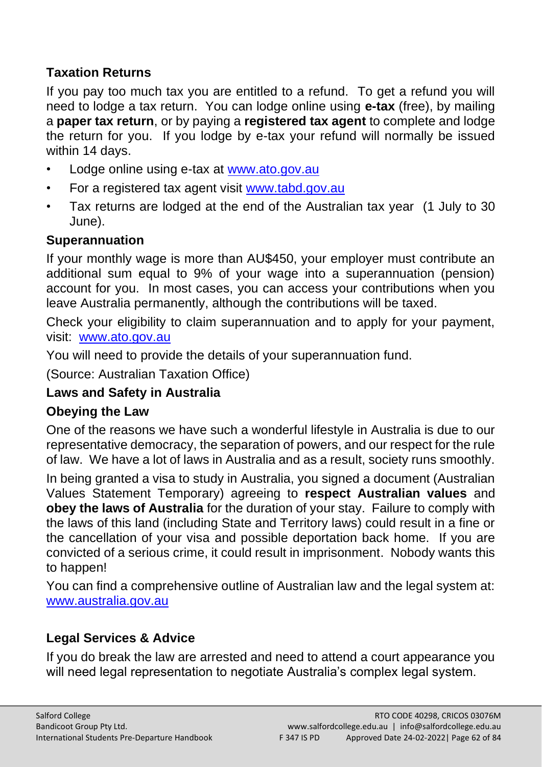# **Taxation Returns**

If you pay too much tax you are entitled to a refund. To get a refund you will need to lodge a tax return. You can lodge online using **e-tax** (free), by mailing a **paper tax return**, or by paying a **registered tax agent** to complete and lodge the return for you. If you lodge by e-tax your refund will normally be issued within 14 days.

- Lodge online using e-tax at [www.ato.gov.au](http://www.ato.gov.au/)
- For a registered tax agent visit [www.tabd.gov.au](http://www.tabd.gov.au/)
- Tax returns are lodged at the end of the Australian tax year (1 July to 30 June).

# **Superannuation**

If your monthly wage is more than AU\$450, your employer must contribute an additional sum equal to 9% of your wage into a superannuation (pension) account for you. In most cases, you can access your contributions when you leave Australia permanently, although the contributions will be taxed.

Check your eligibility to claim superannuation and to apply for your payment, visit: [www.ato.gov.au](http://www.ato.gov.au/)

You will need to provide the details of your superannuation fund.

(Source: Australian Taxation Office)

# **Laws and Safety in Australia**

# **Obeying the Law**

One of the reasons we have such a wonderful lifestyle in Australia is due to our representative democracy, the separation of powers, and our respect for the rule of law. We have a lot of laws in Australia and as a result, society runs smoothly.

In being granted a visa to study in Australia, you signed a document (Australian Values Statement Temporary) agreeing to **respect Australian values** and **obey the laws of Australia** for the duration of your stay. Failure to comply with the laws of this land (including State and Territory laws) could result in a fine or the cancellation of your visa and possible deportation back home. If you are convicted of a serious crime, it could result in imprisonment. Nobody wants this to happen!

You can find a comprehensive outline of Australian law and the legal system at: [www.australia.gov.au](http://www.australia.gov.au/)

# **Legal Services & Advice**

If you do break the law are arrested and need to attend a court appearance you will need legal representation to negotiate Australia's complex legal system.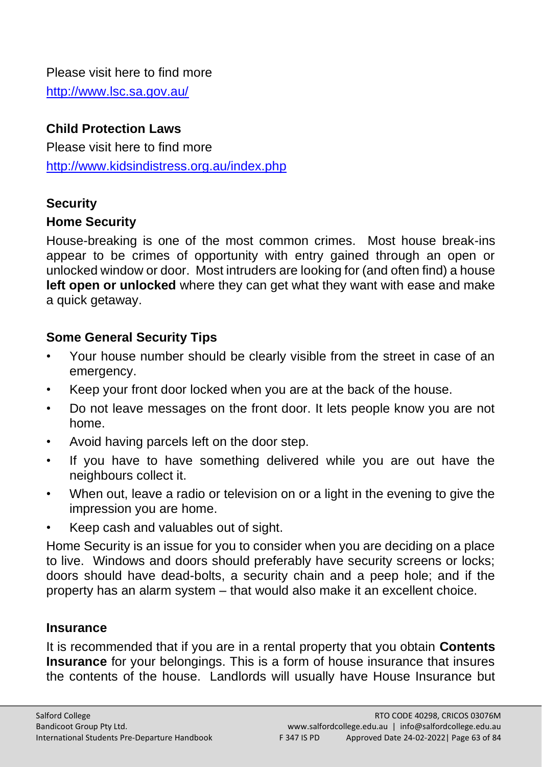#### Please visit here to find more

<http://www.lsc.sa.gov.au/>

#### **Child Protection Laws**

Please visit here to find more <http://www.kidsindistress.org.au/index.php>

#### **Security**

#### **Home Security**

House-breaking is one of the most common crimes. Most house break-ins appear to be crimes of opportunity with entry gained through an open or unlocked window or door. Most intruders are looking for (and often find) a house **left open or unlocked** where they can get what they want with ease and make a quick getaway.

#### **Some General Security Tips**

- Your house number should be clearly visible from the street in case of an emergency.
- Keep your front door locked when you are at the back of the house.
- Do not leave messages on the front door. It lets people know you are not home.
- Avoid having parcels left on the door step.
- If you have to have something delivered while you are out have the neighbours collect it.
- When out, leave a radio or television on or a light in the evening to give the impression you are home.
- Keep cash and valuables out of sight.

Home Security is an issue for you to consider when you are deciding on a place to live. Windows and doors should preferably have security screens or locks; doors should have dead-bolts, a security chain and a peep hole; and if the property has an alarm system – that would also make it an excellent choice.

#### **Insurance**

It is recommended that if you are in a rental property that you obtain **Contents Insurance** for your belongings. This is a form of house insurance that insures the contents of the house. Landlords will usually have House Insurance but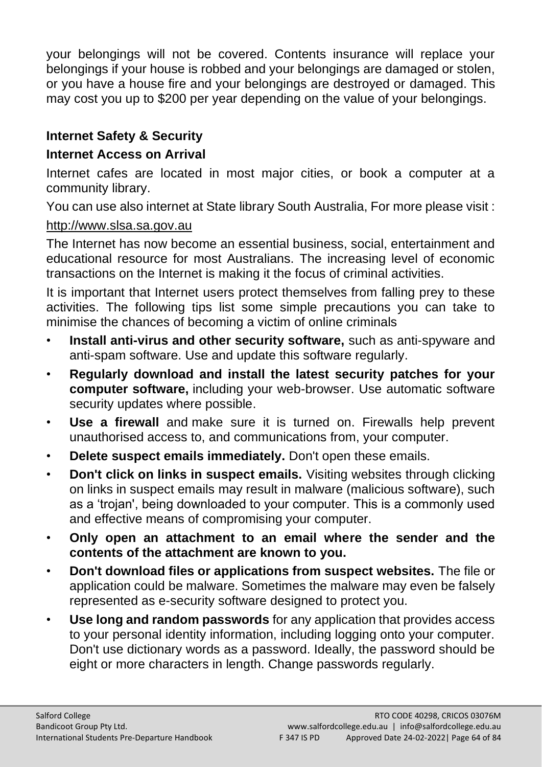your belongings will not be covered. Contents insurance will replace your belongings if your house is robbed and your belongings are damaged or stolen, or you have a house fire and your belongings are destroyed or damaged. This may cost you up to \$200 per year depending on the value of your belongings.

# **Internet Safety & Security**

#### **Internet Access on Arrival**

Internet cafes are located in most major cities, or book a computer at a community library.

You can use also internet at State library South Australia, For more please visit :

#### [http://www.slsa.sa.gov.au](http://www.slsa.sa.gov.au/)

The Internet has now become an essential business, social, entertainment and educational resource for most Australians. The increasing level of economic transactions on the Internet is making it the focus of criminal activities.

It is important that Internet users protect themselves from falling prey to these activities. The following tips list some simple precautions you can take to minimise the chances of becoming a victim of online criminals

- **Install anti-virus and other security software,** such as anti-spyware and anti-spam software. Use and update this software regularly.
- **Regularly download and install the latest security patches for your computer software,** including your web-browser. Use automatic software security updates where possible.
- **Use a firewall** and make sure it is turned on. Firewalls help prevent unauthorised access to, and communications from, your computer.
- **Delete suspect emails immediately.** Don't open these emails.
- **Don't click on links in suspect emails.** Visiting websites through clicking on links in suspect emails may result in malware (malicious software), such as a 'trojan', being downloaded to your computer. This is a commonly used and effective means of compromising your computer.
- **Only open an attachment to an email where the sender and the contents of the attachment are known to you.**
- **Don't download files or applications from suspect websites.** The file or application could be malware. Sometimes the malware may even be falsely represented as e-security software designed to protect you.
- **Use long and random passwords** for any application that provides access to your personal identity information, including logging onto your computer. Don't use dictionary words as a password. Ideally, the password should be eight or more characters in length. Change passwords regularly.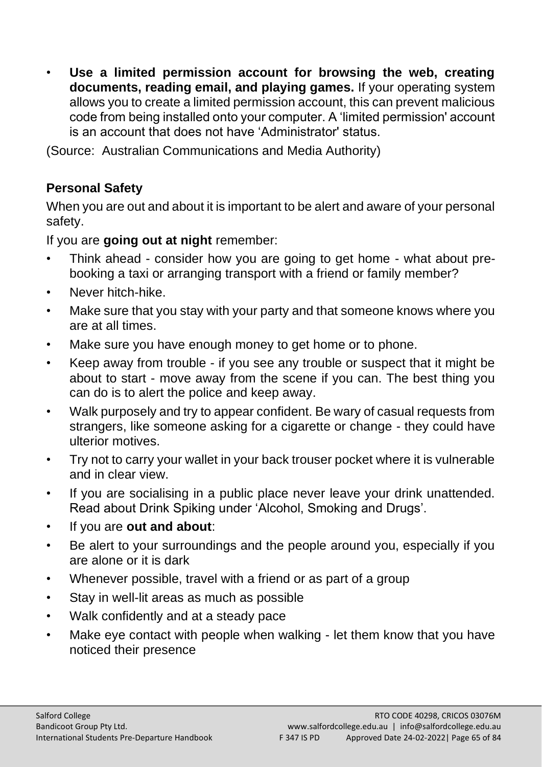• **Use a limited permission account for browsing the web, creating documents, reading email, and playing games.** If your operating system allows you to create a limited permission account, this can prevent malicious code from being installed onto your computer. A 'limited permission' account is an account that does not have 'Administrator' status.

(Source: Australian Communications and Media Authority)

# **Personal Safety**

When you are out and about it is important to be alert and aware of your personal safety.

If you are **going out at night** remember:

- Think ahead consider how you are going to get home what about prebooking a taxi or arranging transport with a friend or family member?
- Never hitch-hike.
- Make sure that you stay with your party and that someone knows where you are at all times.
- Make sure you have enough money to get home or to phone.
- Keep away from trouble if you see any trouble or suspect that it might be about to start - move away from the scene if you can. The best thing you can do is to alert the police and keep away.
- Walk purposely and try to appear confident. Be wary of casual requests from strangers, like someone asking for a cigarette or change - they could have ulterior motives.
- Try not to carry your wallet in your back trouser pocket where it is vulnerable and in clear view.
- If you are socialising in a public place never leave your drink unattended. Read about Drink Spiking under 'Alcohol, Smoking and Drugs'.
- If you are **out and about**:
- Be alert to your surroundings and the people around you, especially if you are alone or it is dark
- Whenever possible, travel with a friend or as part of a group
- Stay in well-lit areas as much as possible
- Walk confidently and at a steady pace
- Make eye contact with people when walking let them know that you have noticed their presence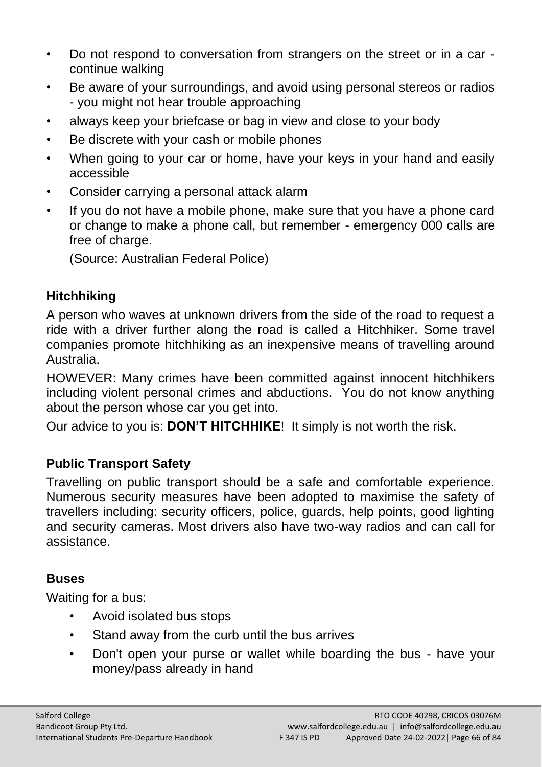- Do not respond to conversation from strangers on the street or in a car continue walking
- Be aware of your surroundings, and avoid using personal stereos or radios - you might not hear trouble approaching
- always keep your briefcase or bag in view and close to your body
- Be discrete with your cash or mobile phones
- When going to your car or home, have your keys in your hand and easily accessible
- Consider carrying a personal attack alarm
- If you do not have a mobile phone, make sure that you have a phone card or change to make a phone call, but remember - emergency 000 calls are free of charge.

(Source: Australian Federal Police)

# **Hitchhiking**

A person who waves at unknown drivers from the side of the road to request a ride with a driver further along the road is called a Hitchhiker. Some travel companies promote hitchhiking as an inexpensive means of travelling around Australia.

HOWEVER: Many crimes have been committed against innocent hitchhikers including violent personal crimes and abductions. You do not know anything about the person whose car you get into.

Our advice to you is: **DON'T HITCHHIKE**! It simply is not worth the risk.

# **Public Transport Safety**

Travelling on public transport should be a safe and comfortable experience. Numerous security measures have been adopted to maximise the safety of travellers including: security officers, police, guards, help points, good lighting and security cameras. Most drivers also have two-way radios and can call for assistance.

# **Buses**

Waiting for a bus:

- Avoid isolated bus stops
- Stand away from the curb until the bus arrives
- Don't open your purse or wallet while boarding the bus have your money/pass already in hand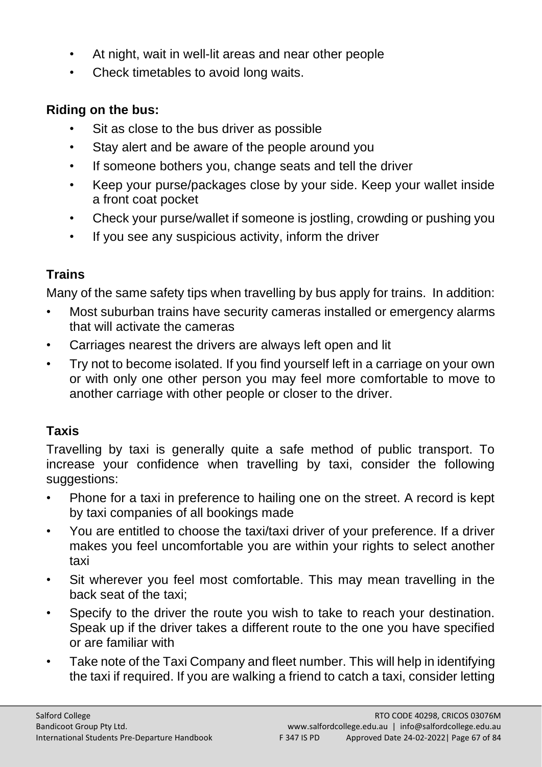- At night, wait in well-lit areas and near other people
- Check timetables to avoid long waits.

#### **Riding on the bus:**

- Sit as close to the bus driver as possible
- Stay alert and be aware of the people around you
- If someone bothers you, change seats and tell the driver
- Keep your purse/packages close by your side. Keep your wallet inside a front coat pocket
- Check your purse/wallet if someone is jostling, crowding or pushing you
- If you see any suspicious activity, inform the driver

# **Trains**

Many of the same safety tips when travelling by bus apply for trains. In addition:

- Most suburban trains have security cameras installed or emergency alarms that will activate the cameras
- Carriages nearest the drivers are always left open and lit
- Try not to become isolated. If you find yourself left in a carriage on your own or with only one other person you may feel more comfortable to move to another carriage with other people or closer to the driver.

# **Taxis**

Travelling by taxi is generally quite a safe method of public transport. To increase your confidence when travelling by taxi, consider the following suggestions:

- Phone for a taxi in preference to hailing one on the street. A record is kept by taxi companies of all bookings made
- You are entitled to choose the taxi/taxi driver of your preference. If a driver makes you feel uncomfortable you are within your rights to select another taxi
- Sit wherever you feel most comfortable. This may mean travelling in the back seat of the taxi;
- Specify to the driver the route you wish to take to reach your destination. Speak up if the driver takes a different route to the one you have specified or are familiar with
- Take note of the Taxi Company and fleet number. This will help in identifying the taxi if required. If you are walking a friend to catch a taxi, consider letting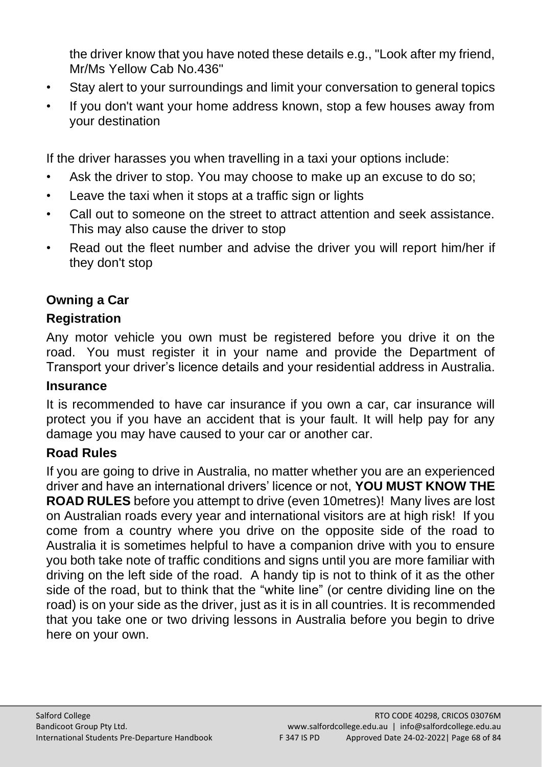the driver know that you have noted these details e.g., "Look after my friend, Mr/Ms Yellow Cab No.436"

- Stay alert to your surroundings and limit your conversation to general topics
- If you don't want your home address known, stop a few houses away from your destination

If the driver harasses you when travelling in a taxi your options include:

- Ask the driver to stop. You may choose to make up an excuse to do so;
- Leave the taxi when it stops at a traffic sign or lights
- Call out to someone on the street to attract attention and seek assistance. This may also cause the driver to stop
- Read out the fleet number and advise the driver you will report him/her if they don't stop

# **Owning a Car**

#### **Registration**

Any motor vehicle you own must be registered before you drive it on the road. You must register it in your name and provide the Department of Transport your driver's licence details and your residential address in Australia.

#### **Insurance**

It is recommended to have car insurance if you own a car, car insurance will protect you if you have an accident that is your fault. It will help pay for any damage you may have caused to your car or another car.

#### **Road Rules**

If you are going to drive in Australia, no matter whether you are an experienced driver and have an international drivers' licence or not, **YOU MUST KNOW THE ROAD RULES** before you attempt to drive (even 10metres)! Many lives are lost on Australian roads every year and international visitors are at high risk! If you come from a country where you drive on the opposite side of the road to Australia it is sometimes helpful to have a companion drive with you to ensure you both take note of traffic conditions and signs until you are more familiar with driving on the left side of the road. A handy tip is not to think of it as the other side of the road, but to think that the "white line" (or centre dividing line on the road) is on your side as the driver, just as it is in all countries. It is recommended that you take one or two driving lessons in Australia before you begin to drive here on your own.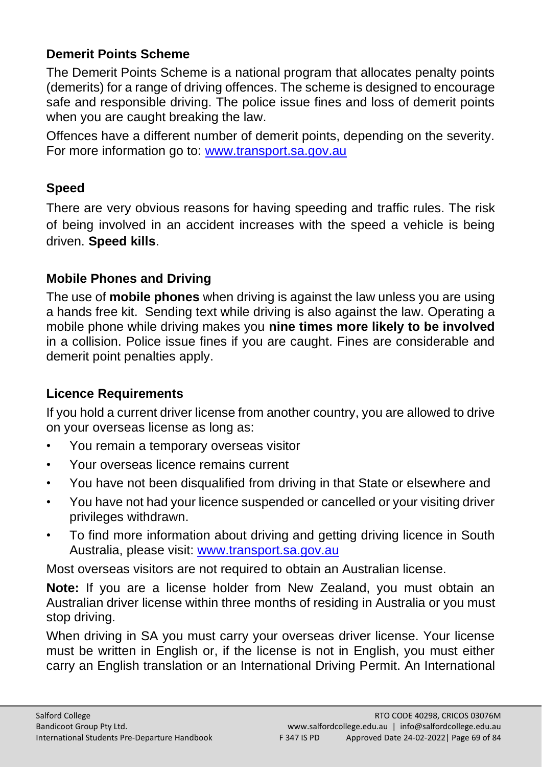#### **Demerit Points Scheme**

The Demerit Points Scheme is a national program that allocates penalty points (demerits) for a range of driving offences. The scheme is designed to encourage safe and responsible driving. The police issue fines and loss of demerit points when you are caught breaking the law.

Offences have a different number of demerit points, depending on the severity. For more information go to: [www.transport.sa.gov.au](http://www.transport.sa.gov.au/)

#### **Speed**

There are very obvious reasons for having speeding and traffic rules. The risk of being involved in an accident increases with the speed a vehicle is being driven. **Speed kills**.

# **Mobile Phones and Driving**

The use of **mobile phones** when driving is against the law unless you are using a hands free kit. Sending text while driving is also against the law. Operating a mobile phone while driving makes you **nine times more likely to be involved** in a collision. Police issue fines if you are caught. Fines are considerable and demerit point penalties apply.

# **Licence Requirements**

If you hold a current driver license from another country, you are allowed to drive on your overseas license as long as:

- You remain a temporary overseas visitor
- Your overseas licence remains current
- You have not been disqualified from driving in that State or elsewhere and
- You have not had your licence suspended or cancelled or your visiting driver privileges withdrawn.
- To find more information about driving and getting driving licence in South Australia, please visit: [www.transport.sa.gov.au](http://www.transport.sa.gov.au/)

Most overseas visitors are not required to obtain an Australian license.

**Note:** If you are a license holder from New Zealand, you must obtain an Australian driver license within three months of residing in Australia or you must stop driving.

When driving in SA you must carry your overseas driver license. Your license must be written in English or, if the license is not in English, you must either carry an English translation or an International Driving Permit. An International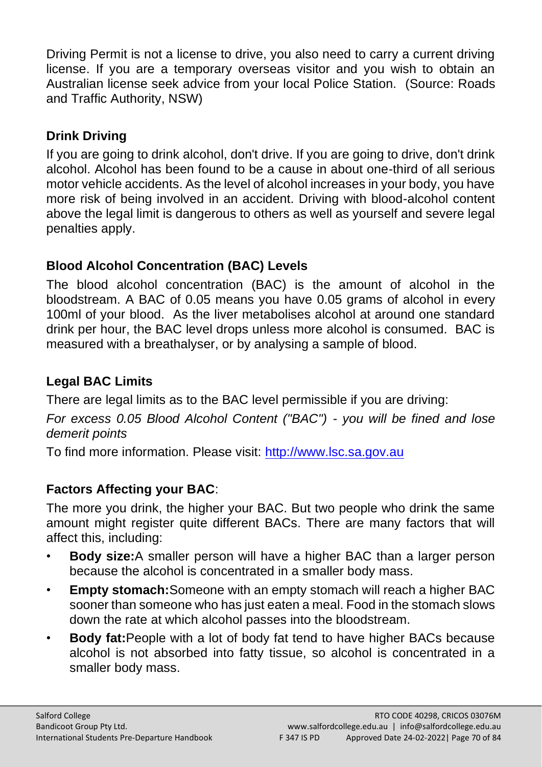Driving Permit is not a license to drive, you also need to carry a current driving license. If you are a temporary overseas visitor and you wish to obtain an Australian license seek advice from your local Police Station. (Source: Roads and Traffic Authority, NSW)

# **Drink Driving**

If you are going to drink alcohol, don't drive. If you are going to drive, don't drink alcohol. Alcohol has been found to be a cause in about one-third of all serious motor vehicle accidents. As the level of alcohol increases in your body, you have more risk of being involved in an accident. Driving with blood-alcohol content above the legal limit is dangerous to others as well as yourself and severe legal penalties apply.

# **Blood Alcohol Concentration (BAC) Levels**

The blood alcohol concentration (BAC) is the amount of alcohol in the bloodstream. A BAC of 0.05 means you have 0.05 grams of alcohol in every 100ml of your blood. As the liver metabolises alcohol at around one standard drink per hour, the BAC level drops unless more alcohol is consumed. BAC is measured with a breathalyser, or by analysing a sample of blood.

# **Legal BAC Limits**

There are legal limits as to the BAC level permissible if you are driving:

*For excess 0.05 Blood Alcohol Content ("BAC") - you will be fined and lose demerit points*

To find more information. Please visit: [http://www.lsc.sa.gov.au](http://www.lsc.sa.gov.au/)

# **Factors Affecting your BAC**:

The more you drink, the higher your BAC. But two people who drink the same amount might register quite different BACs. There are many factors that will affect this, including:

- **Body size:**A smaller person will have a higher BAC than a larger person because the alcohol is concentrated in a smaller body mass.
- **Empty stomach:**Someone with an empty stomach will reach a higher BAC sooner than someone who has just eaten a meal. Food in the stomach slows down the rate at which alcohol passes into the bloodstream.
- **Body fat:**People with a lot of body fat tend to have higher BACs because alcohol is not absorbed into fatty tissue, so alcohol is concentrated in a smaller body mass.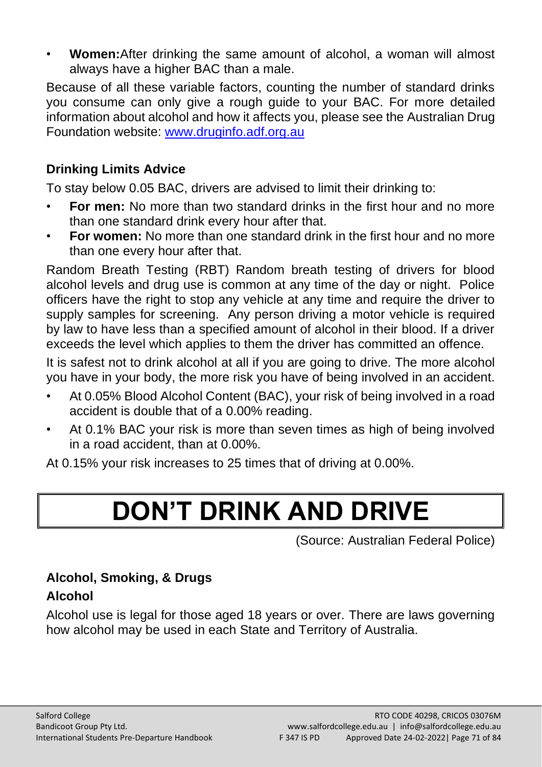• **Women:**After drinking the same amount of alcohol, a woman will almost always have a higher BAC than a male.

Because of all these variable factors, counting the number of standard drinks you consume can only give a rough guide to your BAC. For more detailed information about alcohol and how it affects you, please see the Australian Drug Foundation website: [www.druginfo.adf.org.au](http://www.druginfo.adf.org.au/)

# **Drinking Limits Advice**

To stay below 0.05 BAC, drivers are advised to limit their drinking to:

- **For men:** No more than two standard drinks in the first hour and no more than one standard drink every hour after that.
- **For women:** No more than one standard drink in the first hour and no more than one every hour after that.

Random Breath Testing (RBT) Random breath testing of drivers for blood alcohol levels and drug use is common at any time of the day or night. Police officers have the right to stop any vehicle at any time and require the driver to supply samples for screening. Any person driving a motor vehicle is required by law to have less than a specified amount of alcohol in their blood. If a driver exceeds the level which applies to them the driver has committed an offence.

It is safest not to drink alcohol at all if you are going to drive. The more alcohol you have in your body, the more risk you have of being involved in an accident.

- At 0.05% Blood Alcohol Content (BAC), your risk of being involved in a road accident is double that of a 0.00% reading.
- At 0.1% BAC your risk is more than seven times as high of being involved in a road accident, than at 0.00%.

At 0.15% your risk increases to 25 times that of driving at 0.00%.

# **DON'T DRINK AND DRIVE**

(Source: Australian Federal Police)

# **Alcohol, Smoking, & Drugs**

# **Alcohol**

Alcohol use is legal for those aged 18 years or over. There are laws governing how alcohol may be used in each State and Territory of Australia.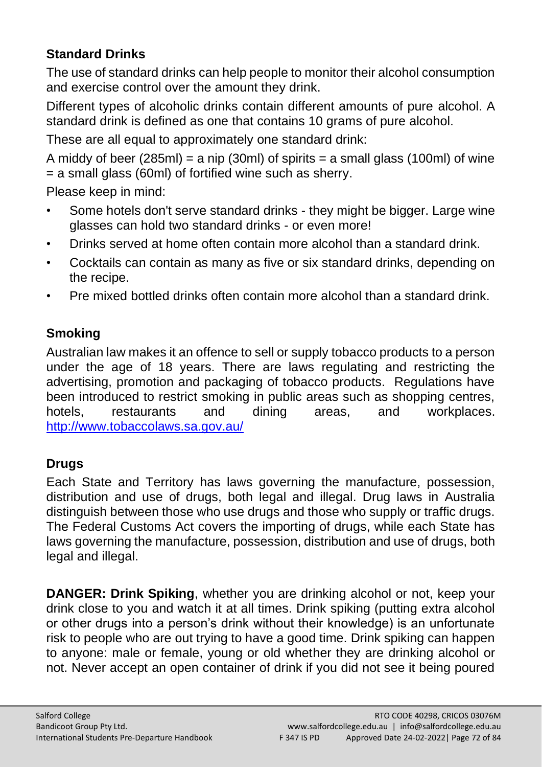# **Standard Drinks**

The use of standard drinks can help people to monitor their alcohol consumption and exercise control over the amount they drink.

Different types of alcoholic drinks contain different amounts of pure alcohol. A standard drink is defined as one that contains 10 grams of pure alcohol.

These are all equal to approximately one standard drink:

A middy of beer (285ml) = a nip (30ml) of spirits = a small glass (100ml) of wine = a small glass (60ml) of fortified wine such as sherry.

Please keep in mind:

- Some hotels don't serve standard drinks they might be bigger. Large wine glasses can hold two standard drinks - or even more!
- Drinks served at home often contain more alcohol than a standard drink.
- Cocktails can contain as many as five or six standard drinks, depending on the recipe.
- Pre mixed bottled drinks often contain more alcohol than a standard drink.

# **Smoking**

Australian law makes it an offence to sell or supply tobacco products to a person under the age of 18 years. There are laws regulating and restricting the advertising, promotion and packaging of tobacco products. Regulations have been introduced to restrict smoking in public areas such as shopping centres, hotels, restaurants and dining areas, and workplaces. <http://www.tobaccolaws.sa.gov.au/>

# **Drugs**

Each State and Territory has laws governing the manufacture, possession, distribution and use of drugs, both legal and illegal. Drug laws in Australia distinguish between those who use drugs and those who supply or traffic drugs. The Federal Customs Act covers the importing of drugs, while each State has laws governing the manufacture, possession, distribution and use of drugs, both legal and illegal.

**DANGER: Drink Spiking**, whether you are drinking alcohol or not, keep your drink close to you and watch it at all times. Drink spiking (putting extra alcohol or other drugs into a person's drink without their knowledge) is an unfortunate risk to people who are out trying to have a good time. Drink spiking can happen to anyone: male or female, young or old whether they are drinking alcohol or not. Never accept an open container of drink if you did not see it being poured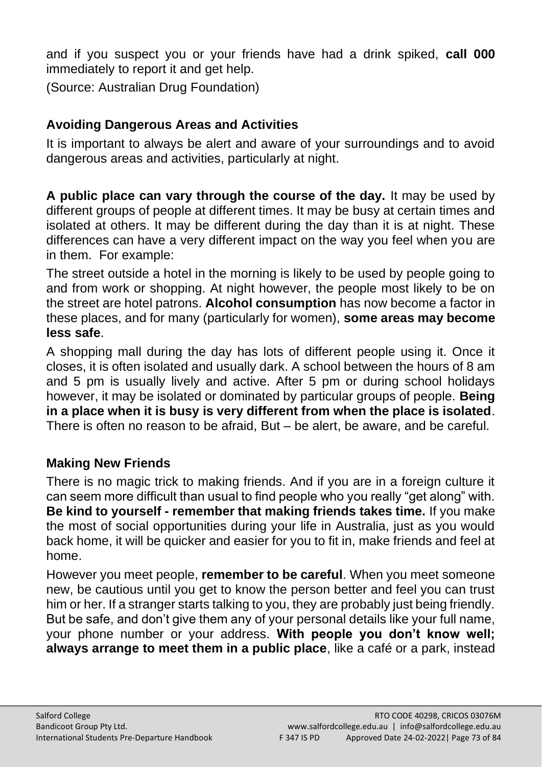and if you suspect you or your friends have had a drink spiked, **call 000**  immediately to report it and get help.

(Source: Australian Drug Foundation)

## **Avoiding Dangerous Areas and Activities**

It is important to always be alert and aware of your surroundings and to avoid dangerous areas and activities, particularly at night.

**A public place can vary through the course of the day.** It may be used by different groups of people at different times. It may be busy at certain times and isolated at others. It may be different during the day than it is at night. These differences can have a very different impact on the way you feel when you are in them. For example:

The street outside a hotel in the morning is likely to be used by people going to and from work or shopping. At night however, the people most likely to be on the street are hotel patrons. **Alcohol consumption** has now become a factor in these places, and for many (particularly for women), **some areas may become less safe**.

A shopping mall during the day has lots of different people using it. Once it closes, it is often isolated and usually dark. A school between the hours of 8 am and 5 pm is usually lively and active. After 5 pm or during school holidays however, it may be isolated or dominated by particular groups of people. **Being in a place when it is busy is very different from when the place is isolated**. There is often no reason to be afraid, But – be alert, be aware, and be careful.

## **Making New Friends**

There is no magic trick to making friends. And if you are in a foreign culture it can seem more difficult than usual to find people who you really "get along" with. **Be kind to yourself - remember that making friends takes time.** If you make the most of social opportunities during your life in Australia, just as you would back home, it will be quicker and easier for you to fit in, make friends and feel at home.

However you meet people, **remember to be careful**. When you meet someone new, be cautious until you get to know the person better and feel you can trust him or her. If a stranger starts talking to you, they are probably just being friendly. But be safe, and don't give them any of your personal details like your full name, your phone number or your address. **With people you don't know well; always arrange to meet them in a public place**, like a café or a park, instead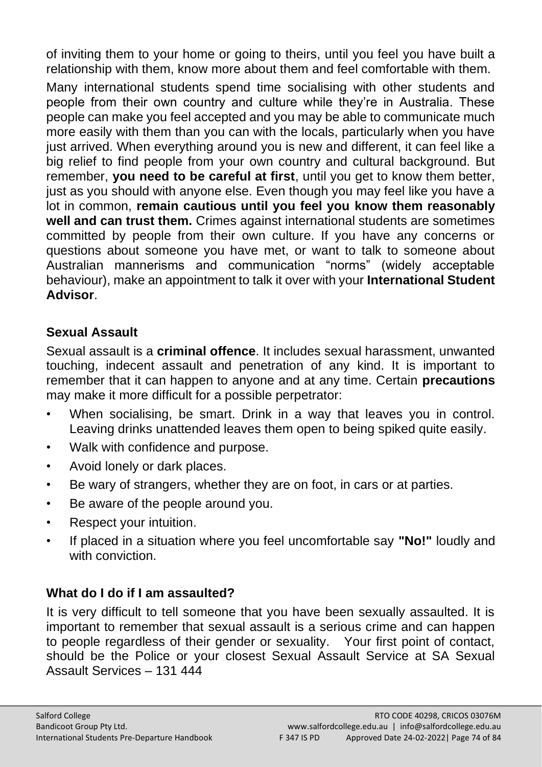of inviting them to your home or going to theirs, until you feel you have built a relationship with them, know more about them and feel comfortable with them.

Many international students spend time socialising with other students and people from their own country and culture while they're in Australia. These people can make you feel accepted and you may be able to communicate much more easily with them than you can with the locals, particularly when you have just arrived. When everything around you is new and different, it can feel like a big relief to find people from your own country and cultural background. But remember, **you need to be careful at first**, until you get to know them better, just as you should with anyone else. Even though you may feel like you have a lot in common, **remain cautious until you feel you know them reasonably well and can trust them.** Crimes against international students are sometimes committed by people from their own culture. If you have any concerns or questions about someone you have met, or want to talk to someone about Australian mannerisms and communication "norms" (widely acceptable behaviour), make an appointment to talk it over with your **International Student Advisor**.

## **Sexual Assault**

Sexual assault is a **criminal offence**. It includes sexual harassment, unwanted touching, indecent assault and penetration of any kind. It is important to remember that it can happen to anyone and at any time. Certain **precautions** may make it more difficult for a possible perpetrator:

- When socialising, be smart. Drink in a way that leaves you in control. Leaving drinks unattended leaves them open to being spiked quite easily.
- Walk with confidence and purpose.
- Avoid lonely or dark places.
- Be wary of strangers, whether they are on foot, in cars or at parties.
- Be aware of the people around you.
- Respect your intuition.
- If placed in a situation where you feel uncomfortable say **"No!"** loudly and with conviction

## **What do I do if I am assaulted?**

It is very difficult to tell someone that you have been sexually assaulted. It is important to remember that sexual assault is a serious crime and can happen to people regardless of their gender or sexuality. Your first point of contact, should be the Police or your closest Sexual Assault Service at SA Sexual Assault Services – 131 444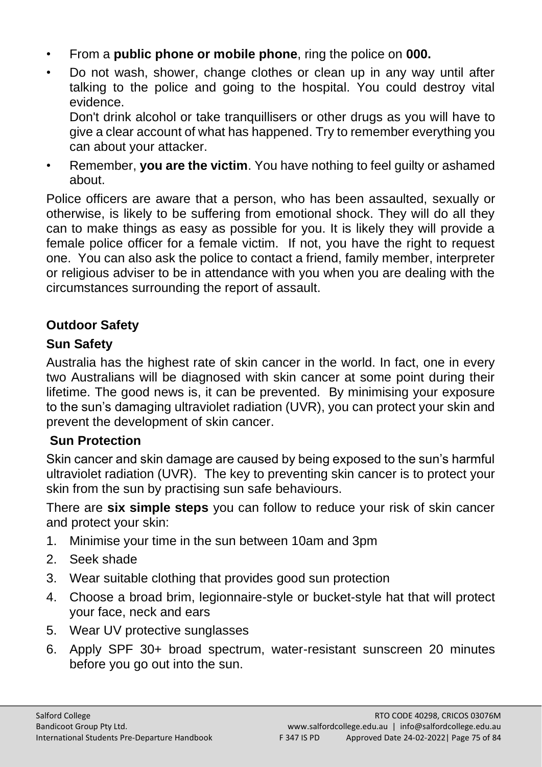- From a **public phone or mobile phone**, ring the police on **000.**
- Do not wash, shower, change clothes or clean up in any way until after talking to the police and going to the hospital. You could destroy vital evidence.

Don't drink alcohol or take tranquillisers or other drugs as you will have to give a clear account of what has happened. Try to remember everything you can about your attacker.

• Remember, **you are the victim**. You have nothing to feel guilty or ashamed about.

Police officers are aware that a person, who has been assaulted, sexually or otherwise, is likely to be suffering from emotional shock. They will do all they can to make things as easy as possible for you. It is likely they will provide a female police officer for a female victim. If not, you have the right to request one. You can also ask the police to contact a friend, family member, interpreter or religious adviser to be in attendance with you when you are dealing with the circumstances surrounding the report of assault.

## **Outdoor Safety**

## **Sun Safety**

Australia has the highest rate of skin cancer in the world. In fact, one in every two Australians will be diagnosed with skin cancer at some point during their lifetime. The good news is, it can be prevented. By minimising your exposure to the sun's damaging ultraviolet radiation (UVR), you can protect your skin and prevent the development of skin cancer.

## **Sun Protection**

Skin cancer and skin damage are caused by being exposed to the sun's harmful ultraviolet radiation (UVR). The key to preventing skin cancer is to protect your skin from the sun by practising sun safe behaviours.

There are **six simple steps** you can follow to reduce your risk of skin cancer and protect your skin:

- 1. Minimise your time in the sun between 10am and 3pm
- 2. Seek shade
- 3. Wear suitable clothing that provides good sun protection
- 4. Choose a broad brim, legionnaire-style or bucket-style hat that will protect your face, neck and ears
- 5. Wear UV protective sunglasses
- 6. Apply SPF 30+ broad spectrum, water-resistant sunscreen 20 minutes before you go out into the sun.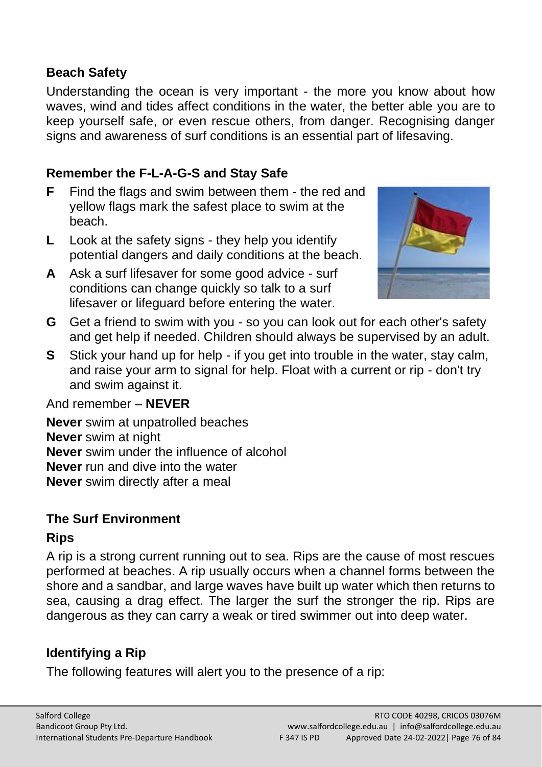#### **Beach Safety**

Understanding the ocean is very important - the more you know about how waves, wind and tides affect conditions in the water, the better able you are to keep yourself safe, or even rescue others, from danger. Recognising danger signs and awareness of surf conditions is an essential part of lifesaving.

#### **Remember the F-L-A-G-S and Stay Safe**

- **F** Find the flags and swim between them the red and yellow flags mark the safest place to swim at the beach.
- **L** Look at the safety signs they help you identify potential dangers and daily conditions at the beach.
- **A** Ask a surf lifesaver for some good advice surf conditions can change quickly so talk to a surf lifesaver or lifeguard before entering the water.



- **G** Get a friend to swim with you so you can look out for each other's safety and get help if needed. Children should always be supervised by an adult.
- **S** Stick your hand up for help if you get into trouble in the water, stay calm, and raise your arm to signal for help. Float with a current or rip - don't try and swim against it.

#### And remember – **NEVER**

**Never** swim at unpatrolled beaches **Never** swim at night **Never** swim under the influence of alcohol **Never** run and dive into the water **Never** swim directly after a meal

#### **The Surf Environment**

#### **Rips**

A rip is a strong current running out to sea. Rips are the cause of most rescues performed at beaches. A rip usually occurs when a channel forms between the shore and a sandbar, and large waves have built up water which then returns to sea, causing a drag effect. The larger the surf the stronger the rip. Rips are dangerous as they can carry a weak or tired swimmer out into deep water.

## **Identifying a Rip**

The following features will alert you to the presence of a rip: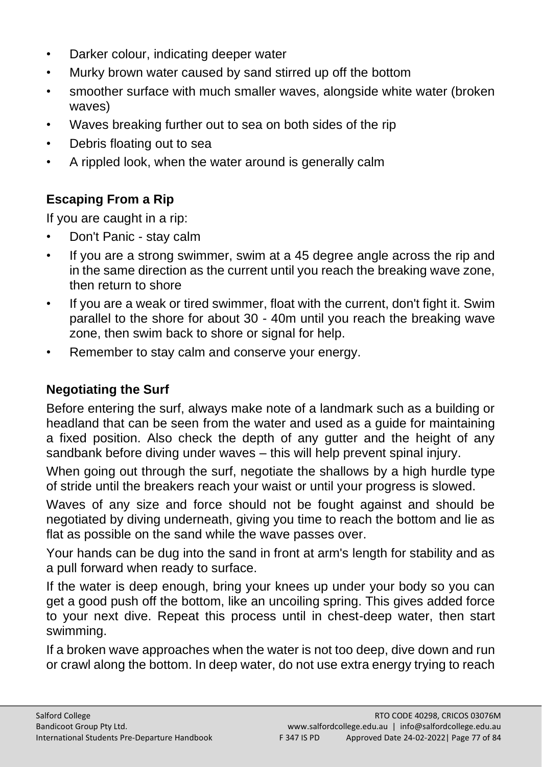- Darker colour, indicating deeper water
- Murky brown water caused by sand stirred up off the bottom
- smoother surface with much smaller waves, alongside white water (broken waves)
- Waves breaking further out to sea on both sides of the rip
- Debris floating out to sea
- A rippled look, when the water around is generally calm

# **Escaping From a Rip**

If you are caught in a rip:

- Don't Panic stay calm
- If you are a strong swimmer, swim at a 45 degree angle across the rip and in the same direction as the current until you reach the breaking wave zone, then return to shore
- If you are a weak or tired swimmer, float with the current, don't fight it. Swim parallel to the shore for about 30 - 40m until you reach the breaking wave zone, then swim back to shore or signal for help.
- Remember to stay calm and conserve your energy.

## **Negotiating the Surf**

Before entering the surf, always make note of a landmark such as a building or headland that can be seen from the water and used as a guide for maintaining a fixed position. Also check the depth of any gutter and the height of any sandbank before diving under waves – this will help prevent spinal injury.

When going out through the surf, negotiate the shallows by a high hurdle type of stride until the breakers reach your waist or until your progress is slowed.

Waves of any size and force should not be fought against and should be negotiated by diving underneath, giving you time to reach the bottom and lie as flat as possible on the sand while the wave passes over.

Your hands can be dug into the sand in front at arm's length for stability and as a pull forward when ready to surface.

If the water is deep enough, bring your knees up under your body so you can get a good push off the bottom, like an uncoiling spring. This gives added force to your next dive. Repeat this process until in chest-deep water, then start swimming.

If a broken wave approaches when the water is not too deep, dive down and run or crawl along the bottom. In deep water, do not use extra energy trying to reach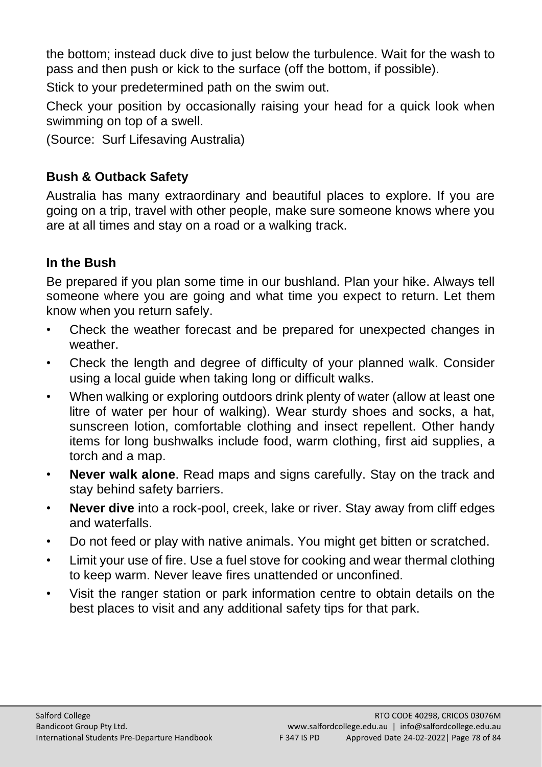the bottom; instead duck dive to just below the turbulence. Wait for the wash to pass and then push or kick to the surface (off the bottom, if possible).

Stick to your predetermined path on the swim out.

Check your position by occasionally raising your head for a quick look when swimming on top of a swell.

(Source: Surf Lifesaving Australia)

## **Bush & Outback Safety**

Australia has many extraordinary and beautiful places to explore. If you are going on a trip, travel with other people, make sure someone knows where you are at all times and stay on a road or a walking track.

## **In the Bush**

Be prepared if you plan some time in our bushland. Plan your hike. Always tell someone where you are going and what time you expect to return. Let them know when you return safely.

- Check the weather forecast and be prepared for unexpected changes in weather.
- Check the length and degree of difficulty of your planned walk. Consider using a local guide when taking long or difficult walks.
- When walking or exploring outdoors drink plenty of water (allow at least one litre of water per hour of walking). Wear sturdy shoes and socks, a hat, sunscreen lotion, comfortable clothing and insect repellent. Other handy items for long bushwalks include food, warm clothing, first aid supplies, a torch and a map.
- **Never walk alone**. Read maps and signs carefully. Stay on the track and stay behind safety barriers.
- **Never dive** into a rock-pool, creek, lake or river. Stay away from cliff edges and waterfalls.
- Do not feed or play with native animals. You might get bitten or scratched.
- Limit your use of fire. Use a fuel stove for cooking and wear thermal clothing to keep warm. Never leave fires unattended or unconfined.
- Visit the ranger station or park information centre to obtain details on the best places to visit and any additional safety tips for that park.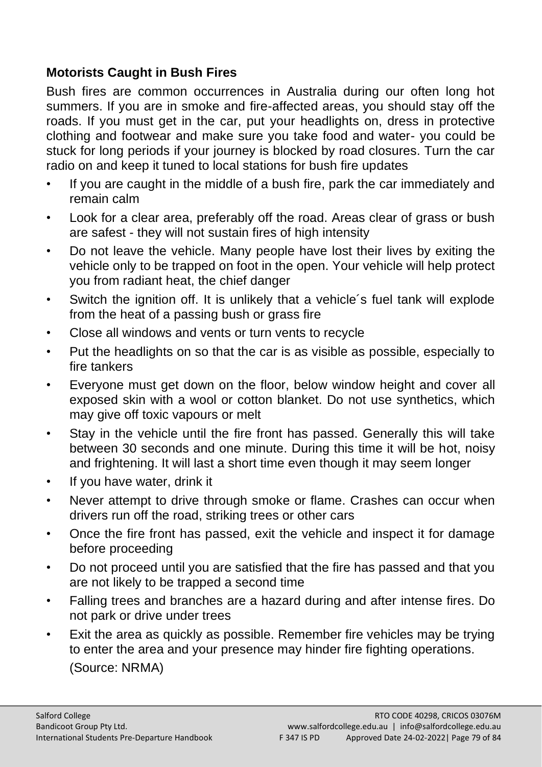#### **Motorists Caught in Bush Fires**

Bush fires are common occurrences in Australia during our often long hot summers. If you are in smoke and fire-affected areas, you should stay off the roads. If you must get in the car, put your headlights on, dress in protective clothing and footwear and make sure you take food and water- you could be stuck for long periods if your journey is blocked by road closures. Turn the car radio on and keep it tuned to local stations for bush fire updates

- If you are caught in the middle of a bush fire, park the car immediately and remain calm
- Look for a clear area, preferably off the road. Areas clear of grass or bush are safest - they will not sustain fires of high intensity
- Do not leave the vehicle. Many people have lost their lives by exiting the vehicle only to be trapped on foot in the open. Your vehicle will help protect you from radiant heat, the chief danger
- Switch the ignition off. It is unlikely that a vehicle's fuel tank will explode from the heat of a passing bush or grass fire
- Close all windows and vents or turn vents to recycle
- Put the headlights on so that the car is as visible as possible, especially to fire tankers
- Everyone must get down on the floor, below window height and cover all exposed skin with a wool or cotton blanket. Do not use synthetics, which may give off toxic vapours or melt
- Stay in the vehicle until the fire front has passed. Generally this will take between 30 seconds and one minute. During this time it will be hot, noisy and frightening. It will last a short time even though it may seem longer
- If you have water, drink it
- Never attempt to drive through smoke or flame. Crashes can occur when drivers run off the road, striking trees or other cars
- Once the fire front has passed, exit the vehicle and inspect it for damage before proceeding
- Do not proceed until you are satisfied that the fire has passed and that you are not likely to be trapped a second time
- Falling trees and branches are a hazard during and after intense fires. Do not park or drive under trees
- Exit the area as quickly as possible. Remember fire vehicles may be trying to enter the area and your presence may hinder fire fighting operations. (Source: NRMA)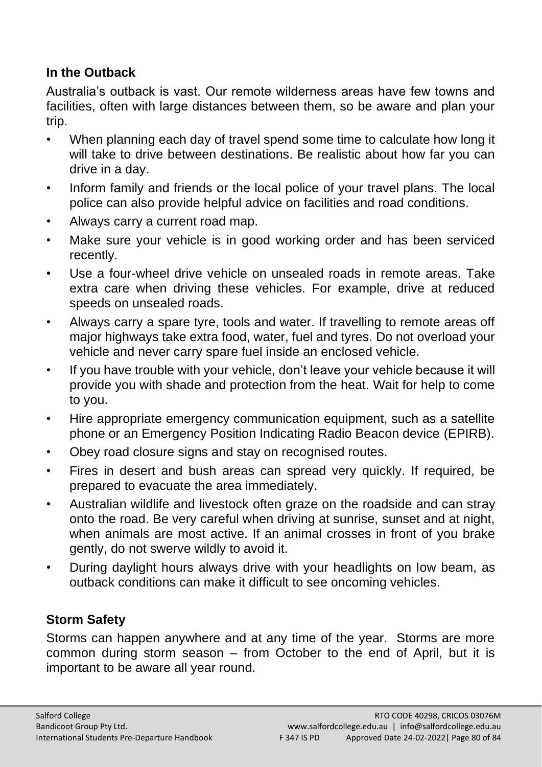#### **In the Outback**

Australia's outback is vast. Our remote wilderness areas have few towns and facilities, often with large distances between them, so be aware and plan your trip.

- When planning each day of travel spend some time to calculate how long it will take to drive between destinations. Be realistic about how far you can drive in a day.
- Inform family and friends or the local police of your travel plans. The local police can also provide helpful advice on facilities and road conditions.
- Always carry a current road map.
- Make sure your vehicle is in good working order and has been serviced recently.
- Use a four-wheel drive vehicle on unsealed roads in remote areas. Take extra care when driving these vehicles. For example, drive at reduced speeds on unsealed roads.
- Always carry a spare tyre, tools and water. If travelling to remote areas off major highways take extra food, water, fuel and tyres. Do not overload your vehicle and never carry spare fuel inside an enclosed vehicle.
- If you have trouble with your vehicle, don't leave your vehicle because it will provide you with shade and protection from the heat. Wait for help to come to you.
- Hire appropriate emergency communication equipment, such as a satellite phone or an Emergency Position Indicating Radio Beacon device (EPIRB).
- Obey road closure signs and stay on recognised routes.
- Fires in desert and bush areas can spread very quickly. If required, be prepared to evacuate the area immediately.
- Australian wildlife and livestock often graze on the roadside and can stray onto the road. Be very careful when driving at sunrise, sunset and at night, when animals are most active. If an animal crosses in front of you brake gently, do not swerve wildly to avoid it.
- During daylight hours always drive with your headlights on low beam, as outback conditions can make it difficult to see oncoming vehicles.

## **Storm Safety**

Storms can happen anywhere and at any time of the year. Storms are more common during storm season – from October to the end of April, but it is important to be aware all year round.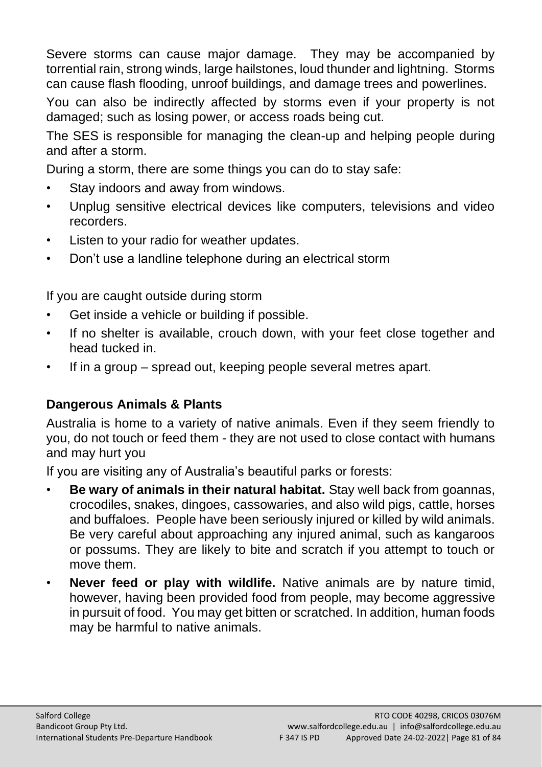Severe storms can cause major damage. They may be accompanied by torrential rain, strong winds, large hailstones, loud thunder and lightning. Storms can cause flash flooding, unroof buildings, and damage trees and powerlines.

You can also be indirectly affected by storms even if your property is not damaged; such as losing power, or access roads being cut.

The SES is responsible for managing the clean-up and helping people during and after a storm.

During a storm, there are some things you can do to stay safe:

- Stay indoors and away from windows.
- Unplug sensitive electrical devices like computers, televisions and video recorders.
- Listen to your radio for weather updates.
- Don't use a landline telephone during an electrical storm

If you are caught outside during storm

- Get inside a vehicle or building if possible.
- If no shelter is available, crouch down, with your feet close together and head tucked in.
- If in a group spread out, keeping people several metres apart.

## **Dangerous Animals & Plants**

Australia is home to a variety of native animals. Even if they seem friendly to you, do not touch or feed them - they are not used to close contact with humans and may hurt you

If you are visiting any of Australia's beautiful parks or forests:

- **Be wary of animals in their natural habitat.** Stay well back from goannas, crocodiles, snakes, dingoes, cassowaries, and also wild pigs, cattle, horses and buffaloes. People have been seriously injured or killed by wild animals. Be very careful about approaching any injured animal, such as kangaroos or possums. They are likely to bite and scratch if you attempt to touch or move them.
- **Never feed or play with wildlife.** Native animals are by nature timid, however, having been provided food from people, may become aggressive in pursuit of food. You may get bitten or scratched. In addition, human foods may be harmful to native animals.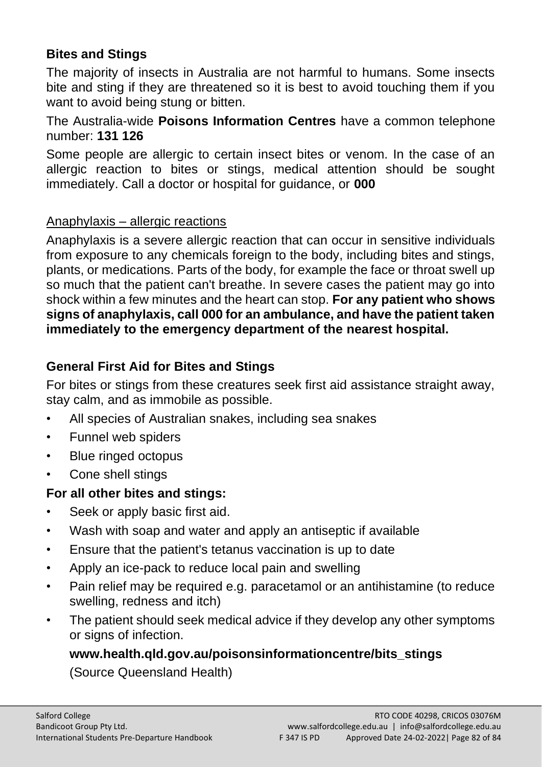## **Bites and Stings**

The majority of insects in Australia are not harmful to humans. Some insects bite and sting if they are threatened so it is best to avoid touching them if you want to avoid being stung or bitten.

The Australia-wide **Poisons Information Centres** have a common telephone number: **131 126**

Some people are allergic to certain insect bites or venom. In the case of an allergic reaction to bites or stings, medical attention should be sought immediately. Call a doctor or hospital for guidance, or **000**

#### Anaphylaxis – allergic reactions

Anaphylaxis is a severe allergic reaction that can occur in sensitive individuals from exposure to any chemicals foreign to the body, including bites and stings, plants, or medications. Parts of the body, for example the face or throat swell up so much that the patient can't breathe. In severe cases the patient may go into shock within a few minutes and the heart can stop. **For any patient who shows signs of anaphylaxis, call 000 for an ambulance, and have the patient taken immediately to the emergency department of the nearest hospital.**

#### **General First Aid for Bites and Stings**

For bites or stings from these creatures seek first aid assistance straight away, stay calm, and as immobile as possible.

- All species of Australian snakes, including sea snakes
- Funnel web spiders
- Blue ringed octopus
- Cone shell stings

#### **For all other bites and stings:**

- Seek or apply basic first aid.
- Wash with soap and water and apply an antiseptic if available
- Ensure that the patient's tetanus vaccination is up to date
- Apply an ice-pack to reduce local pain and swelling
- Pain relief may be required e.g. paracetamol or an antihistamine (to reduce swelling, redness and itch)
- The patient should seek medical advice if they develop any other symptoms or signs of infection.

#### **www.health.qld.gov.au/poisonsinformationcentre/bits\_stings**

(Source Queensland Health)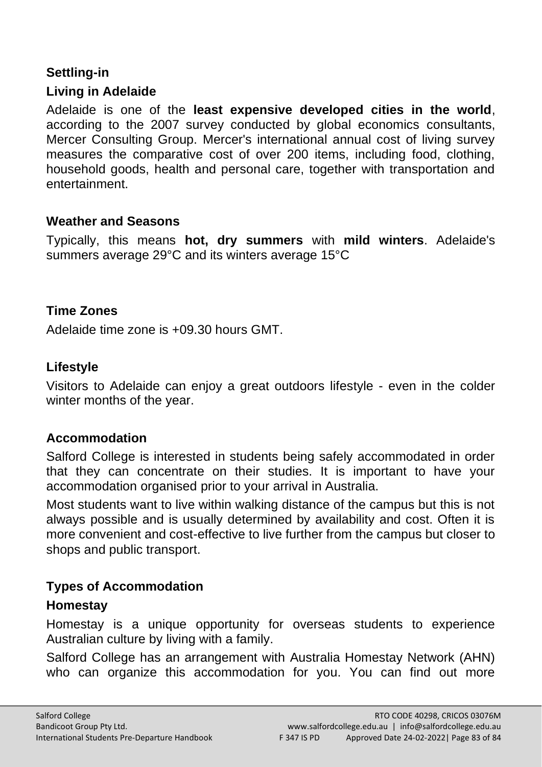# **Settling-in**

#### **Living in Adelaide**

Adelaide is one of the **least expensive developed cities in the world**, according to the 2007 survey conducted by global economics consultants, Mercer Consulting Group. Mercer's international annual cost of living survey measures the comparative cost of over 200 items, including food, clothing, household goods, health and personal care, together with transportation and entertainment.

#### **Weather and Seasons**

Typically, this means **hot, dry summers** with **mild winters**. Adelaide's summers average 29°C and its winters average 15°C

#### **Time Zones**

Adelaide time zone is +09.30 hours GMT.

#### **Lifestyle**

Visitors to Adelaide can enjoy a great outdoors lifestyle - even in the colder winter months of the year.

#### **Accommodation**

Salford College is interested in students being safely accommodated in order that they can concentrate on their studies. It is important to have your accommodation organised prior to your arrival in Australia.

Most students want to live within walking distance of the campus but this is not always possible and is usually determined by availability and cost. Often it is more convenient and cost-effective to live further from the campus but closer to shops and public transport.

#### **Types of Accommodation**

#### **Homestay**

Homestay is a unique opportunity for overseas students to experience Australian culture by living with a family.

Salford College has an arrangement with Australia Homestay Network (AHN) who can organize this accommodation for you. You can find out more